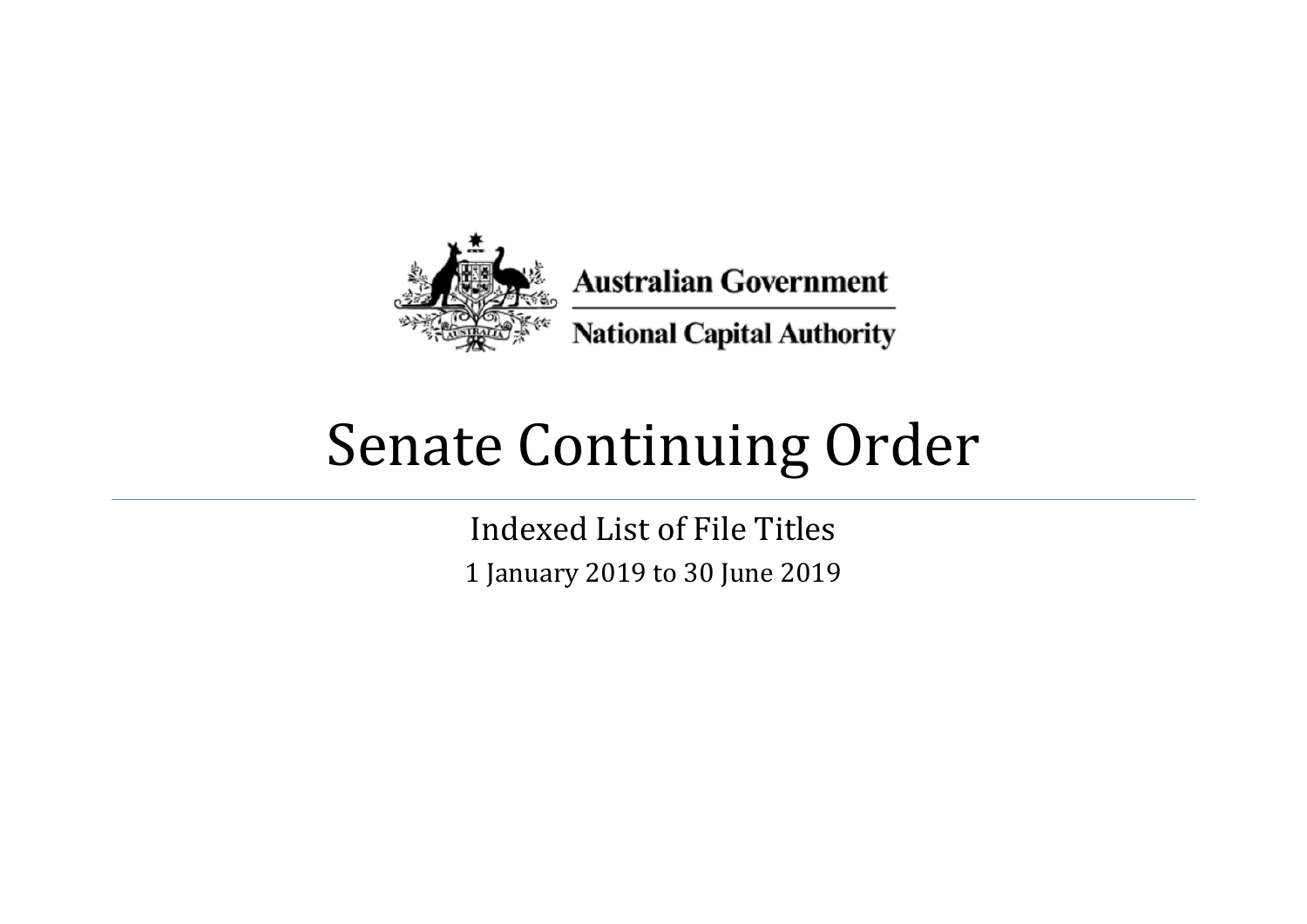

## Senate Continuing Order

Indexed List of File Titles 1 January 2019 to 30 June 2019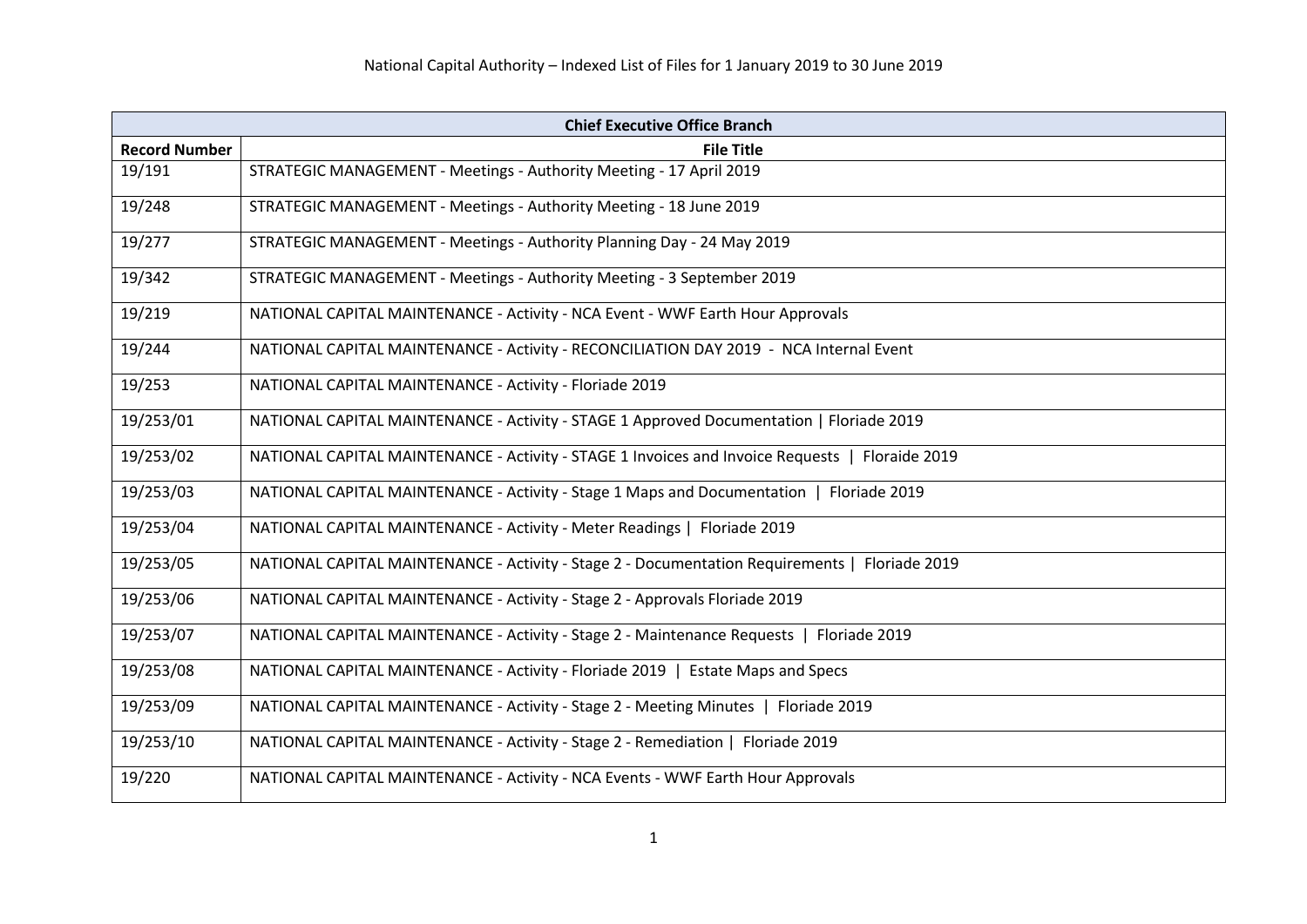| <b>Chief Executive Office Branch</b> |                                                                                                 |
|--------------------------------------|-------------------------------------------------------------------------------------------------|
| <b>Record Number</b>                 | <b>File Title</b>                                                                               |
| 19/191                               | STRATEGIC MANAGEMENT - Meetings - Authority Meeting - 17 April 2019                             |
| 19/248                               | STRATEGIC MANAGEMENT - Meetings - Authority Meeting - 18 June 2019                              |
| 19/277                               | STRATEGIC MANAGEMENT - Meetings - Authority Planning Day - 24 May 2019                          |
| 19/342                               | STRATEGIC MANAGEMENT - Meetings - Authority Meeting - 3 September 2019                          |
| 19/219                               | NATIONAL CAPITAL MAINTENANCE - Activity - NCA Event - WWF Earth Hour Approvals                  |
| 19/244                               | NATIONAL CAPITAL MAINTENANCE - Activity - RECONCILIATION DAY 2019 - NCA Internal Event          |
| 19/253                               | NATIONAL CAPITAL MAINTENANCE - Activity - Floriade 2019                                         |
| 19/253/01                            | NATIONAL CAPITAL MAINTENANCE - Activity - STAGE 1 Approved Documentation   Floriade 2019        |
| 19/253/02                            | NATIONAL CAPITAL MAINTENANCE - Activity - STAGE 1 Invoices and Invoice Requests   Floraide 2019 |
| 19/253/03                            | NATIONAL CAPITAL MAINTENANCE - Activity - Stage 1 Maps and Documentation   Floriade 2019        |
| 19/253/04                            | NATIONAL CAPITAL MAINTENANCE - Activity - Meter Readings   Floriade 2019                        |
| 19/253/05                            | NATIONAL CAPITAL MAINTENANCE - Activity - Stage 2 - Documentation Requirements   Floriade 2019  |
| 19/253/06                            | NATIONAL CAPITAL MAINTENANCE - Activity - Stage 2 - Approvals Floriade 2019                     |
| 19/253/07                            | NATIONAL CAPITAL MAINTENANCE - Activity - Stage 2 - Maintenance Requests   Floriade 2019        |
| 19/253/08                            | NATIONAL CAPITAL MAINTENANCE - Activity - Floriade 2019   Estate Maps and Specs                 |
| 19/253/09                            | NATIONAL CAPITAL MAINTENANCE - Activity - Stage 2 - Meeting Minutes   Floriade 2019             |
| 19/253/10                            | NATIONAL CAPITAL MAINTENANCE - Activity - Stage 2 - Remediation   Floriade 2019                 |
| 19/220                               | NATIONAL CAPITAL MAINTENANCE - Activity - NCA Events - WWF Earth Hour Approvals                 |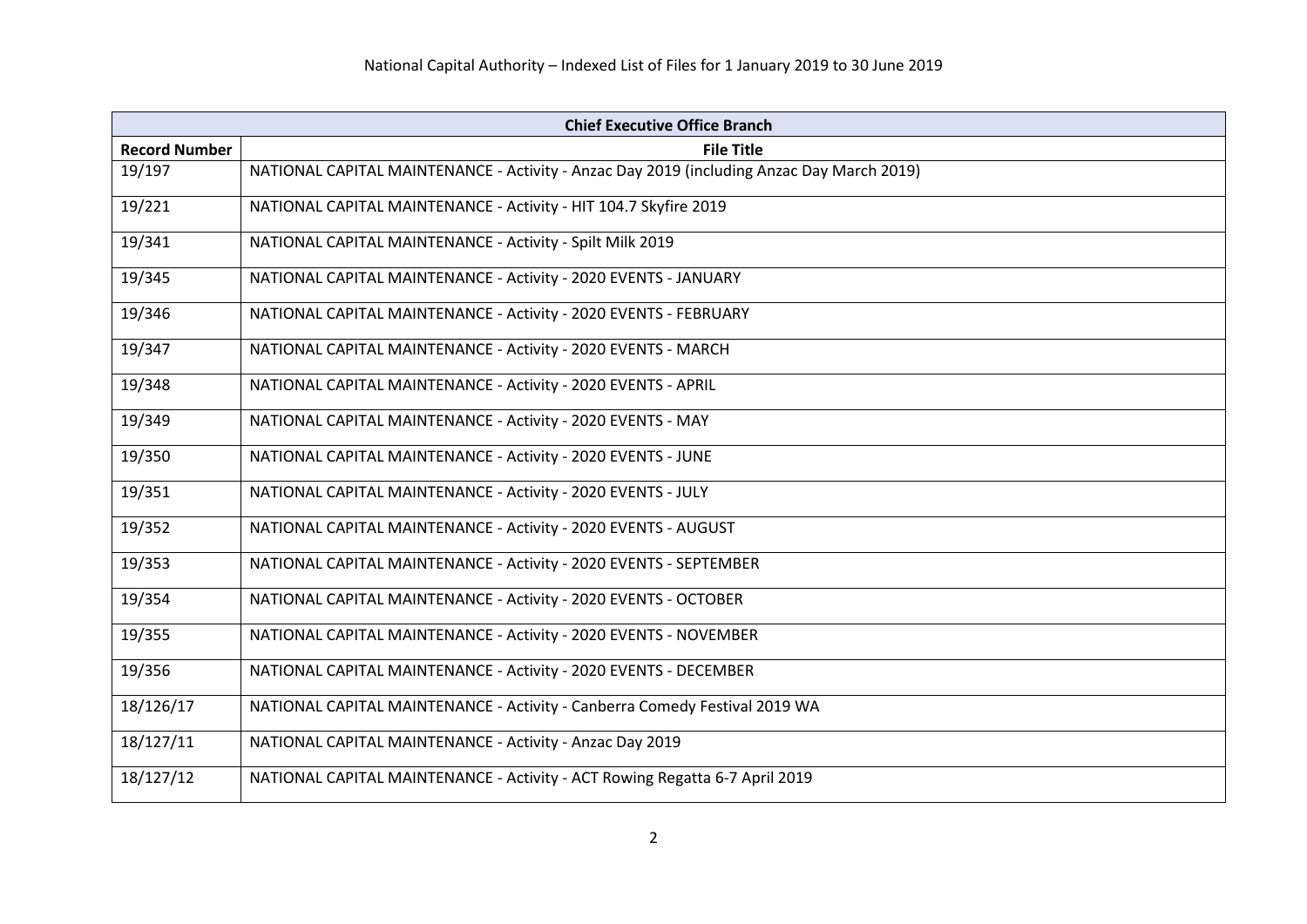|                      | <b>Chief Executive Office Branch</b>                                                      |  |
|----------------------|-------------------------------------------------------------------------------------------|--|
| <b>Record Number</b> | <b>File Title</b>                                                                         |  |
| 19/197               | NATIONAL CAPITAL MAINTENANCE - Activity - Anzac Day 2019 (including Anzac Day March 2019) |  |
| 19/221               | NATIONAL CAPITAL MAINTENANCE - Activity - HIT 104.7 Skyfire 2019                          |  |
| 19/341               | NATIONAL CAPITAL MAINTENANCE - Activity - Spilt Milk 2019                                 |  |
| 19/345               | NATIONAL CAPITAL MAINTENANCE - Activity - 2020 EVENTS - JANUARY                           |  |
| 19/346               | NATIONAL CAPITAL MAINTENANCE - Activity - 2020 EVENTS - FEBRUARY                          |  |
| 19/347               | NATIONAL CAPITAL MAINTENANCE - Activity - 2020 EVENTS - MARCH                             |  |
| 19/348               | NATIONAL CAPITAL MAINTENANCE - Activity - 2020 EVENTS - APRIL                             |  |
| 19/349               | NATIONAL CAPITAL MAINTENANCE - Activity - 2020 EVENTS - MAY                               |  |
| 19/350               | NATIONAL CAPITAL MAINTENANCE - Activity - 2020 EVENTS - JUNE                              |  |
| 19/351               | NATIONAL CAPITAL MAINTENANCE - Activity - 2020 EVENTS - JULY                              |  |
| 19/352               | NATIONAL CAPITAL MAINTENANCE - Activity - 2020 EVENTS - AUGUST                            |  |
| 19/353               | NATIONAL CAPITAL MAINTENANCE - Activity - 2020 EVENTS - SEPTEMBER                         |  |
| 19/354               | NATIONAL CAPITAL MAINTENANCE - Activity - 2020 EVENTS - OCTOBER                           |  |
| 19/355               | NATIONAL CAPITAL MAINTENANCE - Activity - 2020 EVENTS - NOVEMBER                          |  |
| 19/356               | NATIONAL CAPITAL MAINTENANCE - Activity - 2020 EVENTS - DECEMBER                          |  |
| 18/126/17            | NATIONAL CAPITAL MAINTENANCE - Activity - Canberra Comedy Festival 2019 WA                |  |
| 18/127/11            | NATIONAL CAPITAL MAINTENANCE - Activity - Anzac Day 2019                                  |  |
| 18/127/12            | NATIONAL CAPITAL MAINTENANCE - Activity - ACT Rowing Regatta 6-7 April 2019               |  |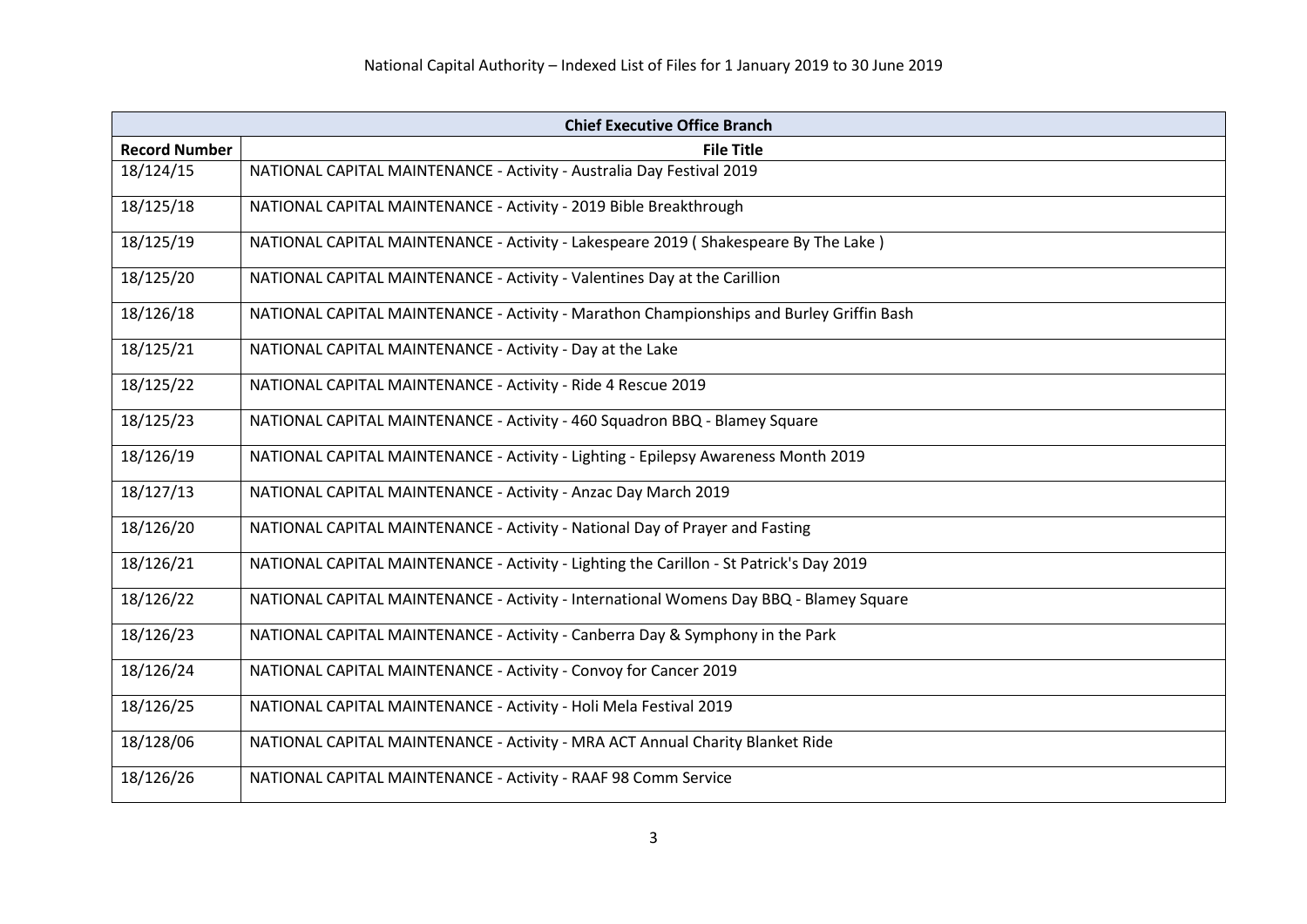| <b>Chief Executive Office Branch</b> |                                                                                          |
|--------------------------------------|------------------------------------------------------------------------------------------|
| <b>Record Number</b>                 | <b>File Title</b>                                                                        |
| 18/124/15                            | NATIONAL CAPITAL MAINTENANCE - Activity - Australia Day Festival 2019                    |
| 18/125/18                            | NATIONAL CAPITAL MAINTENANCE - Activity - 2019 Bible Breakthrough                        |
| 18/125/19                            | NATIONAL CAPITAL MAINTENANCE - Activity - Lakespeare 2019 (Shakespeare By The Lake)      |
| 18/125/20                            | NATIONAL CAPITAL MAINTENANCE - Activity - Valentines Day at the Carillion                |
| 18/126/18                            | NATIONAL CAPITAL MAINTENANCE - Activity - Marathon Championships and Burley Griffin Bash |
| 18/125/21                            | NATIONAL CAPITAL MAINTENANCE - Activity - Day at the Lake                                |
| 18/125/22                            | NATIONAL CAPITAL MAINTENANCE - Activity - Ride 4 Rescue 2019                             |
| 18/125/23                            | NATIONAL CAPITAL MAINTENANCE - Activity - 460 Squadron BBQ - Blamey Square               |
| 18/126/19                            | NATIONAL CAPITAL MAINTENANCE - Activity - Lighting - Epilepsy Awareness Month 2019       |
| 18/127/13                            | NATIONAL CAPITAL MAINTENANCE - Activity - Anzac Day March 2019                           |
| 18/126/20                            | NATIONAL CAPITAL MAINTENANCE - Activity - National Day of Prayer and Fasting             |
| 18/126/21                            | NATIONAL CAPITAL MAINTENANCE - Activity - Lighting the Carillon - St Patrick's Day 2019  |
| 18/126/22                            | NATIONAL CAPITAL MAINTENANCE - Activity - International Womens Day BBQ - Blamey Square   |
| 18/126/23                            | NATIONAL CAPITAL MAINTENANCE - Activity - Canberra Day & Symphony in the Park            |
| 18/126/24                            | NATIONAL CAPITAL MAINTENANCE - Activity - Convoy for Cancer 2019                         |
| 18/126/25                            | NATIONAL CAPITAL MAINTENANCE - Activity - Holi Mela Festival 2019                        |
| 18/128/06                            | NATIONAL CAPITAL MAINTENANCE - Activity - MRA ACT Annual Charity Blanket Ride            |
| 18/126/26                            | NATIONAL CAPITAL MAINTENANCE - Activity - RAAF 98 Comm Service                           |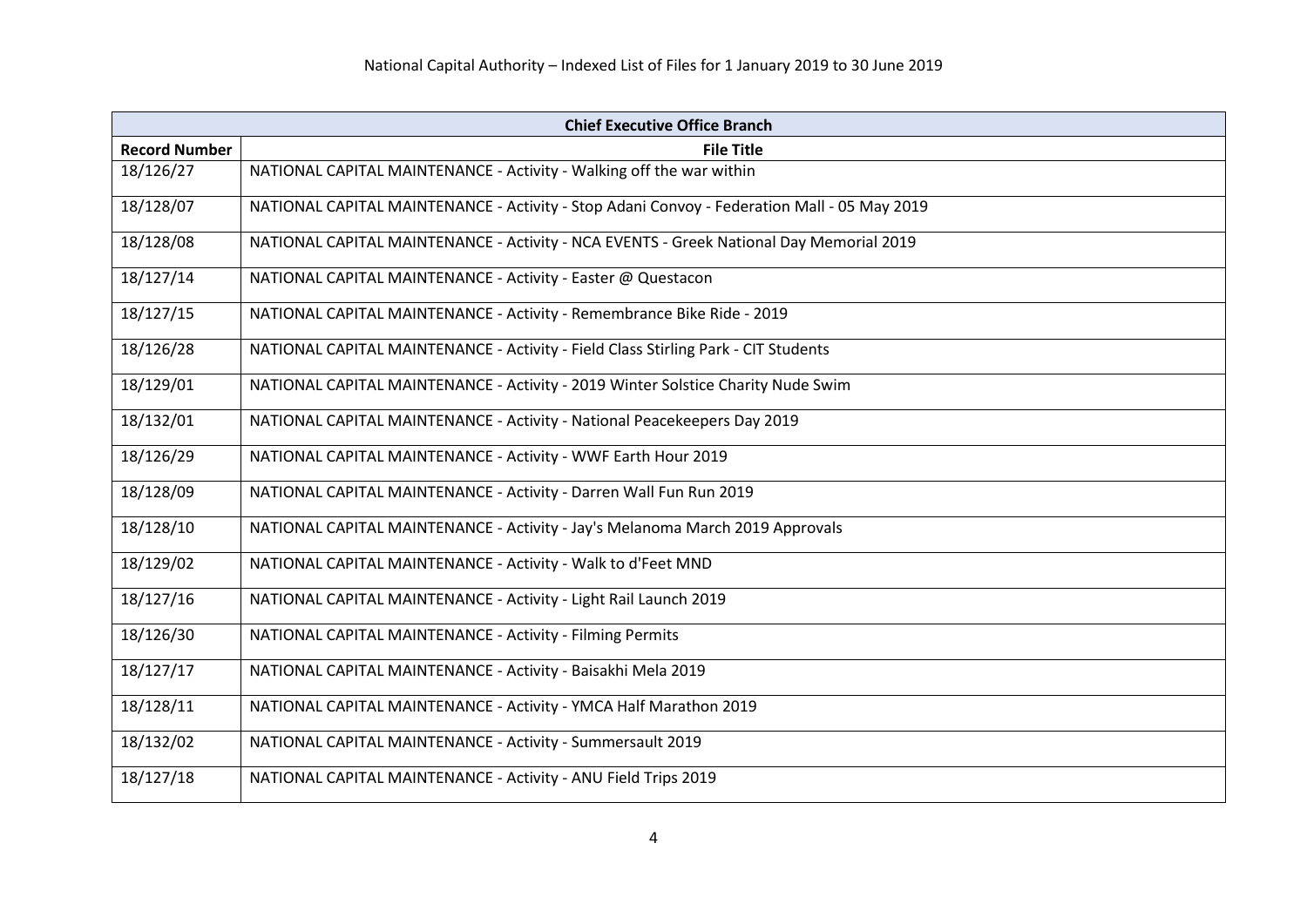| <b>Chief Executive Office Branch</b> |                                                                                             |
|--------------------------------------|---------------------------------------------------------------------------------------------|
| <b>Record Number</b>                 | <b>File Title</b>                                                                           |
| 18/126/27                            | NATIONAL CAPITAL MAINTENANCE - Activity - Walking off the war within                        |
| 18/128/07                            | NATIONAL CAPITAL MAINTENANCE - Activity - Stop Adani Convoy - Federation Mall - 05 May 2019 |
| 18/128/08                            | NATIONAL CAPITAL MAINTENANCE - Activity - NCA EVENTS - Greek National Day Memorial 2019     |
| 18/127/14                            | NATIONAL CAPITAL MAINTENANCE - Activity - Easter @ Questacon                                |
| 18/127/15                            | NATIONAL CAPITAL MAINTENANCE - Activity - Remembrance Bike Ride - 2019                      |
| 18/126/28                            | NATIONAL CAPITAL MAINTENANCE - Activity - Field Class Stirling Park - CIT Students          |
| 18/129/01                            | NATIONAL CAPITAL MAINTENANCE - Activity - 2019 Winter Solstice Charity Nude Swim            |
| 18/132/01                            | NATIONAL CAPITAL MAINTENANCE - Activity - National Peacekeepers Day 2019                    |
| 18/126/29                            | NATIONAL CAPITAL MAINTENANCE - Activity - WWF Earth Hour 2019                               |
| 18/128/09                            | NATIONAL CAPITAL MAINTENANCE - Activity - Darren Wall Fun Run 2019                          |
| 18/128/10                            | NATIONAL CAPITAL MAINTENANCE - Activity - Jay's Melanoma March 2019 Approvals               |
| 18/129/02                            | NATIONAL CAPITAL MAINTENANCE - Activity - Walk to d'Feet MND                                |
| 18/127/16                            | NATIONAL CAPITAL MAINTENANCE - Activity - Light Rail Launch 2019                            |
| 18/126/30                            | NATIONAL CAPITAL MAINTENANCE - Activity - Filming Permits                                   |
| 18/127/17                            | NATIONAL CAPITAL MAINTENANCE - Activity - Baisakhi Mela 2019                                |
| 18/128/11                            | NATIONAL CAPITAL MAINTENANCE - Activity - YMCA Half Marathon 2019                           |
| 18/132/02                            | NATIONAL CAPITAL MAINTENANCE - Activity - Summersault 2019                                  |
| 18/127/18                            | NATIONAL CAPITAL MAINTENANCE - Activity - ANU Field Trips 2019                              |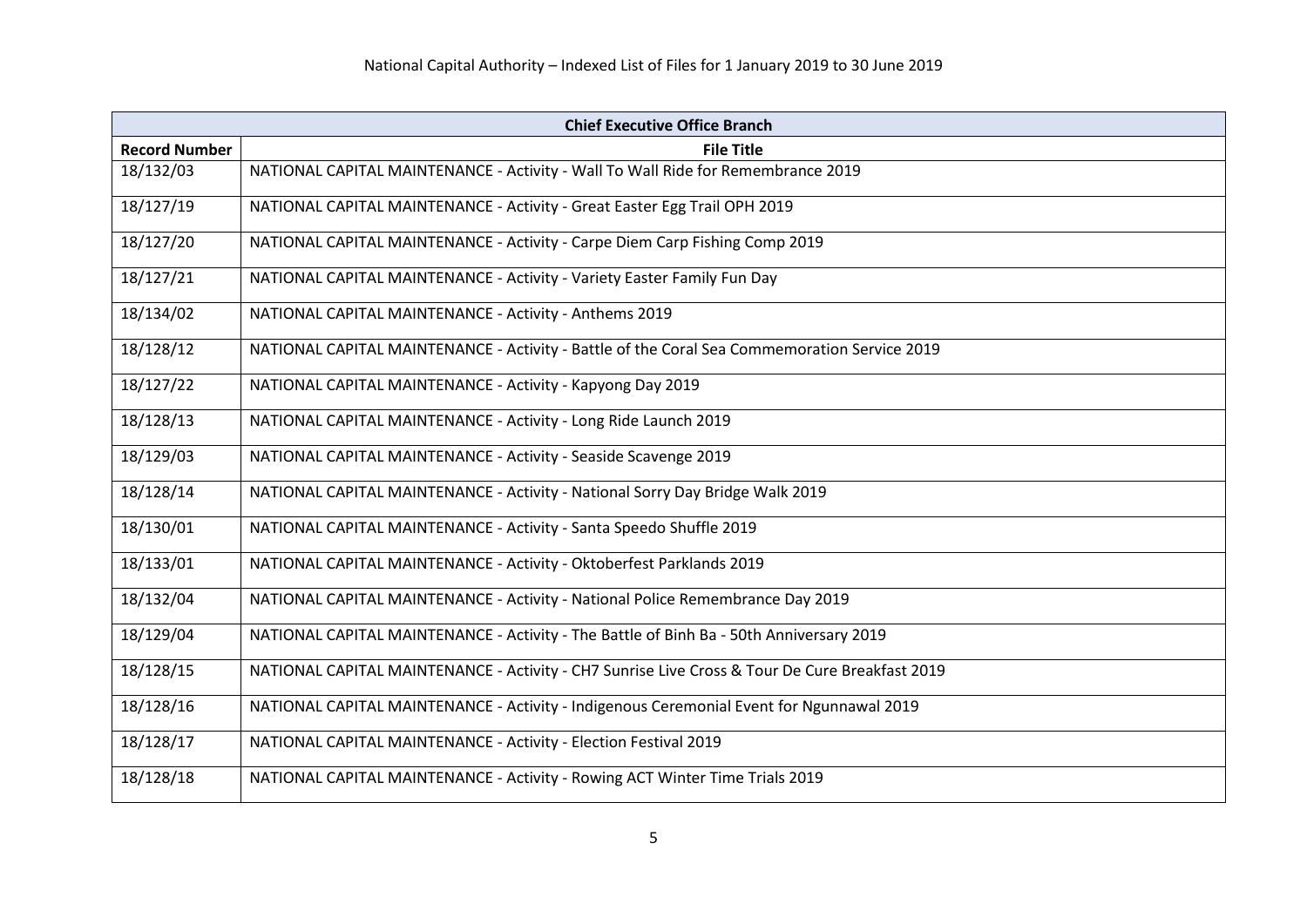| <b>Chief Executive Office Branch</b> |                                                                                                |
|--------------------------------------|------------------------------------------------------------------------------------------------|
| <b>Record Number</b>                 | <b>File Title</b>                                                                              |
| 18/132/03                            | NATIONAL CAPITAL MAINTENANCE - Activity - Wall To Wall Ride for Remembrance 2019               |
| 18/127/19                            | NATIONAL CAPITAL MAINTENANCE - Activity - Great Easter Egg Trail OPH 2019                      |
| 18/127/20                            | NATIONAL CAPITAL MAINTENANCE - Activity - Carpe Diem Carp Fishing Comp 2019                    |
| 18/127/21                            | NATIONAL CAPITAL MAINTENANCE - Activity - Variety Easter Family Fun Day                        |
| 18/134/02                            | NATIONAL CAPITAL MAINTENANCE - Activity - Anthems 2019                                         |
| 18/128/12                            | NATIONAL CAPITAL MAINTENANCE - Activity - Battle of the Coral Sea Commemoration Service 2019   |
| 18/127/22                            | NATIONAL CAPITAL MAINTENANCE - Activity - Kapyong Day 2019                                     |
| 18/128/13                            | NATIONAL CAPITAL MAINTENANCE - Activity - Long Ride Launch 2019                                |
| 18/129/03                            | NATIONAL CAPITAL MAINTENANCE - Activity - Seaside Scavenge 2019                                |
| 18/128/14                            | NATIONAL CAPITAL MAINTENANCE - Activity - National Sorry Day Bridge Walk 2019                  |
| 18/130/01                            | NATIONAL CAPITAL MAINTENANCE - Activity - Santa Speedo Shuffle 2019                            |
| 18/133/01                            | NATIONAL CAPITAL MAINTENANCE - Activity - Oktoberfest Parklands 2019                           |
| 18/132/04                            | NATIONAL CAPITAL MAINTENANCE - Activity - National Police Remembrance Day 2019                 |
| 18/129/04                            | NATIONAL CAPITAL MAINTENANCE - Activity - The Battle of Binh Ba - 50th Anniversary 2019        |
| 18/128/15                            | NATIONAL CAPITAL MAINTENANCE - Activity - CH7 Sunrise Live Cross & Tour De Cure Breakfast 2019 |
| 18/128/16                            | NATIONAL CAPITAL MAINTENANCE - Activity - Indigenous Ceremonial Event for Ngunnawal 2019       |
| 18/128/17                            | NATIONAL CAPITAL MAINTENANCE - Activity - Election Festival 2019                               |
| 18/128/18                            | NATIONAL CAPITAL MAINTENANCE - Activity - Rowing ACT Winter Time Trials 2019                   |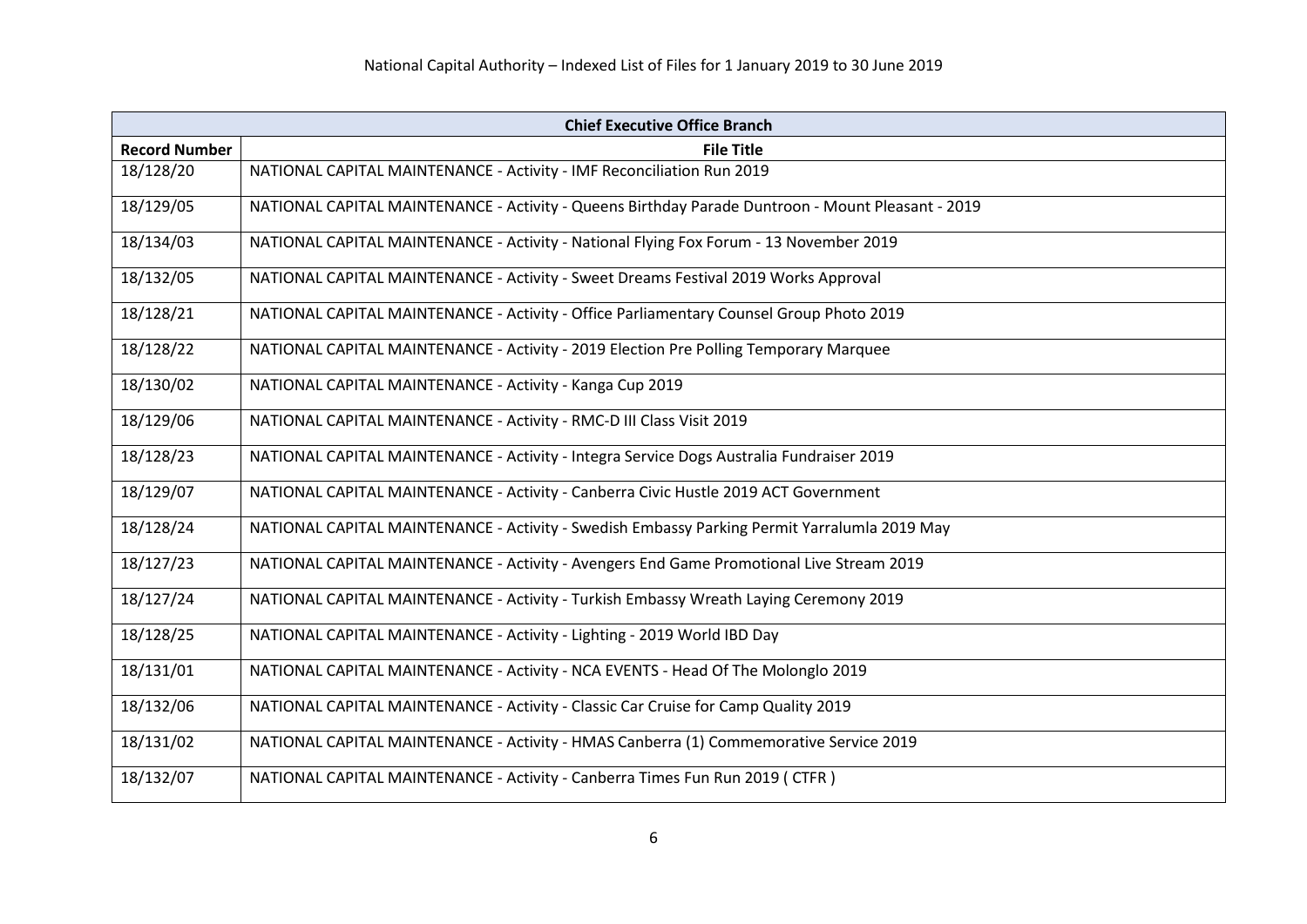| <b>Chief Executive Office Branch</b> |                                                                                                   |
|--------------------------------------|---------------------------------------------------------------------------------------------------|
| <b>Record Number</b>                 | <b>File Title</b>                                                                                 |
| 18/128/20                            | NATIONAL CAPITAL MAINTENANCE - Activity - IMF Reconciliation Run 2019                             |
| 18/129/05                            | NATIONAL CAPITAL MAINTENANCE - Activity - Queens Birthday Parade Duntroon - Mount Pleasant - 2019 |
| 18/134/03                            | NATIONAL CAPITAL MAINTENANCE - Activity - National Flying Fox Forum - 13 November 2019            |
| 18/132/05                            | NATIONAL CAPITAL MAINTENANCE - Activity - Sweet Dreams Festival 2019 Works Approval               |
| 18/128/21                            | NATIONAL CAPITAL MAINTENANCE - Activity - Office Parliamentary Counsel Group Photo 2019           |
| 18/128/22                            | NATIONAL CAPITAL MAINTENANCE - Activity - 2019 Election Pre Polling Temporary Marquee             |
| 18/130/02                            | NATIONAL CAPITAL MAINTENANCE - Activity - Kanga Cup 2019                                          |
| 18/129/06                            | NATIONAL CAPITAL MAINTENANCE - Activity - RMC-D III Class Visit 2019                              |
| 18/128/23                            | NATIONAL CAPITAL MAINTENANCE - Activity - Integra Service Dogs Australia Fundraiser 2019          |
| 18/129/07                            | NATIONAL CAPITAL MAINTENANCE - Activity - Canberra Civic Hustle 2019 ACT Government               |
| 18/128/24                            | NATIONAL CAPITAL MAINTENANCE - Activity - Swedish Embassy Parking Permit Yarralumla 2019 May      |
| 18/127/23                            | NATIONAL CAPITAL MAINTENANCE - Activity - Avengers End Game Promotional Live Stream 2019          |
| 18/127/24                            | NATIONAL CAPITAL MAINTENANCE - Activity - Turkish Embassy Wreath Laying Ceremony 2019             |
| 18/128/25                            | NATIONAL CAPITAL MAINTENANCE - Activity - Lighting - 2019 World IBD Day                           |
| 18/131/01                            | NATIONAL CAPITAL MAINTENANCE - Activity - NCA EVENTS - Head Of The Molonglo 2019                  |
| 18/132/06                            | NATIONAL CAPITAL MAINTENANCE - Activity - Classic Car Cruise for Camp Quality 2019                |
| 18/131/02                            | NATIONAL CAPITAL MAINTENANCE - Activity - HMAS Canberra (1) Commemorative Service 2019            |
| 18/132/07                            | NATIONAL CAPITAL MAINTENANCE - Activity - Canberra Times Fun Run 2019 (CTFR)                      |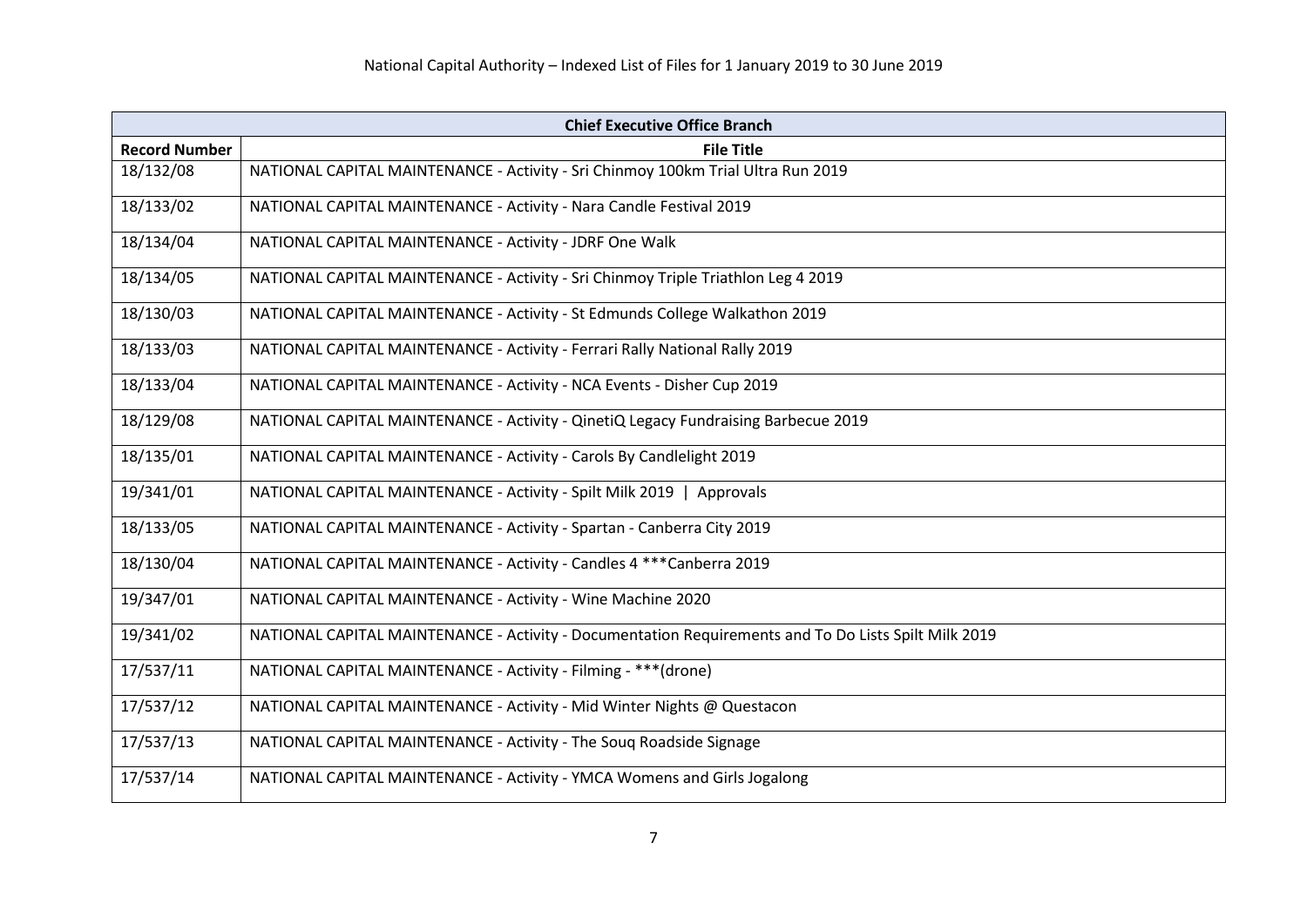| <b>Chief Executive Office Branch</b> |                                                                                                      |
|--------------------------------------|------------------------------------------------------------------------------------------------------|
| <b>Record Number</b>                 | <b>File Title</b>                                                                                    |
| 18/132/08                            | NATIONAL CAPITAL MAINTENANCE - Activity - Sri Chinmoy 100km Trial Ultra Run 2019                     |
| 18/133/02                            | NATIONAL CAPITAL MAINTENANCE - Activity - Nara Candle Festival 2019                                  |
| 18/134/04                            | NATIONAL CAPITAL MAINTENANCE - Activity - JDRF One Walk                                              |
| 18/134/05                            | NATIONAL CAPITAL MAINTENANCE - Activity - Sri Chinmoy Triple Triathlon Leg 4 2019                    |
| 18/130/03                            | NATIONAL CAPITAL MAINTENANCE - Activity - St Edmunds College Walkathon 2019                          |
| 18/133/03                            | NATIONAL CAPITAL MAINTENANCE - Activity - Ferrari Rally National Rally 2019                          |
| 18/133/04                            | NATIONAL CAPITAL MAINTENANCE - Activity - NCA Events - Disher Cup 2019                               |
| 18/129/08                            | NATIONAL CAPITAL MAINTENANCE - Activity - QinetiQ Legacy Fundraising Barbecue 2019                   |
| 18/135/01                            | NATIONAL CAPITAL MAINTENANCE - Activity - Carols By Candlelight 2019                                 |
| 19/341/01                            | NATIONAL CAPITAL MAINTENANCE - Activity - Spilt Milk 2019   Approvals                                |
| 18/133/05                            | NATIONAL CAPITAL MAINTENANCE - Activity - Spartan - Canberra City 2019                               |
| 18/130/04                            | NATIONAL CAPITAL MAINTENANCE - Activity - Candles 4 *** Canberra 2019                                |
| 19/347/01                            | NATIONAL CAPITAL MAINTENANCE - Activity - Wine Machine 2020                                          |
| 19/341/02                            | NATIONAL CAPITAL MAINTENANCE - Activity - Documentation Requirements and To Do Lists Spilt Milk 2019 |
| 17/537/11                            | NATIONAL CAPITAL MAINTENANCE - Activity - Filming - *** (drone)                                      |
| 17/537/12                            | NATIONAL CAPITAL MAINTENANCE - Activity - Mid Winter Nights @ Questacon                              |
| 17/537/13                            | NATIONAL CAPITAL MAINTENANCE - Activity - The Soug Roadside Signage                                  |
| 17/537/14                            | NATIONAL CAPITAL MAINTENANCE - Activity - YMCA Womens and Girls Jogalong                             |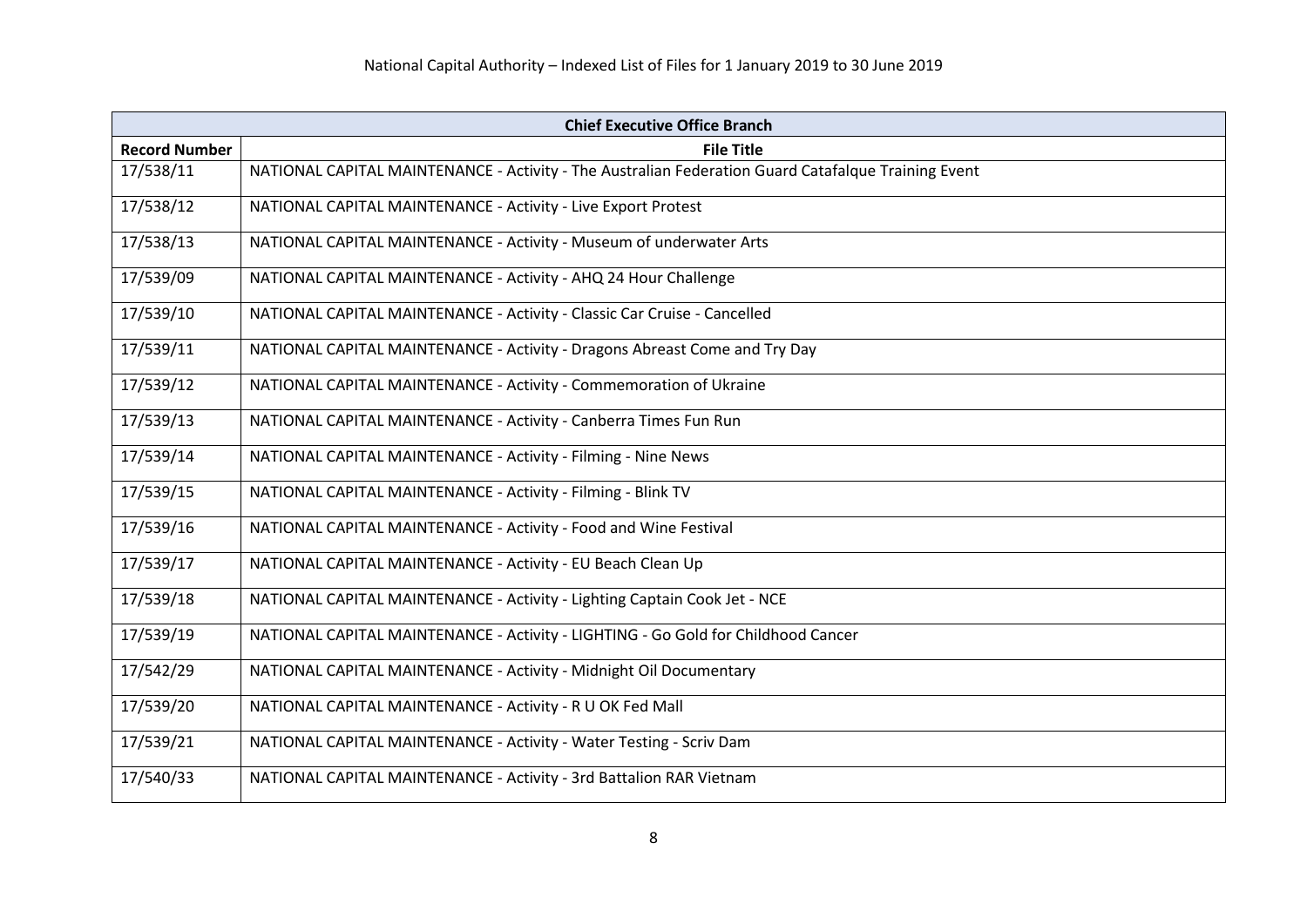| <b>Chief Executive Office Branch</b> |                                                                                                     |
|--------------------------------------|-----------------------------------------------------------------------------------------------------|
| <b>Record Number</b>                 | <b>File Title</b>                                                                                   |
| 17/538/11                            | NATIONAL CAPITAL MAINTENANCE - Activity - The Australian Federation Guard Catafalque Training Event |
| 17/538/12                            | NATIONAL CAPITAL MAINTENANCE - Activity - Live Export Protest                                       |
| 17/538/13                            | NATIONAL CAPITAL MAINTENANCE - Activity - Museum of underwater Arts                                 |
| 17/539/09                            | NATIONAL CAPITAL MAINTENANCE - Activity - AHQ 24 Hour Challenge                                     |
| 17/539/10                            | NATIONAL CAPITAL MAINTENANCE - Activity - Classic Car Cruise - Cancelled                            |
| 17/539/11                            | NATIONAL CAPITAL MAINTENANCE - Activity - Dragons Abreast Come and Try Day                          |
| 17/539/12                            | NATIONAL CAPITAL MAINTENANCE - Activity - Commemoration of Ukraine                                  |
| 17/539/13                            | NATIONAL CAPITAL MAINTENANCE - Activity - Canberra Times Fun Run                                    |
| 17/539/14                            | NATIONAL CAPITAL MAINTENANCE - Activity - Filming - Nine News                                       |
| 17/539/15                            | NATIONAL CAPITAL MAINTENANCE - Activity - Filming - Blink TV                                        |
| 17/539/16                            | NATIONAL CAPITAL MAINTENANCE - Activity - Food and Wine Festival                                    |
| 17/539/17                            | NATIONAL CAPITAL MAINTENANCE - Activity - EU Beach Clean Up                                         |
| 17/539/18                            | NATIONAL CAPITAL MAINTENANCE - Activity - Lighting Captain Cook Jet - NCE                           |
| 17/539/19                            | NATIONAL CAPITAL MAINTENANCE - Activity - LIGHTING - Go Gold for Childhood Cancer                   |
| 17/542/29                            | NATIONAL CAPITAL MAINTENANCE - Activity - Midnight Oil Documentary                                  |
| 17/539/20                            | NATIONAL CAPITAL MAINTENANCE - Activity - R U OK Fed Mall                                           |
| 17/539/21                            | NATIONAL CAPITAL MAINTENANCE - Activity - Water Testing - Scriv Dam                                 |
| 17/540/33                            | NATIONAL CAPITAL MAINTENANCE - Activity - 3rd Battalion RAR Vietnam                                 |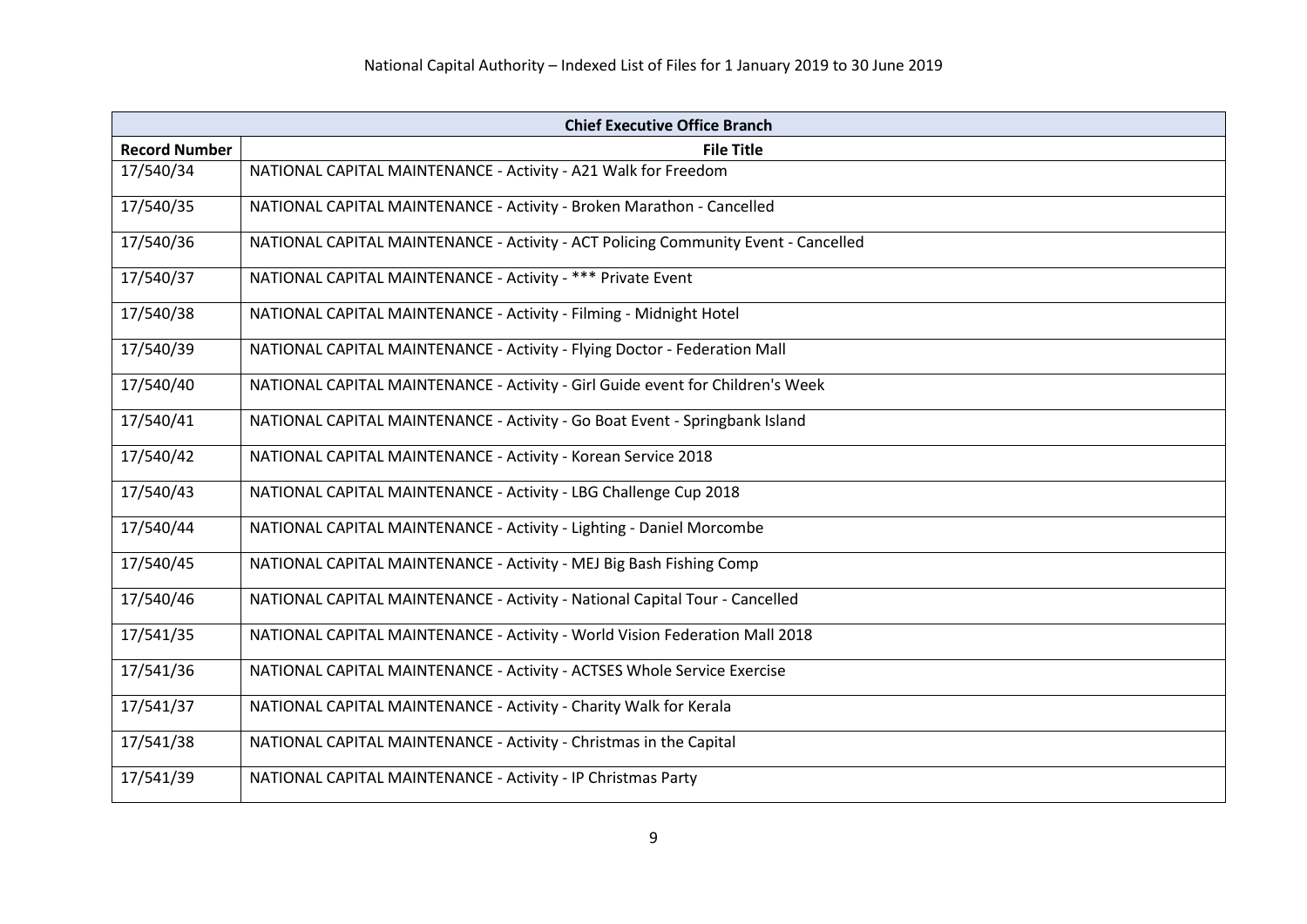| <b>Chief Executive Office Branch</b> |                                                                                    |
|--------------------------------------|------------------------------------------------------------------------------------|
| <b>Record Number</b>                 | <b>File Title</b>                                                                  |
| 17/540/34                            | NATIONAL CAPITAL MAINTENANCE - Activity - A21 Walk for Freedom                     |
| 17/540/35                            | NATIONAL CAPITAL MAINTENANCE - Activity - Broken Marathon - Cancelled              |
| 17/540/36                            | NATIONAL CAPITAL MAINTENANCE - Activity - ACT Policing Community Event - Cancelled |
| 17/540/37                            | NATIONAL CAPITAL MAINTENANCE - Activity - *** Private Event                        |
| 17/540/38                            | NATIONAL CAPITAL MAINTENANCE - Activity - Filming - Midnight Hotel                 |
| 17/540/39                            | NATIONAL CAPITAL MAINTENANCE - Activity - Flying Doctor - Federation Mall          |
| 17/540/40                            | NATIONAL CAPITAL MAINTENANCE - Activity - Girl Guide event for Children's Week     |
| 17/540/41                            | NATIONAL CAPITAL MAINTENANCE - Activity - Go Boat Event - Springbank Island        |
| 17/540/42                            | NATIONAL CAPITAL MAINTENANCE - Activity - Korean Service 2018                      |
| 17/540/43                            | NATIONAL CAPITAL MAINTENANCE - Activity - LBG Challenge Cup 2018                   |
| 17/540/44                            | NATIONAL CAPITAL MAINTENANCE - Activity - Lighting - Daniel Morcombe               |
| 17/540/45                            | NATIONAL CAPITAL MAINTENANCE - Activity - MEJ Big Bash Fishing Comp                |
| 17/540/46                            | NATIONAL CAPITAL MAINTENANCE - Activity - National Capital Tour - Cancelled        |
| 17/541/35                            | NATIONAL CAPITAL MAINTENANCE - Activity - World Vision Federation Mall 2018        |
| 17/541/36                            | NATIONAL CAPITAL MAINTENANCE - Activity - ACTSES Whole Service Exercise            |
| 17/541/37                            | NATIONAL CAPITAL MAINTENANCE - Activity - Charity Walk for Kerala                  |
| 17/541/38                            | NATIONAL CAPITAL MAINTENANCE - Activity - Christmas in the Capital                 |
| 17/541/39                            | NATIONAL CAPITAL MAINTENANCE - Activity - IP Christmas Party                       |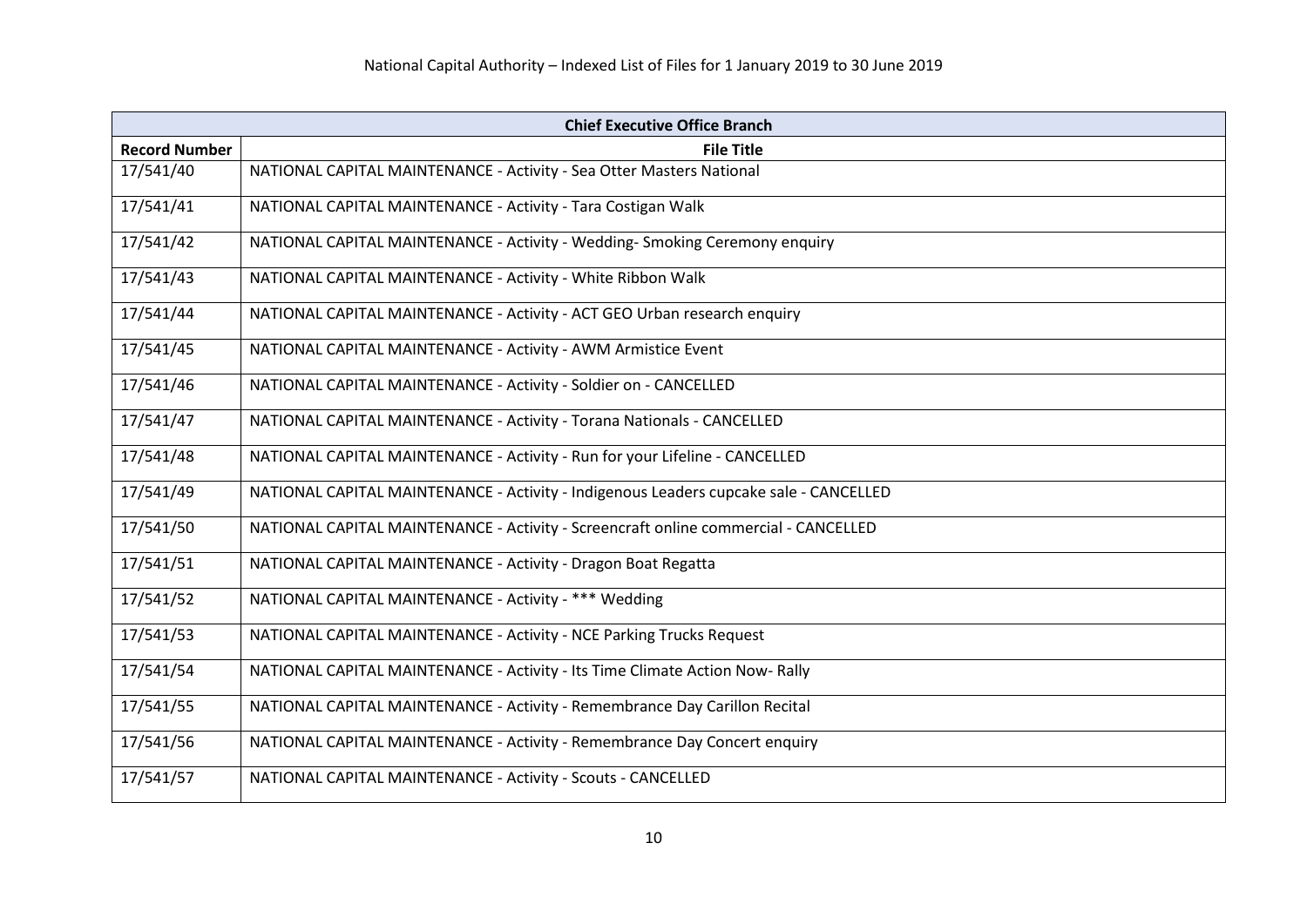| <b>Chief Executive Office Branch</b> |                                                                                       |
|--------------------------------------|---------------------------------------------------------------------------------------|
| <b>Record Number</b>                 | <b>File Title</b>                                                                     |
| 17/541/40                            | NATIONAL CAPITAL MAINTENANCE - Activity - Sea Otter Masters National                  |
| 17/541/41                            | NATIONAL CAPITAL MAINTENANCE - Activity - Tara Costigan Walk                          |
| 17/541/42                            | NATIONAL CAPITAL MAINTENANCE - Activity - Wedding- Smoking Ceremony enquiry           |
| 17/541/43                            | NATIONAL CAPITAL MAINTENANCE - Activity - White Ribbon Walk                           |
| 17/541/44                            | NATIONAL CAPITAL MAINTENANCE - Activity - ACT GEO Urban research enquiry              |
| 17/541/45                            | NATIONAL CAPITAL MAINTENANCE - Activity - AWM Armistice Event                         |
| 17/541/46                            | NATIONAL CAPITAL MAINTENANCE - Activity - Soldier on - CANCELLED                      |
| 17/541/47                            | NATIONAL CAPITAL MAINTENANCE - Activity - Torana Nationals - CANCELLED                |
| 17/541/48                            | NATIONAL CAPITAL MAINTENANCE - Activity - Run for your Lifeline - CANCELLED           |
| 17/541/49                            | NATIONAL CAPITAL MAINTENANCE - Activity - Indigenous Leaders cupcake sale - CANCELLED |
| 17/541/50                            | NATIONAL CAPITAL MAINTENANCE - Activity - Screencraft online commercial - CANCELLED   |
| 17/541/51                            | NATIONAL CAPITAL MAINTENANCE - Activity - Dragon Boat Regatta                         |
| 17/541/52                            | NATIONAL CAPITAL MAINTENANCE - Activity - *** Wedding                                 |
| 17/541/53                            | NATIONAL CAPITAL MAINTENANCE - Activity - NCE Parking Trucks Request                  |
| 17/541/54                            | NATIONAL CAPITAL MAINTENANCE - Activity - Its Time Climate Action Now-Rally           |
| 17/541/55                            | NATIONAL CAPITAL MAINTENANCE - Activity - Remembrance Day Carillon Recital            |
| 17/541/56                            | NATIONAL CAPITAL MAINTENANCE - Activity - Remembrance Day Concert enquiry             |
| 17/541/57                            | NATIONAL CAPITAL MAINTENANCE - Activity - Scouts - CANCELLED                          |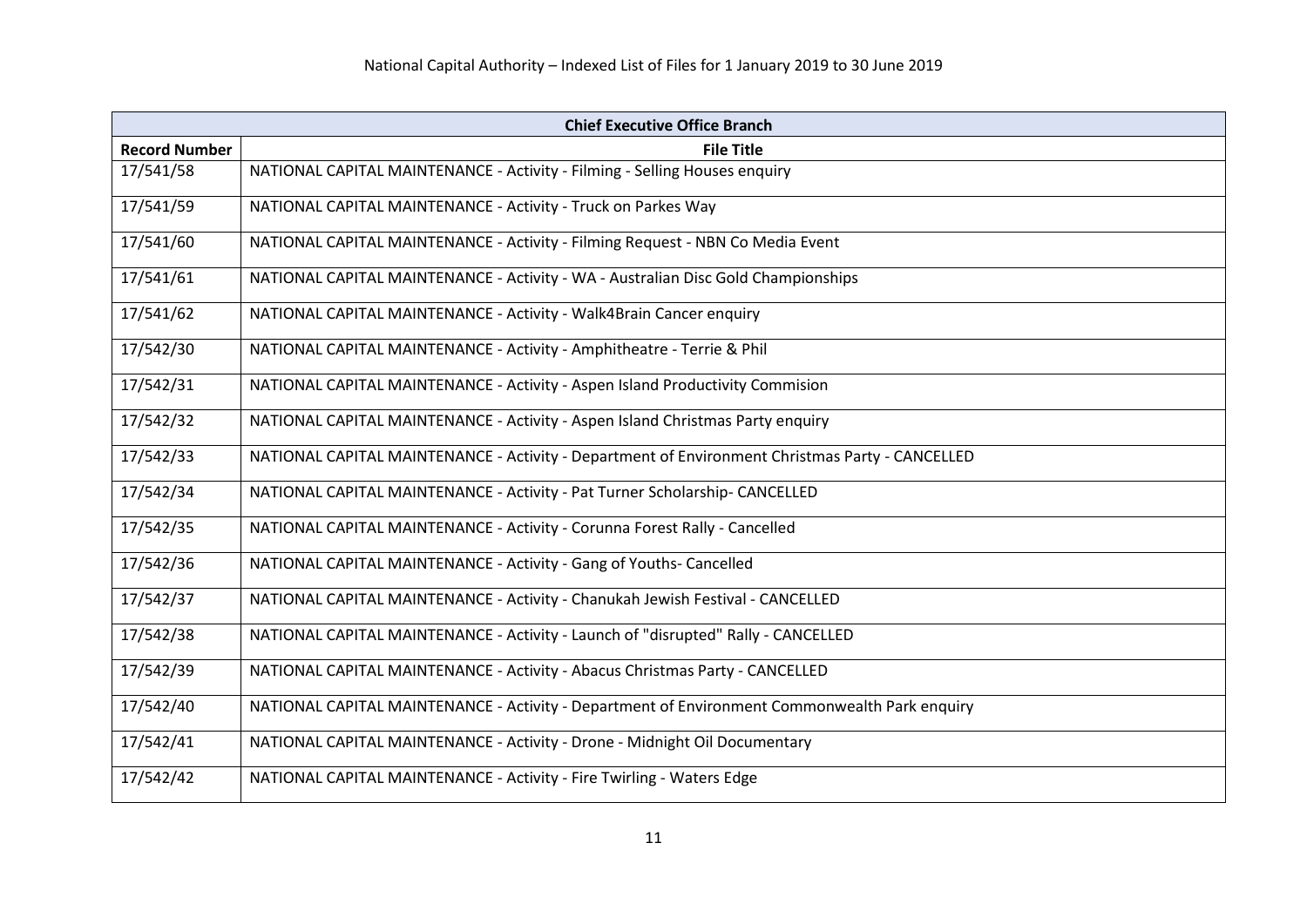| <b>Chief Executive Office Branch</b> |                                                                                                 |
|--------------------------------------|-------------------------------------------------------------------------------------------------|
| <b>Record Number</b>                 | <b>File Title</b>                                                                               |
| 17/541/58                            | NATIONAL CAPITAL MAINTENANCE - Activity - Filming - Selling Houses enquiry                      |
| 17/541/59                            | NATIONAL CAPITAL MAINTENANCE - Activity - Truck on Parkes Way                                   |
| 17/541/60                            | NATIONAL CAPITAL MAINTENANCE - Activity - Filming Request - NBN Co Media Event                  |
| 17/541/61                            | NATIONAL CAPITAL MAINTENANCE - Activity - WA - Australian Disc Gold Championships               |
| 17/541/62                            | NATIONAL CAPITAL MAINTENANCE - Activity - Walk4Brain Cancer enquiry                             |
| 17/542/30                            | NATIONAL CAPITAL MAINTENANCE - Activity - Amphitheatre - Terrie & Phil                          |
| 17/542/31                            | NATIONAL CAPITAL MAINTENANCE - Activity - Aspen Island Productivity Commision                   |
| 17/542/32                            | NATIONAL CAPITAL MAINTENANCE - Activity - Aspen Island Christmas Party enquiry                  |
| 17/542/33                            | NATIONAL CAPITAL MAINTENANCE - Activity - Department of Environment Christmas Party - CANCELLED |
| 17/542/34                            | NATIONAL CAPITAL MAINTENANCE - Activity - Pat Turner Scholarship- CANCELLED                     |
| 17/542/35                            | NATIONAL CAPITAL MAINTENANCE - Activity - Corunna Forest Rally - Cancelled                      |
| 17/542/36                            | NATIONAL CAPITAL MAINTENANCE - Activity - Gang of Youths- Cancelled                             |
| 17/542/37                            | NATIONAL CAPITAL MAINTENANCE - Activity - Chanukah Jewish Festival - CANCELLED                  |
| 17/542/38                            | NATIONAL CAPITAL MAINTENANCE - Activity - Launch of "disrupted" Rally - CANCELLED               |
| 17/542/39                            | NATIONAL CAPITAL MAINTENANCE - Activity - Abacus Christmas Party - CANCELLED                    |
| 17/542/40                            | NATIONAL CAPITAL MAINTENANCE - Activity - Department of Environment Commonwealth Park enquiry   |
| 17/542/41                            | NATIONAL CAPITAL MAINTENANCE - Activity - Drone - Midnight Oil Documentary                      |
| 17/542/42                            | NATIONAL CAPITAL MAINTENANCE - Activity - Fire Twirling - Waters Edge                           |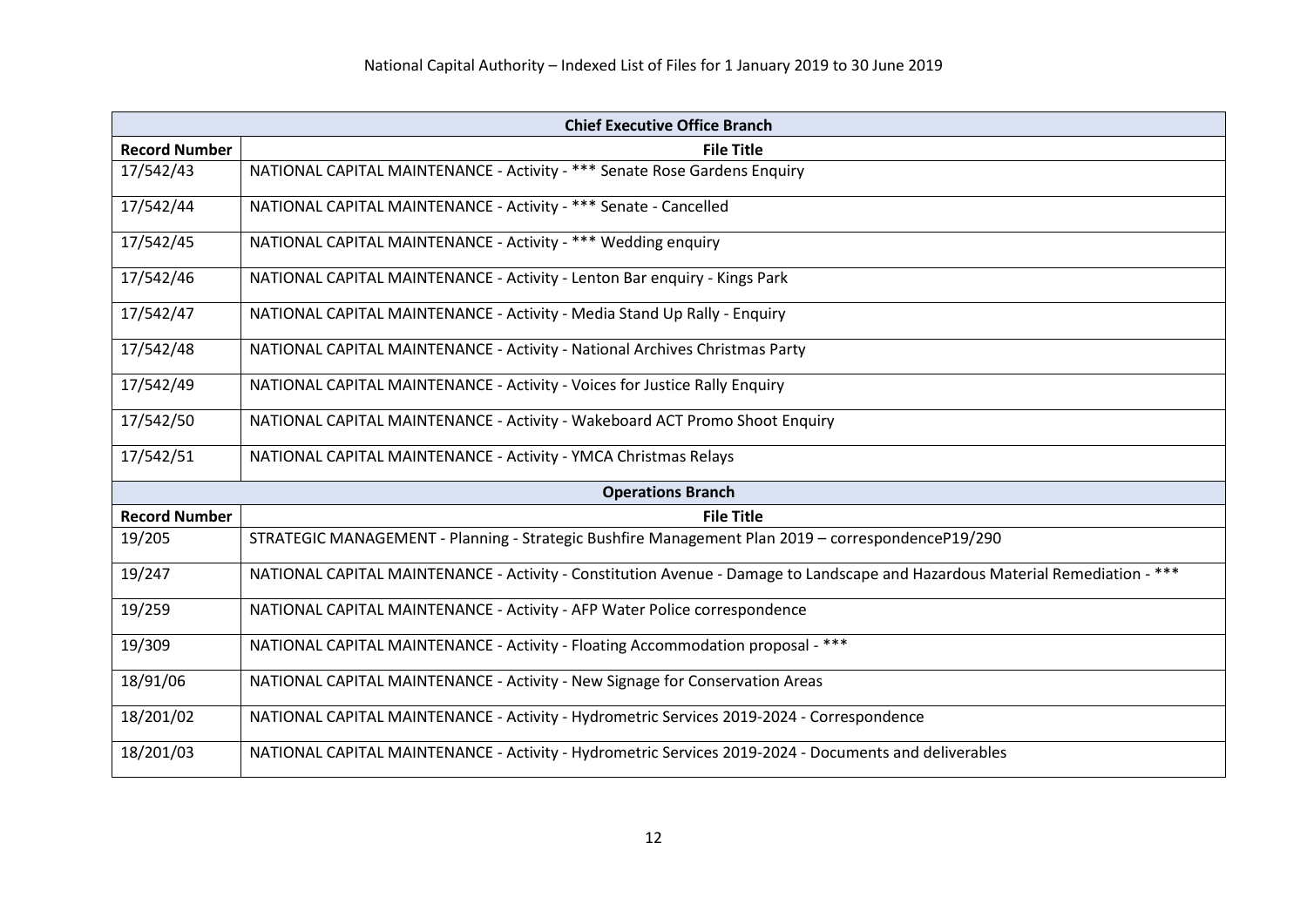| <b>Chief Executive Office Branch</b> |                                                                                                                              |
|--------------------------------------|------------------------------------------------------------------------------------------------------------------------------|
| <b>Record Number</b>                 | <b>File Title</b>                                                                                                            |
| 17/542/43                            | NATIONAL CAPITAL MAINTENANCE - Activity - *** Senate Rose Gardens Enquiry                                                    |
| 17/542/44                            | NATIONAL CAPITAL MAINTENANCE - Activity - *** Senate - Cancelled                                                             |
| 17/542/45                            | NATIONAL CAPITAL MAINTENANCE - Activity - *** Wedding enquiry                                                                |
| 17/542/46                            | NATIONAL CAPITAL MAINTENANCE - Activity - Lenton Bar enquiry - Kings Park                                                    |
| 17/542/47                            | NATIONAL CAPITAL MAINTENANCE - Activity - Media Stand Up Rally - Enquiry                                                     |
| 17/542/48                            | NATIONAL CAPITAL MAINTENANCE - Activity - National Archives Christmas Party                                                  |
| 17/542/49                            | NATIONAL CAPITAL MAINTENANCE - Activity - Voices for Justice Rally Enquiry                                                   |
| 17/542/50                            | NATIONAL CAPITAL MAINTENANCE - Activity - Wakeboard ACT Promo Shoot Enquiry                                                  |
| 17/542/51                            | NATIONAL CAPITAL MAINTENANCE - Activity - YMCA Christmas Relays                                                              |
|                                      | <b>Operations Branch</b>                                                                                                     |
| <b>Record Number</b>                 | <b>File Title</b>                                                                                                            |
| 19/205                               | STRATEGIC MANAGEMENT - Planning - Strategic Bushfire Management Plan 2019 - correspondenceP19/290                            |
| 19/247                               | NATIONAL CAPITAL MAINTENANCE - Activity - Constitution Avenue - Damage to Landscape and Hazardous Material Remediation - *** |
| 19/259                               | NATIONAL CAPITAL MAINTENANCE - Activity - AFP Water Police correspondence                                                    |
| 19/309                               | NATIONAL CAPITAL MAINTENANCE - Activity - Floating Accommodation proposal - ***                                              |
| 18/91/06                             | NATIONAL CAPITAL MAINTENANCE - Activity - New Signage for Conservation Areas                                                 |
| 18/201/02                            | NATIONAL CAPITAL MAINTENANCE - Activity - Hydrometric Services 2019-2024 - Correspondence                                    |
| 18/201/03                            | NATIONAL CAPITAL MAINTENANCE - Activity - Hydrometric Services 2019-2024 - Documents and deliverables                        |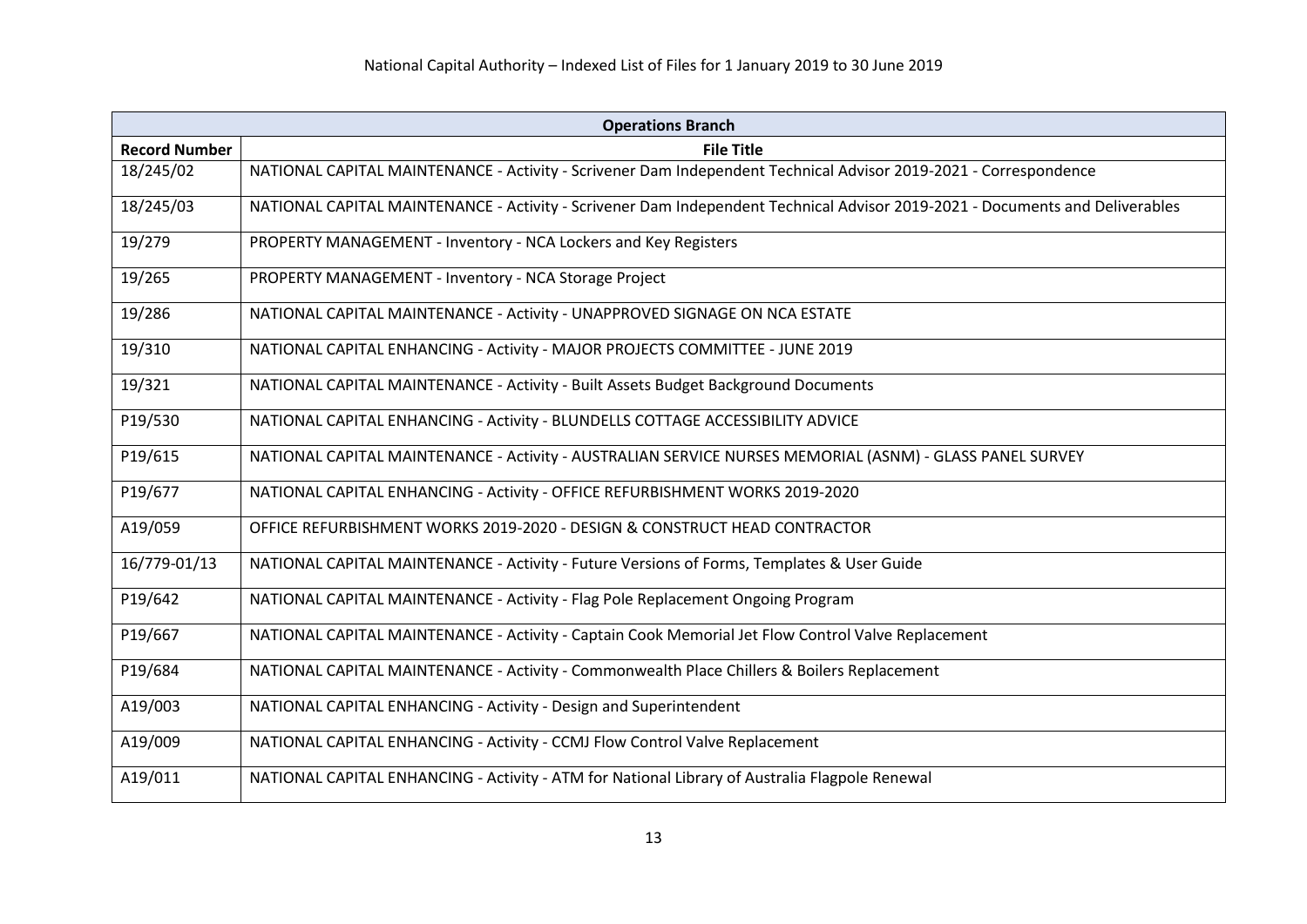| <b>Operations Branch</b> |                                                                                                                              |
|--------------------------|------------------------------------------------------------------------------------------------------------------------------|
| <b>Record Number</b>     | <b>File Title</b>                                                                                                            |
| 18/245/02                | NATIONAL CAPITAL MAINTENANCE - Activity - Scrivener Dam Independent Technical Advisor 2019-2021 - Correspondence             |
| 18/245/03                | NATIONAL CAPITAL MAINTENANCE - Activity - Scrivener Dam Independent Technical Advisor 2019-2021 - Documents and Deliverables |
| 19/279                   | PROPERTY MANAGEMENT - Inventory - NCA Lockers and Key Registers                                                              |
| 19/265                   | PROPERTY MANAGEMENT - Inventory - NCA Storage Project                                                                        |
| 19/286                   | NATIONAL CAPITAL MAINTENANCE - Activity - UNAPPROVED SIGNAGE ON NCA ESTATE                                                   |
| 19/310                   | NATIONAL CAPITAL ENHANCING - Activity - MAJOR PROJECTS COMMITTEE - JUNE 2019                                                 |
| 19/321                   | NATIONAL CAPITAL MAINTENANCE - Activity - Built Assets Budget Background Documents                                           |
| P19/530                  | NATIONAL CAPITAL ENHANCING - Activity - BLUNDELLS COTTAGE ACCESSIBILITY ADVICE                                               |
| P19/615                  | NATIONAL CAPITAL MAINTENANCE - Activity - AUSTRALIAN SERVICE NURSES MEMORIAL (ASNM) - GLASS PANEL SURVEY                     |
| P19/677                  | NATIONAL CAPITAL ENHANCING - Activity - OFFICE REFURBISHMENT WORKS 2019-2020                                                 |
| A19/059                  | OFFICE REFURBISHMENT WORKS 2019-2020 - DESIGN & CONSTRUCT HEAD CONTRACTOR                                                    |
| 16/779-01/13             | NATIONAL CAPITAL MAINTENANCE - Activity - Future Versions of Forms, Templates & User Guide                                   |
| P19/642                  | NATIONAL CAPITAL MAINTENANCE - Activity - Flag Pole Replacement Ongoing Program                                              |
| P19/667                  | NATIONAL CAPITAL MAINTENANCE - Activity - Captain Cook Memorial Jet Flow Control Valve Replacement                           |
| P19/684                  | NATIONAL CAPITAL MAINTENANCE - Activity - Commonwealth Place Chillers & Boilers Replacement                                  |
| A19/003                  | NATIONAL CAPITAL ENHANCING - Activity - Design and Superintendent                                                            |
| A19/009                  | NATIONAL CAPITAL ENHANCING - Activity - CCMJ Flow Control Valve Replacement                                                  |
| A19/011                  | NATIONAL CAPITAL ENHANCING - Activity - ATM for National Library of Australia Flagpole Renewal                               |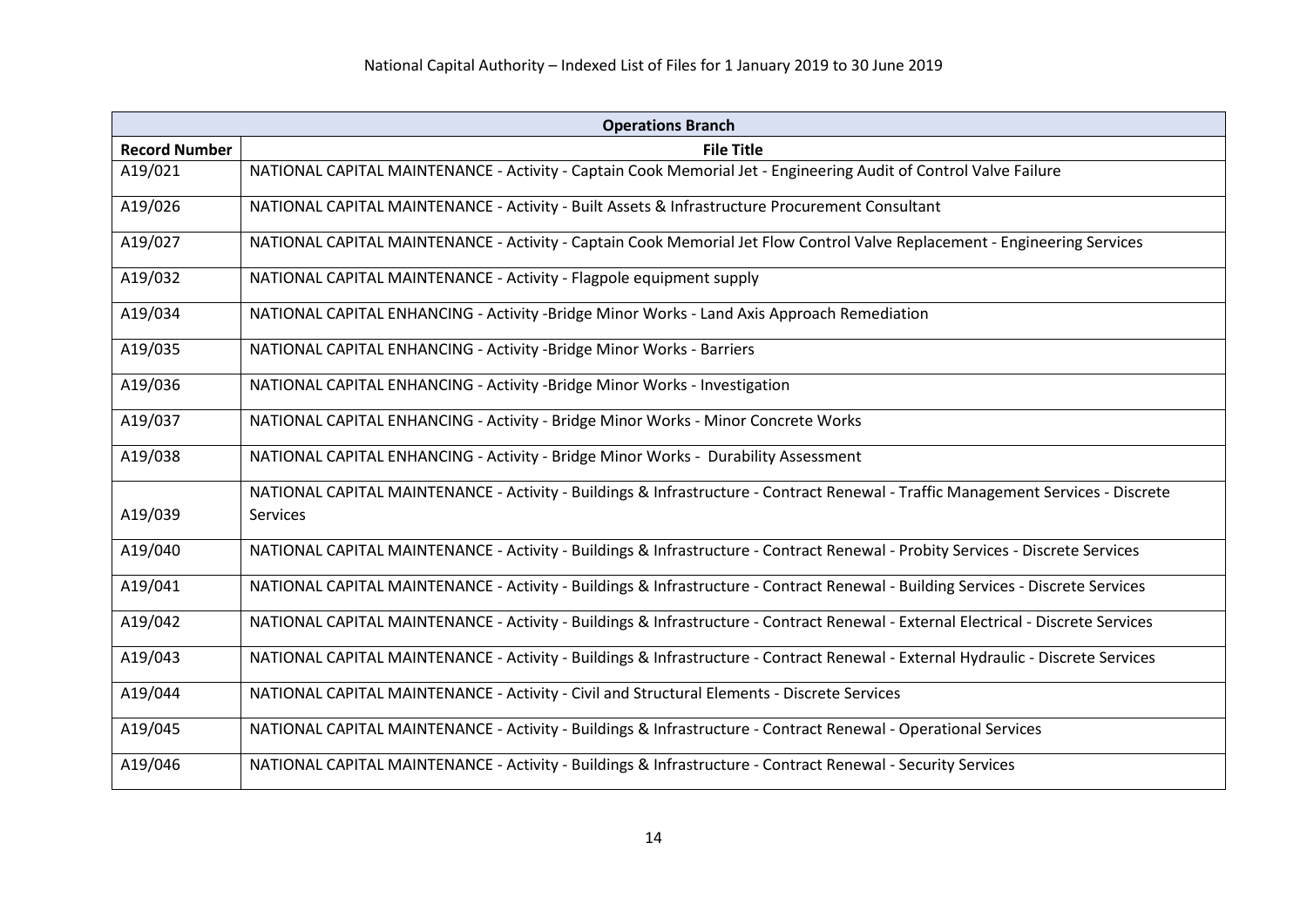| <b>Operations Branch</b> |                                                                                                                                   |
|--------------------------|-----------------------------------------------------------------------------------------------------------------------------------|
| <b>Record Number</b>     | <b>File Title</b>                                                                                                                 |
| A19/021                  | NATIONAL CAPITAL MAINTENANCE - Activity - Captain Cook Memorial Jet - Engineering Audit of Control Valve Failure                  |
| A19/026                  | NATIONAL CAPITAL MAINTENANCE - Activity - Built Assets & Infrastructure Procurement Consultant                                    |
| A19/027                  | NATIONAL CAPITAL MAINTENANCE - Activity - Captain Cook Memorial Jet Flow Control Valve Replacement - Engineering Services         |
| A19/032                  | NATIONAL CAPITAL MAINTENANCE - Activity - Flagpole equipment supply                                                               |
| A19/034                  | NATIONAL CAPITAL ENHANCING - Activity -Bridge Minor Works - Land Axis Approach Remediation                                        |
| A19/035                  | NATIONAL CAPITAL ENHANCING - Activity -Bridge Minor Works - Barriers                                                              |
| A19/036                  | NATIONAL CAPITAL ENHANCING - Activity -Bridge Minor Works - Investigation                                                         |
| A19/037                  | NATIONAL CAPITAL ENHANCING - Activity - Bridge Minor Works - Minor Concrete Works                                                 |
| A19/038                  | NATIONAL CAPITAL ENHANCING - Activity - Bridge Minor Works - Durability Assessment                                                |
|                          | NATIONAL CAPITAL MAINTENANCE - Activity - Buildings & Infrastructure - Contract Renewal - Traffic Management Services - Discrete  |
| A19/039                  | <b>Services</b>                                                                                                                   |
| A19/040                  | NATIONAL CAPITAL MAINTENANCE - Activity - Buildings & Infrastructure - Contract Renewal - Probity Services - Discrete Services    |
| A19/041                  | NATIONAL CAPITAL MAINTENANCE - Activity - Buildings & Infrastructure - Contract Renewal - Building Services - Discrete Services   |
| A19/042                  | NATIONAL CAPITAL MAINTENANCE - Activity - Buildings & Infrastructure - Contract Renewal - External Electrical - Discrete Services |
| A19/043                  | NATIONAL CAPITAL MAINTENANCE - Activity - Buildings & Infrastructure - Contract Renewal - External Hydraulic - Discrete Services  |
| A19/044                  | NATIONAL CAPITAL MAINTENANCE - Activity - Civil and Structural Elements - Discrete Services                                       |
| A19/045                  | NATIONAL CAPITAL MAINTENANCE - Activity - Buildings & Infrastructure - Contract Renewal - Operational Services                    |
| A19/046                  | NATIONAL CAPITAL MAINTENANCE - Activity - Buildings & Infrastructure - Contract Renewal - Security Services                       |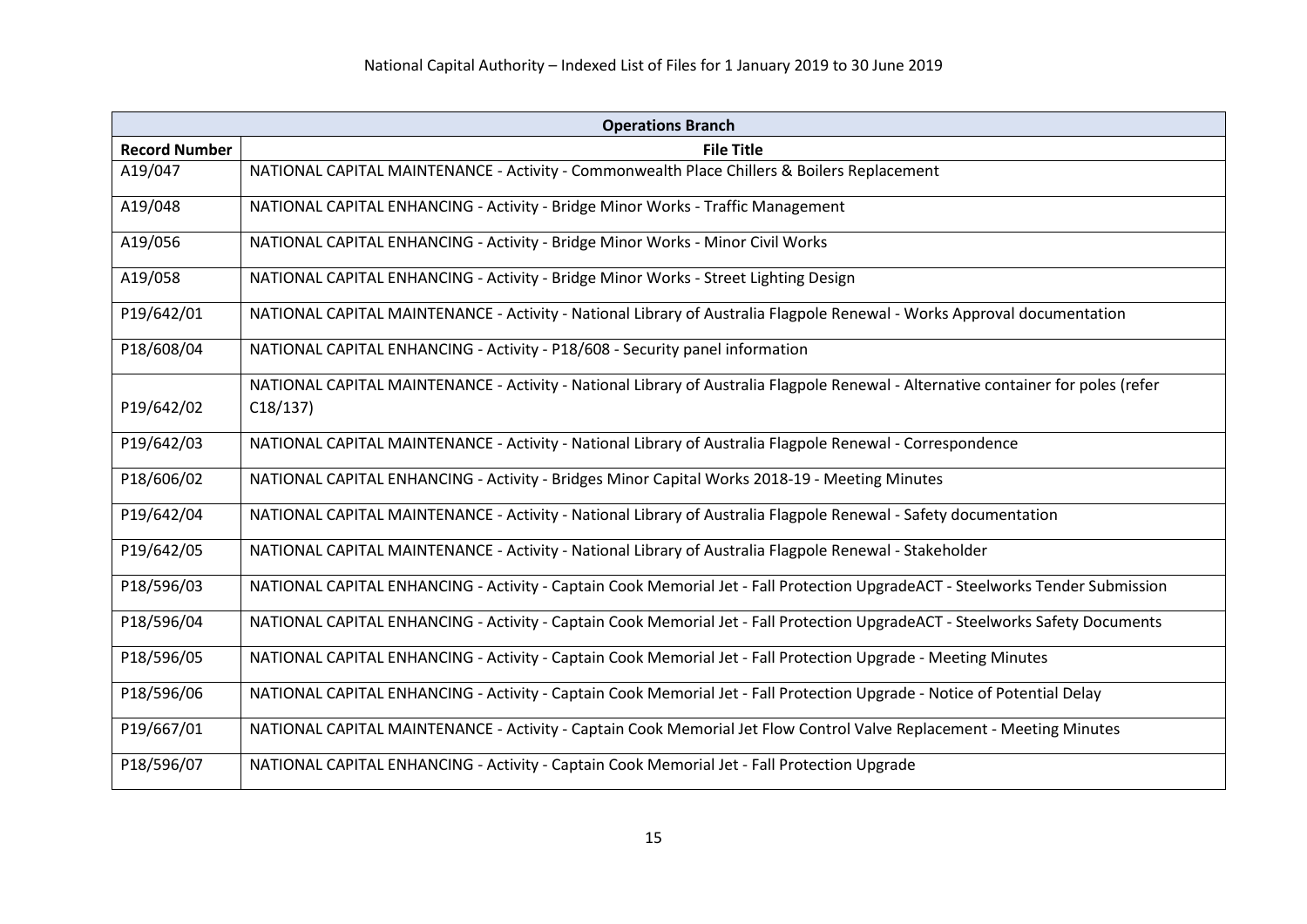| <b>Operations Branch</b> |                                                                                                                                   |
|--------------------------|-----------------------------------------------------------------------------------------------------------------------------------|
| <b>Record Number</b>     | <b>File Title</b>                                                                                                                 |
| A19/047                  | NATIONAL CAPITAL MAINTENANCE - Activity - Commonwealth Place Chillers & Boilers Replacement                                       |
| A19/048                  | NATIONAL CAPITAL ENHANCING - Activity - Bridge Minor Works - Traffic Management                                                   |
| A19/056                  | NATIONAL CAPITAL ENHANCING - Activity - Bridge Minor Works - Minor Civil Works                                                    |
| A19/058                  | NATIONAL CAPITAL ENHANCING - Activity - Bridge Minor Works - Street Lighting Design                                               |
| P19/642/01               | NATIONAL CAPITAL MAINTENANCE - Activity - National Library of Australia Flagpole Renewal - Works Approval documentation           |
| P18/608/04               | NATIONAL CAPITAL ENHANCING - Activity - P18/608 - Security panel information                                                      |
|                          | NATIONAL CAPITAL MAINTENANCE - Activity - National Library of Australia Flagpole Renewal - Alternative container for poles (refer |
| P19/642/02               | C18/137                                                                                                                           |
| P19/642/03               | NATIONAL CAPITAL MAINTENANCE - Activity - National Library of Australia Flagpole Renewal - Correspondence                         |
| P18/606/02               | NATIONAL CAPITAL ENHANCING - Activity - Bridges Minor Capital Works 2018-19 - Meeting Minutes                                     |
| P19/642/04               | NATIONAL CAPITAL MAINTENANCE - Activity - National Library of Australia Flagpole Renewal - Safety documentation                   |
| P19/642/05               | NATIONAL CAPITAL MAINTENANCE - Activity - National Library of Australia Flagpole Renewal - Stakeholder                            |
| P18/596/03               | NATIONAL CAPITAL ENHANCING - Activity - Captain Cook Memorial Jet - Fall Protection UpgradeACT - Steelworks Tender Submission     |
| P18/596/04               | NATIONAL CAPITAL ENHANCING - Activity - Captain Cook Memorial Jet - Fall Protection UpgradeACT - Steelworks Safety Documents      |
| P18/596/05               | NATIONAL CAPITAL ENHANCING - Activity - Captain Cook Memorial Jet - Fall Protection Upgrade - Meeting Minutes                     |
| P18/596/06               | NATIONAL CAPITAL ENHANCING - Activity - Captain Cook Memorial Jet - Fall Protection Upgrade - Notice of Potential Delay           |
| P19/667/01               | NATIONAL CAPITAL MAINTENANCE - Activity - Captain Cook Memorial Jet Flow Control Valve Replacement - Meeting Minutes              |
| P18/596/07               | NATIONAL CAPITAL ENHANCING - Activity - Captain Cook Memorial Jet - Fall Protection Upgrade                                       |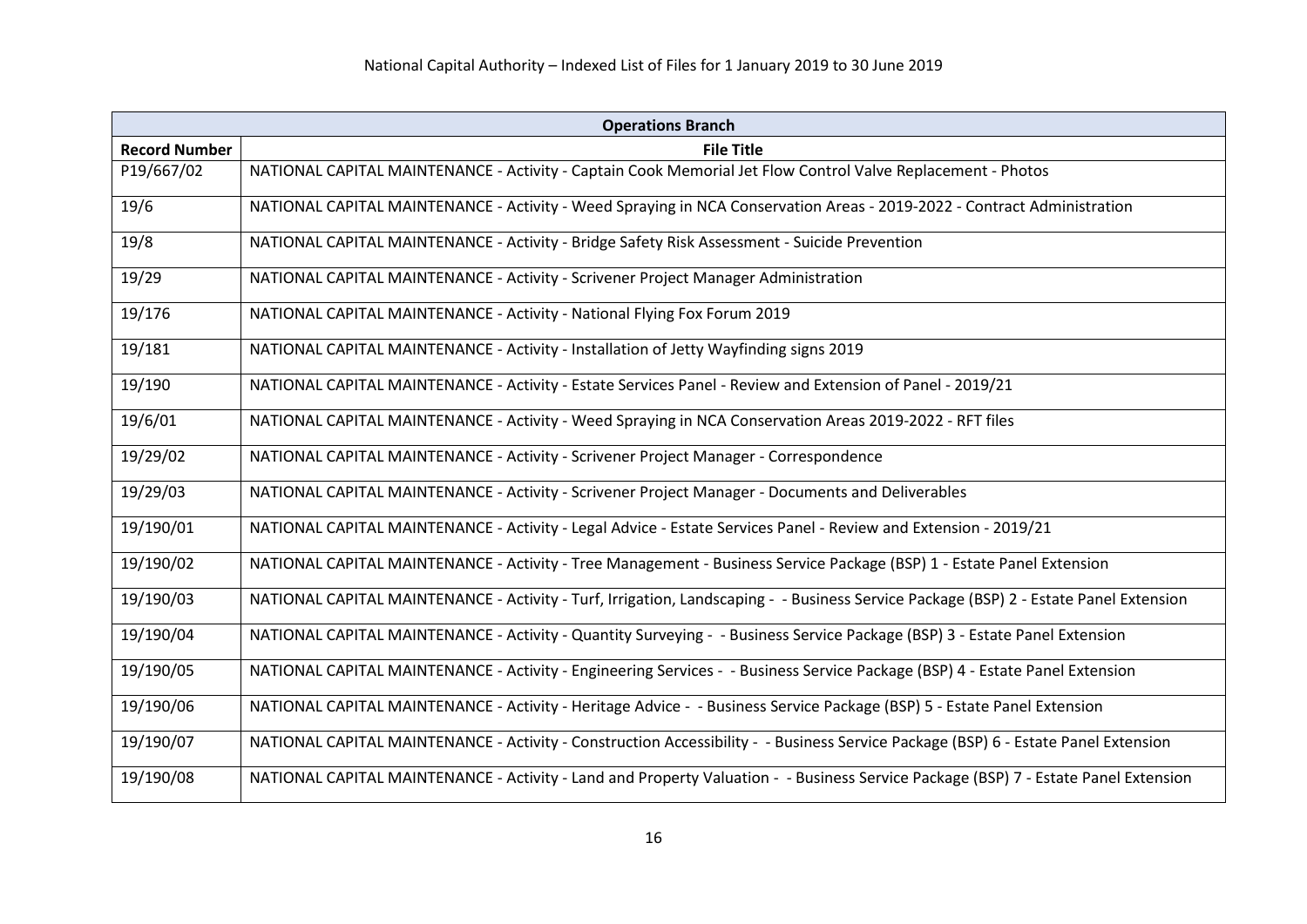| <b>Operations Branch</b> |                                                                                                                                       |
|--------------------------|---------------------------------------------------------------------------------------------------------------------------------------|
| <b>Record Number</b>     | <b>File Title</b>                                                                                                                     |
| P19/667/02               | NATIONAL CAPITAL MAINTENANCE - Activity - Captain Cook Memorial Jet Flow Control Valve Replacement - Photos                           |
| 19/6                     | NATIONAL CAPITAL MAINTENANCE - Activity - Weed Spraying in NCA Conservation Areas - 2019-2022 - Contract Administration               |
| 19/8                     | NATIONAL CAPITAL MAINTENANCE - Activity - Bridge Safety Risk Assessment - Suicide Prevention                                          |
| 19/29                    | NATIONAL CAPITAL MAINTENANCE - Activity - Scrivener Project Manager Administration                                                    |
| 19/176                   | NATIONAL CAPITAL MAINTENANCE - Activity - National Flying Fox Forum 2019                                                              |
| 19/181                   | NATIONAL CAPITAL MAINTENANCE - Activity - Installation of Jetty Wayfinding signs 2019                                                 |
| 19/190                   | NATIONAL CAPITAL MAINTENANCE - Activity - Estate Services Panel - Review and Extension of Panel - 2019/21                             |
| 19/6/01                  | NATIONAL CAPITAL MAINTENANCE - Activity - Weed Spraying in NCA Conservation Areas 2019-2022 - RFT files                               |
| 19/29/02                 | NATIONAL CAPITAL MAINTENANCE - Activity - Scrivener Project Manager - Correspondence                                                  |
| 19/29/03                 | NATIONAL CAPITAL MAINTENANCE - Activity - Scrivener Project Manager - Documents and Deliverables                                      |
| 19/190/01                | NATIONAL CAPITAL MAINTENANCE - Activity - Legal Advice - Estate Services Panel - Review and Extension - 2019/21                       |
| 19/190/02                | NATIONAL CAPITAL MAINTENANCE - Activity - Tree Management - Business Service Package (BSP) 1 - Estate Panel Extension                 |
| 19/190/03                | NATIONAL CAPITAL MAINTENANCE - Activity - Turf, Irrigation, Landscaping - - Business Service Package (BSP) 2 - Estate Panel Extension |
| 19/190/04                | NATIONAL CAPITAL MAINTENANCE - Activity - Quantity Surveying - - Business Service Package (BSP) 3 - Estate Panel Extension            |
| 19/190/05                | NATIONAL CAPITAL MAINTENANCE - Activity - Engineering Services - - Business Service Package (BSP) 4 - Estate Panel Extension          |
| 19/190/06                | NATIONAL CAPITAL MAINTENANCE - Activity - Heritage Advice - - Business Service Package (BSP) 5 - Estate Panel Extension               |
| 19/190/07                | NATIONAL CAPITAL MAINTENANCE - Activity - Construction Accessibility - - Business Service Package (BSP) 6 - Estate Panel Extension    |
| 19/190/08                | NATIONAL CAPITAL MAINTENANCE - Activity - Land and Property Valuation - - Business Service Package (BSP) 7 - Estate Panel Extension   |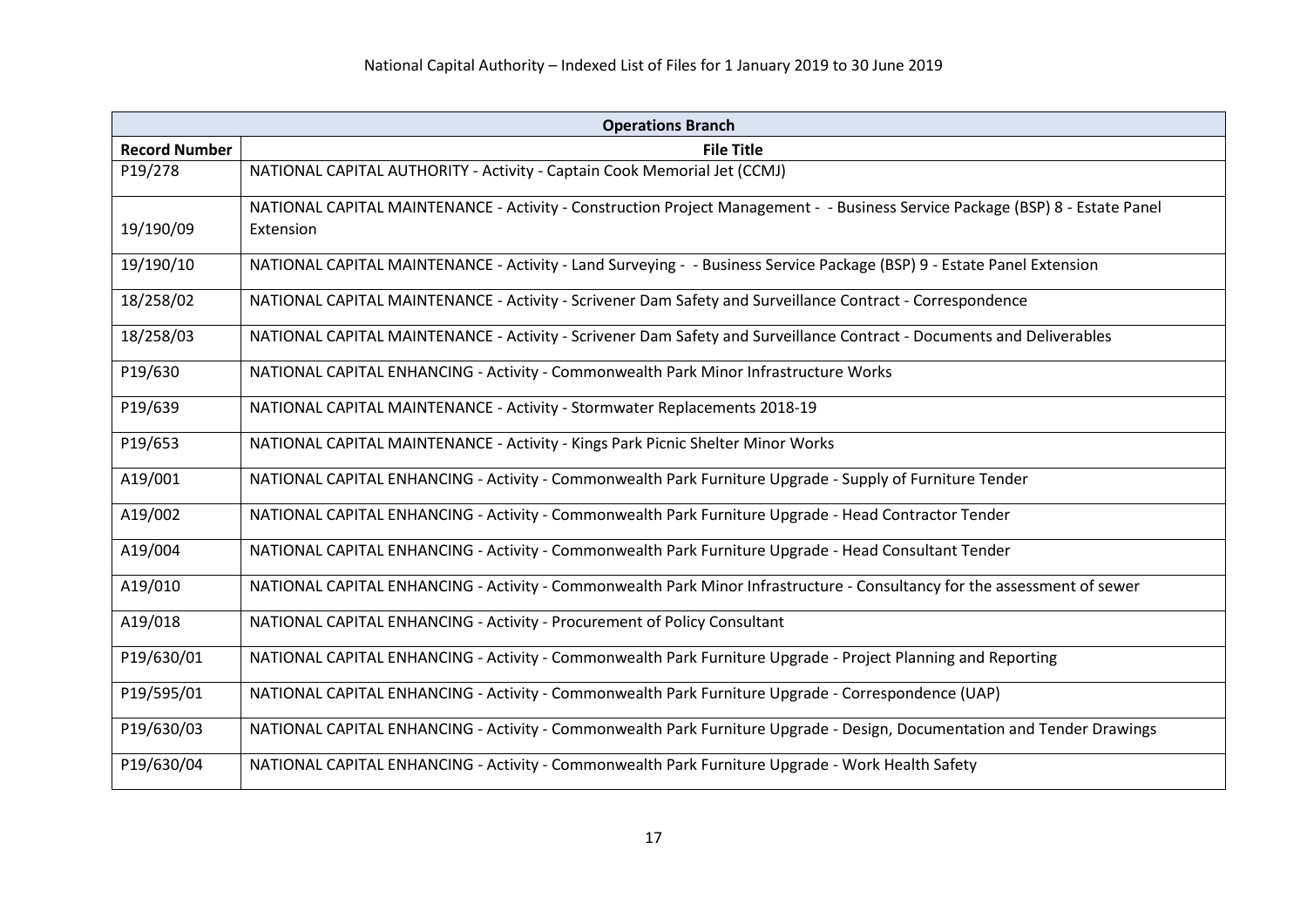| <b>Operations Branch</b> |                                                                                                                               |
|--------------------------|-------------------------------------------------------------------------------------------------------------------------------|
| <b>Record Number</b>     | <b>File Title</b>                                                                                                             |
| P19/278                  | NATIONAL CAPITAL AUTHORITY - Activity - Captain Cook Memorial Jet (CCMJ)                                                      |
|                          | NATIONAL CAPITAL MAINTENANCE - Activity - Construction Project Management - - Business Service Package (BSP) 8 - Estate Panel |
| 19/190/09                | Extension                                                                                                                     |
| 19/190/10                | NATIONAL CAPITAL MAINTENANCE - Activity - Land Surveying - - Business Service Package (BSP) 9 - Estate Panel Extension        |
| 18/258/02                | NATIONAL CAPITAL MAINTENANCE - Activity - Scrivener Dam Safety and Surveillance Contract - Correspondence                     |
| 18/258/03                | NATIONAL CAPITAL MAINTENANCE - Activity - Scrivener Dam Safety and Surveillance Contract - Documents and Deliverables         |
| P19/630                  | NATIONAL CAPITAL ENHANCING - Activity - Commonwealth Park Minor Infrastructure Works                                          |
| P19/639                  | NATIONAL CAPITAL MAINTENANCE - Activity - Stormwater Replacements 2018-19                                                     |
| P19/653                  | NATIONAL CAPITAL MAINTENANCE - Activity - Kings Park Picnic Shelter Minor Works                                               |
| A19/001                  | NATIONAL CAPITAL ENHANCING - Activity - Commonwealth Park Furniture Upgrade - Supply of Furniture Tender                      |
| A19/002                  | NATIONAL CAPITAL ENHANCING - Activity - Commonwealth Park Furniture Upgrade - Head Contractor Tender                          |
| A19/004                  | NATIONAL CAPITAL ENHANCING - Activity - Commonwealth Park Furniture Upgrade - Head Consultant Tender                          |
| A19/010                  | NATIONAL CAPITAL ENHANCING - Activity - Commonwealth Park Minor Infrastructure - Consultancy for the assessment of sewer      |
| A19/018                  | NATIONAL CAPITAL ENHANCING - Activity - Procurement of Policy Consultant                                                      |
| P19/630/01               | NATIONAL CAPITAL ENHANCING - Activity - Commonwealth Park Furniture Upgrade - Project Planning and Reporting                  |
| P19/595/01               | NATIONAL CAPITAL ENHANCING - Activity - Commonwealth Park Furniture Upgrade - Correspondence (UAP)                            |
| P19/630/03               | NATIONAL CAPITAL ENHANCING - Activity - Commonwealth Park Furniture Upgrade - Design, Documentation and Tender Drawings       |
| P19/630/04               | NATIONAL CAPITAL ENHANCING - Activity - Commonwealth Park Furniture Upgrade - Work Health Safety                              |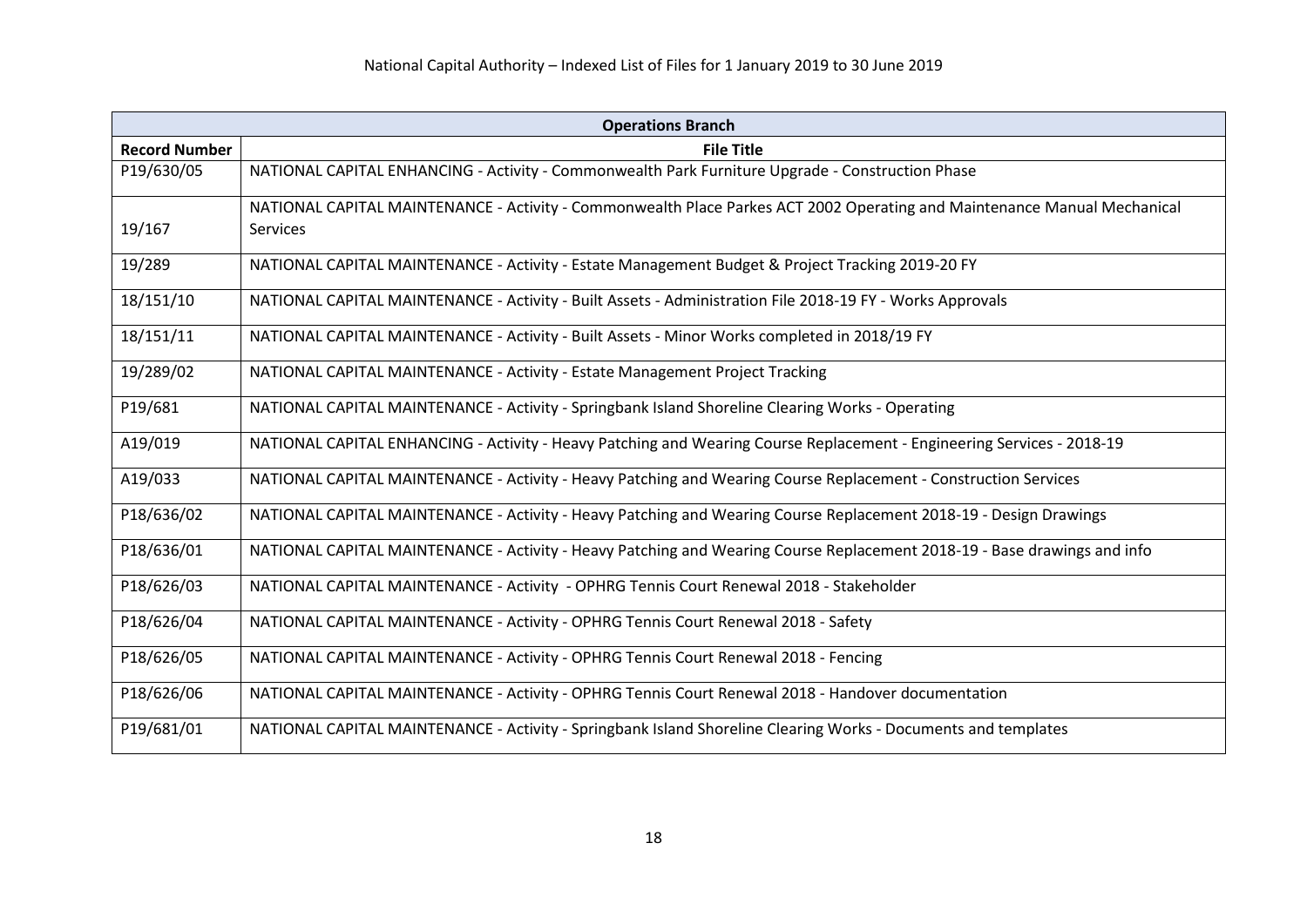| <b>Operations Branch</b> |                                                                                                                          |
|--------------------------|--------------------------------------------------------------------------------------------------------------------------|
| <b>Record Number</b>     | <b>File Title</b>                                                                                                        |
| P19/630/05               | NATIONAL CAPITAL ENHANCING - Activity - Commonwealth Park Furniture Upgrade - Construction Phase                         |
|                          | NATIONAL CAPITAL MAINTENANCE - Activity - Commonwealth Place Parkes ACT 2002 Operating and Maintenance Manual Mechanical |
| 19/167                   | <b>Services</b>                                                                                                          |
| 19/289                   | NATIONAL CAPITAL MAINTENANCE - Activity - Estate Management Budget & Project Tracking 2019-20 FY                         |
| 18/151/10                | NATIONAL CAPITAL MAINTENANCE - Activity - Built Assets - Administration File 2018-19 FY - Works Approvals                |
| 18/151/11                | NATIONAL CAPITAL MAINTENANCE - Activity - Built Assets - Minor Works completed in 2018/19 FY                             |
| 19/289/02                | NATIONAL CAPITAL MAINTENANCE - Activity - Estate Management Project Tracking                                             |
| P19/681                  | NATIONAL CAPITAL MAINTENANCE - Activity - Springbank Island Shoreline Clearing Works - Operating                         |
| A19/019                  | NATIONAL CAPITAL ENHANCING - Activity - Heavy Patching and Wearing Course Replacement - Engineering Services - 2018-19   |
| A19/033                  | NATIONAL CAPITAL MAINTENANCE - Activity - Heavy Patching and Wearing Course Replacement - Construction Services          |
| P18/636/02               | NATIONAL CAPITAL MAINTENANCE - Activity - Heavy Patching and Wearing Course Replacement 2018-19 - Design Drawings        |
| P18/636/01               | NATIONAL CAPITAL MAINTENANCE - Activity - Heavy Patching and Wearing Course Replacement 2018-19 - Base drawings and info |
| P18/626/03               | NATIONAL CAPITAL MAINTENANCE - Activity - OPHRG Tennis Court Renewal 2018 - Stakeholder                                  |
| P18/626/04               | NATIONAL CAPITAL MAINTENANCE - Activity - OPHRG Tennis Court Renewal 2018 - Safety                                       |
| P18/626/05               | NATIONAL CAPITAL MAINTENANCE - Activity - OPHRG Tennis Court Renewal 2018 - Fencing                                      |
| P18/626/06               | NATIONAL CAPITAL MAINTENANCE - Activity - OPHRG Tennis Court Renewal 2018 - Handover documentation                       |
| P19/681/01               | NATIONAL CAPITAL MAINTENANCE - Activity - Springbank Island Shoreline Clearing Works - Documents and templates           |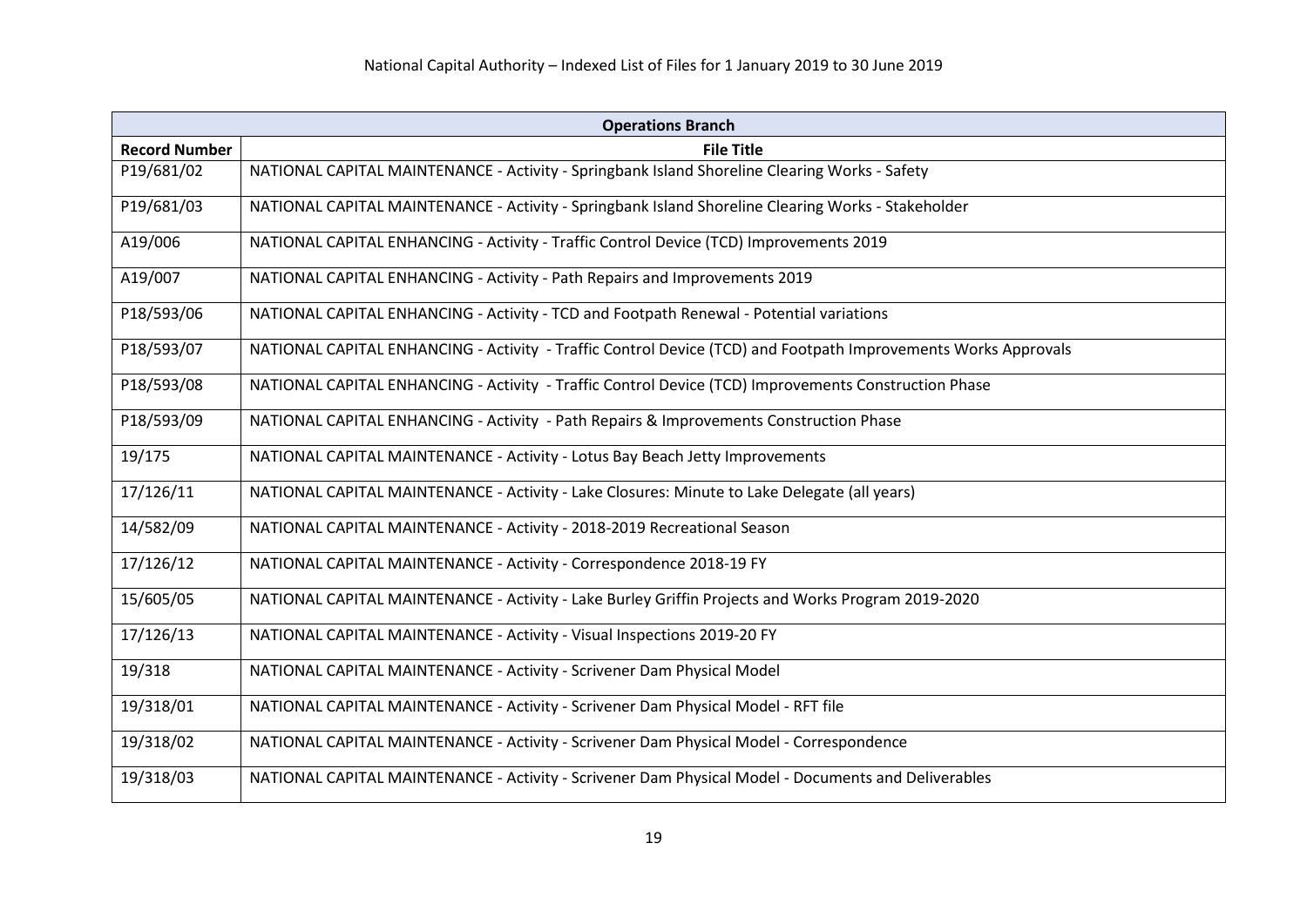| <b>Operations Branch</b> |                                                                                                                |
|--------------------------|----------------------------------------------------------------------------------------------------------------|
| <b>Record Number</b>     | <b>File Title</b>                                                                                              |
| P19/681/02               | NATIONAL CAPITAL MAINTENANCE - Activity - Springbank Island Shoreline Clearing Works - Safety                  |
| P19/681/03               | NATIONAL CAPITAL MAINTENANCE - Activity - Springbank Island Shoreline Clearing Works - Stakeholder             |
| A19/006                  | NATIONAL CAPITAL ENHANCING - Activity - Traffic Control Device (TCD) Improvements 2019                         |
| A19/007                  | NATIONAL CAPITAL ENHANCING - Activity - Path Repairs and Improvements 2019                                     |
| P18/593/06               | NATIONAL CAPITAL ENHANCING - Activity - TCD and Footpath Renewal - Potential variations                        |
| P18/593/07               | NATIONAL CAPITAL ENHANCING - Activity - Traffic Control Device (TCD) and Footpath Improvements Works Approvals |
| P18/593/08               | NATIONAL CAPITAL ENHANCING - Activity - Traffic Control Device (TCD) Improvements Construction Phase           |
| P18/593/09               | NATIONAL CAPITAL ENHANCING - Activity - Path Repairs & Improvements Construction Phase                         |
| 19/175                   | NATIONAL CAPITAL MAINTENANCE - Activity - Lotus Bay Beach Jetty Improvements                                   |
| 17/126/11                | NATIONAL CAPITAL MAINTENANCE - Activity - Lake Closures: Minute to Lake Delegate (all years)                   |
| 14/582/09                | NATIONAL CAPITAL MAINTENANCE - Activity - 2018-2019 Recreational Season                                        |
| 17/126/12                | NATIONAL CAPITAL MAINTENANCE - Activity - Correspondence 2018-19 FY                                            |
| 15/605/05                | NATIONAL CAPITAL MAINTENANCE - Activity - Lake Burley Griffin Projects and Works Program 2019-2020             |
| 17/126/13                | NATIONAL CAPITAL MAINTENANCE - Activity - Visual Inspections 2019-20 FY                                        |
| 19/318                   | NATIONAL CAPITAL MAINTENANCE - Activity - Scrivener Dam Physical Model                                         |
| 19/318/01                | NATIONAL CAPITAL MAINTENANCE - Activity - Scrivener Dam Physical Model - RFT file                              |
| 19/318/02                | NATIONAL CAPITAL MAINTENANCE - Activity - Scrivener Dam Physical Model - Correspondence                        |
| 19/318/03                | NATIONAL CAPITAL MAINTENANCE - Activity - Scrivener Dam Physical Model - Documents and Deliverables            |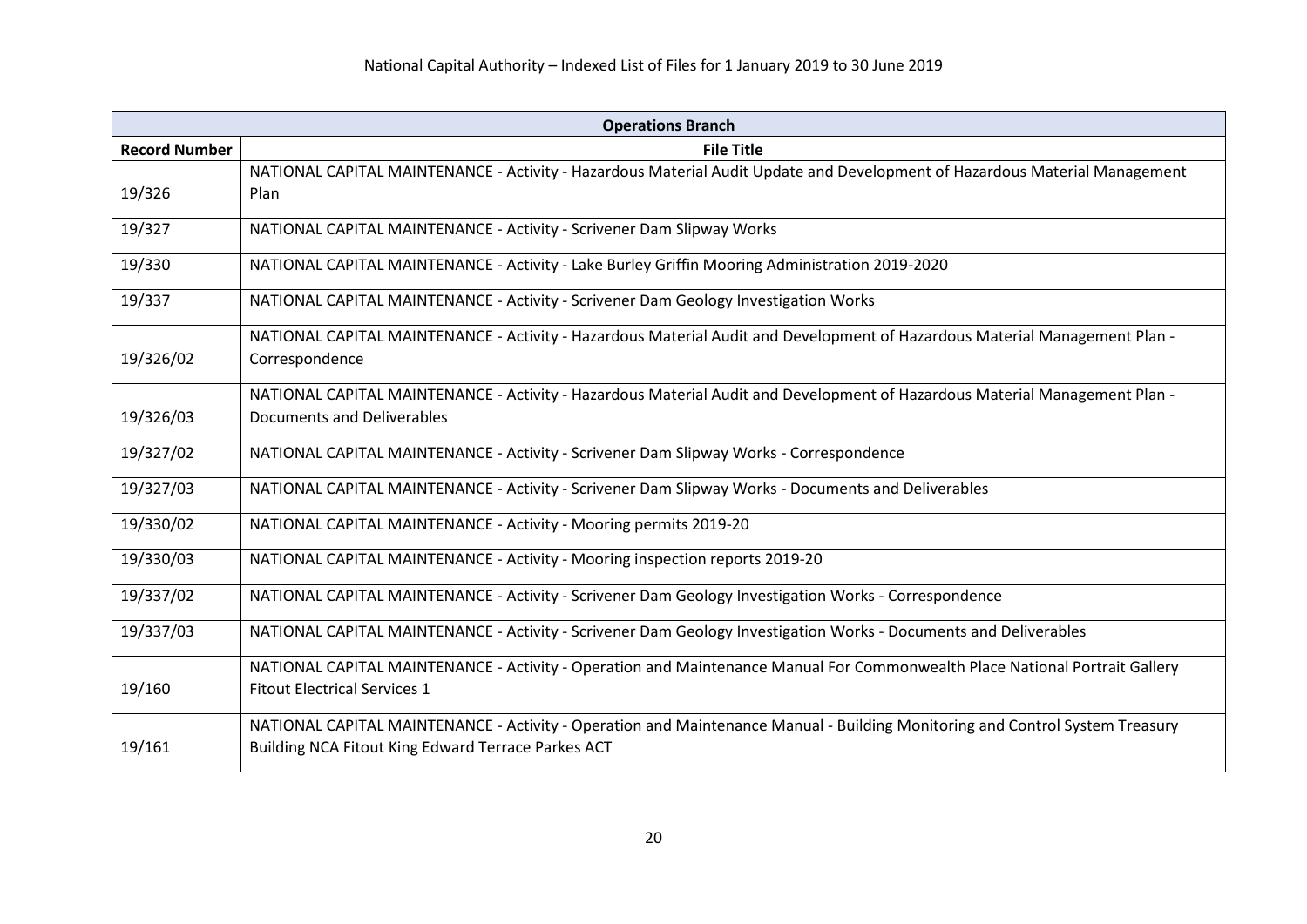| <b>Operations Branch</b> |                                                                                                                              |
|--------------------------|------------------------------------------------------------------------------------------------------------------------------|
| <b>Record Number</b>     | <b>File Title</b>                                                                                                            |
|                          | NATIONAL CAPITAL MAINTENANCE - Activity - Hazardous Material Audit Update and Development of Hazardous Material Management   |
| 19/326                   | Plan                                                                                                                         |
| 19/327                   | NATIONAL CAPITAL MAINTENANCE - Activity - Scrivener Dam Slipway Works                                                        |
| 19/330                   | NATIONAL CAPITAL MAINTENANCE - Activity - Lake Burley Griffin Mooring Administration 2019-2020                               |
| 19/337                   | NATIONAL CAPITAL MAINTENANCE - Activity - Scrivener Dam Geology Investigation Works                                          |
|                          | NATIONAL CAPITAL MAINTENANCE - Activity - Hazardous Material Audit and Development of Hazardous Material Management Plan -   |
| 19/326/02                | Correspondence                                                                                                               |
|                          | NATIONAL CAPITAL MAINTENANCE - Activity - Hazardous Material Audit and Development of Hazardous Material Management Plan -   |
| 19/326/03                | Documents and Deliverables                                                                                                   |
| 19/327/02                | NATIONAL CAPITAL MAINTENANCE - Activity - Scrivener Dam Slipway Works - Correspondence                                       |
| 19/327/03                | NATIONAL CAPITAL MAINTENANCE - Activity - Scrivener Dam Slipway Works - Documents and Deliverables                           |
| 19/330/02                | NATIONAL CAPITAL MAINTENANCE - Activity - Mooring permits 2019-20                                                            |
| 19/330/03                | NATIONAL CAPITAL MAINTENANCE - Activity - Mooring inspection reports 2019-20                                                 |
| 19/337/02                | NATIONAL CAPITAL MAINTENANCE - Activity - Scrivener Dam Geology Investigation Works - Correspondence                         |
| 19/337/03                | NATIONAL CAPITAL MAINTENANCE - Activity - Scrivener Dam Geology Investigation Works - Documents and Deliverables             |
|                          | NATIONAL CAPITAL MAINTENANCE - Activity - Operation and Maintenance Manual For Commonwealth Place National Portrait Gallery  |
| 19/160                   | <b>Fitout Electrical Services 1</b>                                                                                          |
|                          | NATIONAL CAPITAL MAINTENANCE - Activity - Operation and Maintenance Manual - Building Monitoring and Control System Treasury |
| 19/161                   | Building NCA Fitout King Edward Terrace Parkes ACT                                                                           |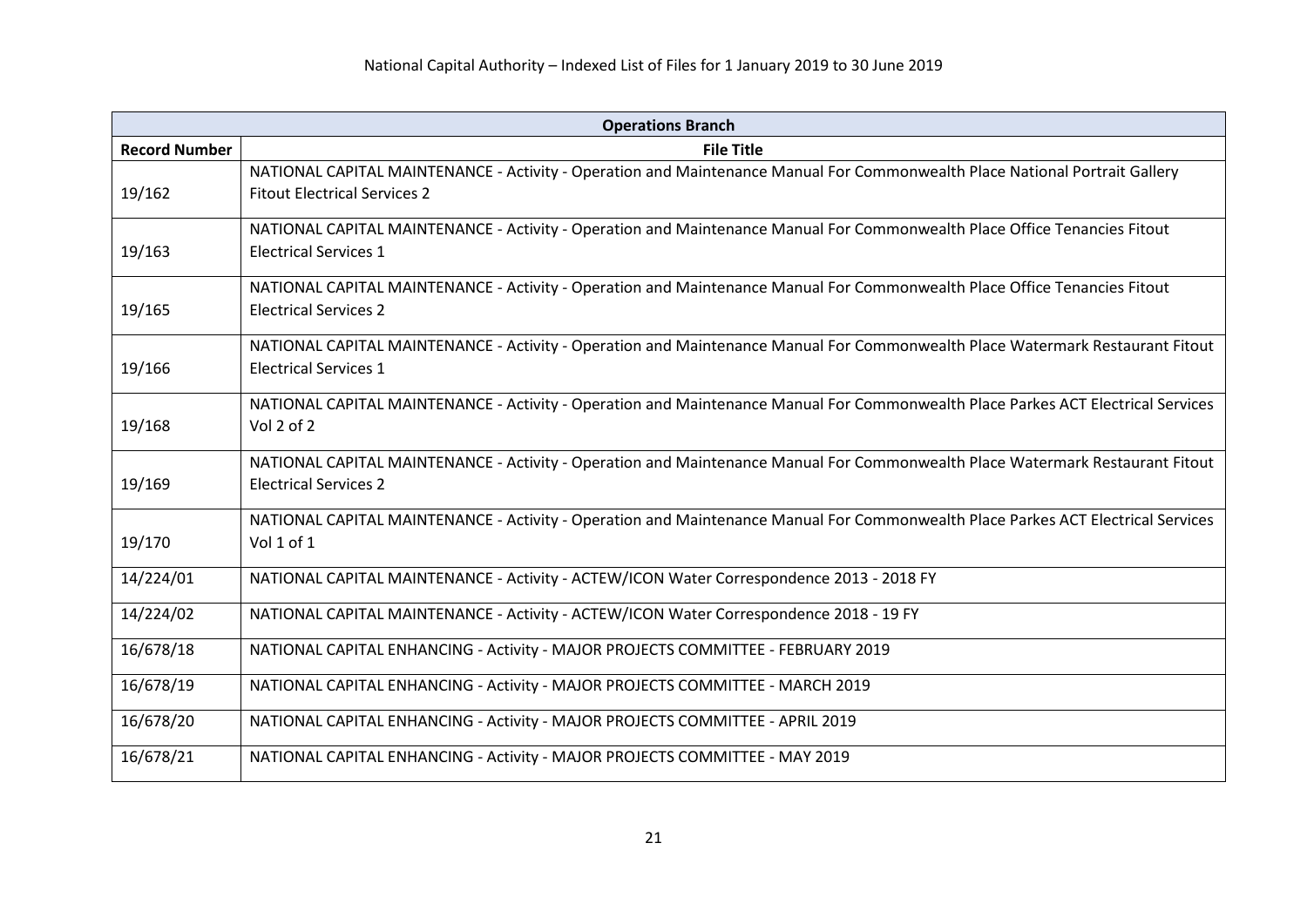| <b>Operations Branch</b> |                                                                                                                                                                    |
|--------------------------|--------------------------------------------------------------------------------------------------------------------------------------------------------------------|
| <b>Record Number</b>     | <b>File Title</b>                                                                                                                                                  |
| 19/162                   | NATIONAL CAPITAL MAINTENANCE - Activity - Operation and Maintenance Manual For Commonwealth Place National Portrait Gallery<br><b>Fitout Electrical Services 2</b> |
| 19/163                   | NATIONAL CAPITAL MAINTENANCE - Activity - Operation and Maintenance Manual For Commonwealth Place Office Tenancies Fitout<br><b>Electrical Services 1</b>          |
| 19/165                   | NATIONAL CAPITAL MAINTENANCE - Activity - Operation and Maintenance Manual For Commonwealth Place Office Tenancies Fitout<br><b>Electrical Services 2</b>          |
| 19/166                   | NATIONAL CAPITAL MAINTENANCE - Activity - Operation and Maintenance Manual For Commonwealth Place Watermark Restaurant Fitout<br><b>Electrical Services 1</b>      |
| 19/168                   | NATIONAL CAPITAL MAINTENANCE - Activity - Operation and Maintenance Manual For Commonwealth Place Parkes ACT Electrical Services<br>Vol 2 of 2                     |
| 19/169                   | NATIONAL CAPITAL MAINTENANCE - Activity - Operation and Maintenance Manual For Commonwealth Place Watermark Restaurant Fitout<br><b>Electrical Services 2</b>      |
| 19/170                   | NATIONAL CAPITAL MAINTENANCE - Activity - Operation and Maintenance Manual For Commonwealth Place Parkes ACT Electrical Services<br>Vol 1 of 1                     |
| 14/224/01                | NATIONAL CAPITAL MAINTENANCE - Activity - ACTEW/ICON Water Correspondence 2013 - 2018 FY                                                                           |
| 14/224/02                | NATIONAL CAPITAL MAINTENANCE - Activity - ACTEW/ICON Water Correspondence 2018 - 19 FY                                                                             |
| 16/678/18                | NATIONAL CAPITAL ENHANCING - Activity - MAJOR PROJECTS COMMITTEE - FEBRUARY 2019                                                                                   |
| 16/678/19                | NATIONAL CAPITAL ENHANCING - Activity - MAJOR PROJECTS COMMITTEE - MARCH 2019                                                                                      |
| 16/678/20                | NATIONAL CAPITAL ENHANCING - Activity - MAJOR PROJECTS COMMITTEE - APRIL 2019                                                                                      |
| 16/678/21                | NATIONAL CAPITAL ENHANCING - Activity - MAJOR PROJECTS COMMITTEE - MAY 2019                                                                                        |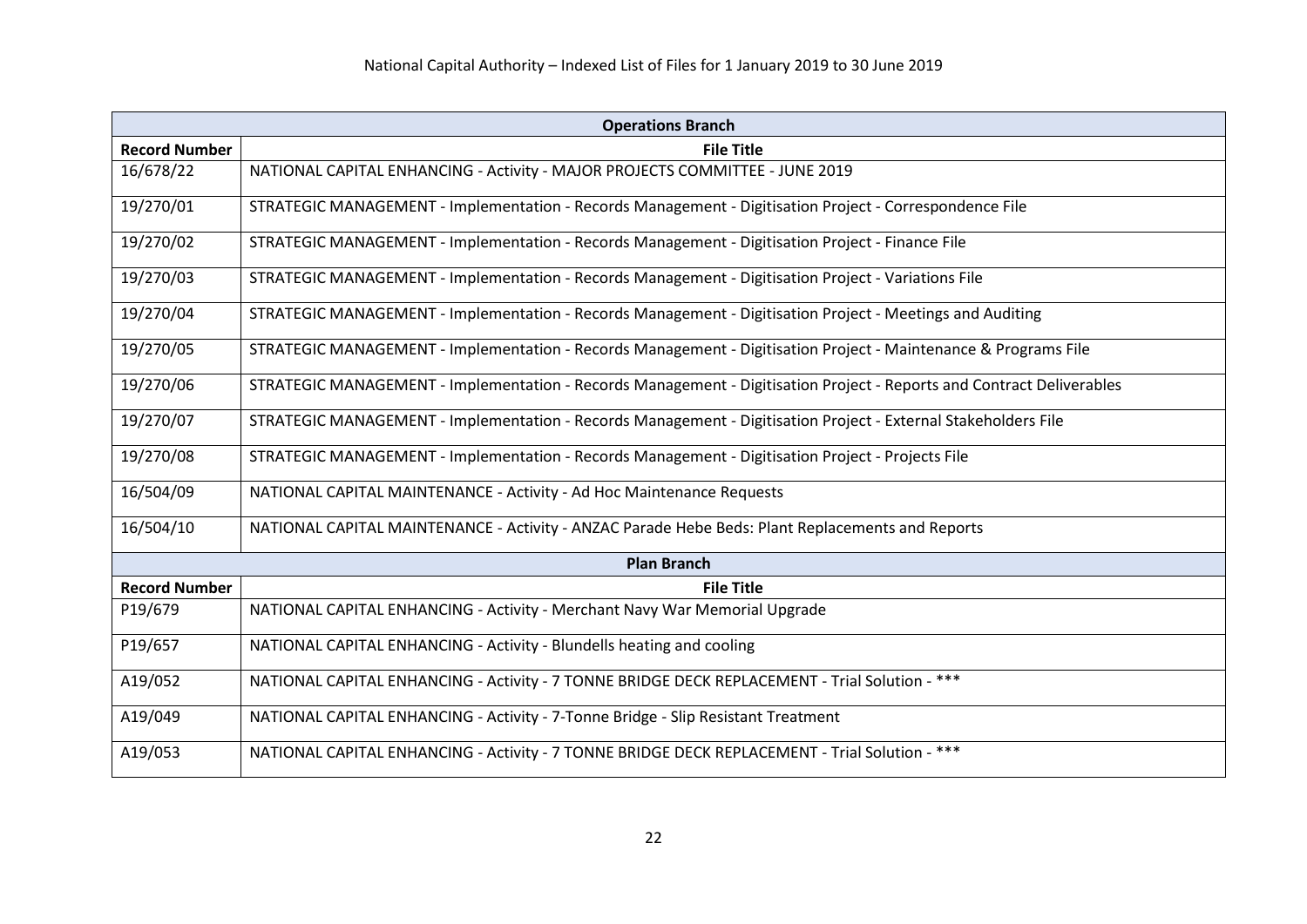| <b>Operations Branch</b> |                                                                                                                       |  |
|--------------------------|-----------------------------------------------------------------------------------------------------------------------|--|
| <b>Record Number</b>     | <b>File Title</b>                                                                                                     |  |
| 16/678/22                | NATIONAL CAPITAL ENHANCING - Activity - MAJOR PROJECTS COMMITTEE - JUNE 2019                                          |  |
| 19/270/01                | STRATEGIC MANAGEMENT - Implementation - Records Management - Digitisation Project - Correspondence File               |  |
| 19/270/02                | STRATEGIC MANAGEMENT - Implementation - Records Management - Digitisation Project - Finance File                      |  |
| 19/270/03                | STRATEGIC MANAGEMENT - Implementation - Records Management - Digitisation Project - Variations File                   |  |
| 19/270/04                | STRATEGIC MANAGEMENT - Implementation - Records Management - Digitisation Project - Meetings and Auditing             |  |
| 19/270/05                | STRATEGIC MANAGEMENT - Implementation - Records Management - Digitisation Project - Maintenance & Programs File       |  |
| 19/270/06                | STRATEGIC MANAGEMENT - Implementation - Records Management - Digitisation Project - Reports and Contract Deliverables |  |
| 19/270/07                | STRATEGIC MANAGEMENT - Implementation - Records Management - Digitisation Project - External Stakeholders File        |  |
| 19/270/08                | STRATEGIC MANAGEMENT - Implementation - Records Management - Digitisation Project - Projects File                     |  |
| 16/504/09                | NATIONAL CAPITAL MAINTENANCE - Activity - Ad Hoc Maintenance Requests                                                 |  |
| 16/504/10                | NATIONAL CAPITAL MAINTENANCE - Activity - ANZAC Parade Hebe Beds: Plant Replacements and Reports                      |  |
| <b>Plan Branch</b>       |                                                                                                                       |  |
| <b>Record Number</b>     | <b>File Title</b>                                                                                                     |  |
| P19/679                  | NATIONAL CAPITAL ENHANCING - Activity - Merchant Navy War Memorial Upgrade                                            |  |
| P19/657                  | NATIONAL CAPITAL ENHANCING - Activity - Blundells heating and cooling                                                 |  |
| A19/052                  | NATIONAL CAPITAL ENHANCING - Activity - 7 TONNE BRIDGE DECK REPLACEMENT - Trial Solution - ***                        |  |
| A19/049                  | NATIONAL CAPITAL ENHANCING - Activity - 7-Tonne Bridge - Slip Resistant Treatment                                     |  |
| A19/053                  | NATIONAL CAPITAL ENHANCING - Activity - 7 TONNE BRIDGE DECK REPLACEMENT - Trial Solution - ***                        |  |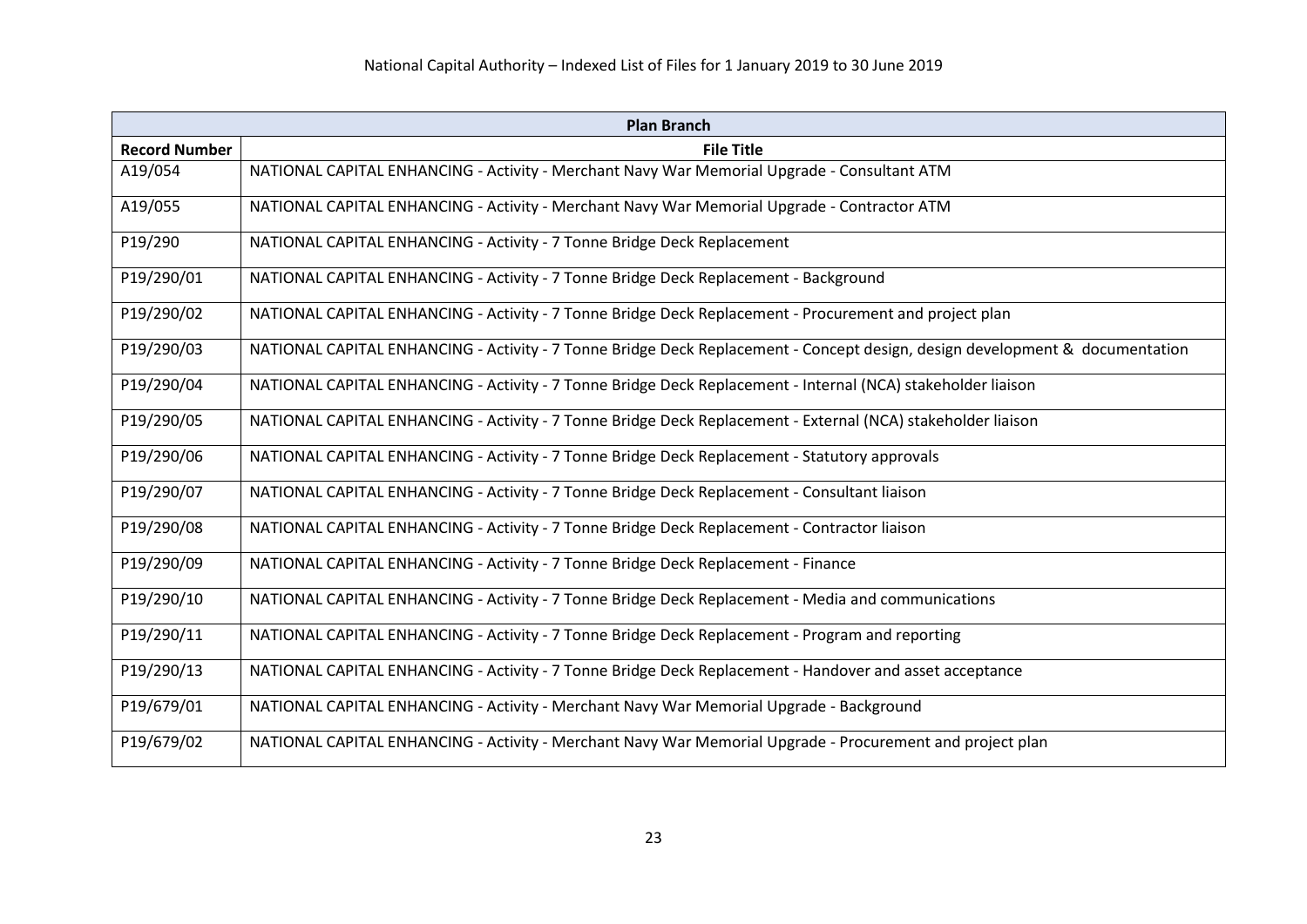| <b>Plan Branch</b>   |                                                                                                                              |
|----------------------|------------------------------------------------------------------------------------------------------------------------------|
| <b>Record Number</b> | <b>File Title</b>                                                                                                            |
| A19/054              | NATIONAL CAPITAL ENHANCING - Activity - Merchant Navy War Memorial Upgrade - Consultant ATM                                  |
| A19/055              | NATIONAL CAPITAL ENHANCING - Activity - Merchant Navy War Memorial Upgrade - Contractor ATM                                  |
| P19/290              | NATIONAL CAPITAL ENHANCING - Activity - 7 Tonne Bridge Deck Replacement                                                      |
| P19/290/01           | NATIONAL CAPITAL ENHANCING - Activity - 7 Tonne Bridge Deck Replacement - Background                                         |
| P19/290/02           | NATIONAL CAPITAL ENHANCING - Activity - 7 Tonne Bridge Deck Replacement - Procurement and project plan                       |
| P19/290/03           | NATIONAL CAPITAL ENHANCING - Activity - 7 Tonne Bridge Deck Replacement - Concept design, design development & documentation |
| P19/290/04           | NATIONAL CAPITAL ENHANCING - Activity - 7 Tonne Bridge Deck Replacement - Internal (NCA) stakeholder liaison                 |
| P19/290/05           | NATIONAL CAPITAL ENHANCING - Activity - 7 Tonne Bridge Deck Replacement - External (NCA) stakeholder liaison                 |
| P19/290/06           | NATIONAL CAPITAL ENHANCING - Activity - 7 Tonne Bridge Deck Replacement - Statutory approvals                                |
| P19/290/07           | NATIONAL CAPITAL ENHANCING - Activity - 7 Tonne Bridge Deck Replacement - Consultant liaison                                 |
| P19/290/08           | NATIONAL CAPITAL ENHANCING - Activity - 7 Tonne Bridge Deck Replacement - Contractor liaison                                 |
| P19/290/09           | NATIONAL CAPITAL ENHANCING - Activity - 7 Tonne Bridge Deck Replacement - Finance                                            |
| P19/290/10           | NATIONAL CAPITAL ENHANCING - Activity - 7 Tonne Bridge Deck Replacement - Media and communications                           |
| P19/290/11           | NATIONAL CAPITAL ENHANCING - Activity - 7 Tonne Bridge Deck Replacement - Program and reporting                              |
| P19/290/13           | NATIONAL CAPITAL ENHANCING - Activity - 7 Tonne Bridge Deck Replacement - Handover and asset acceptance                      |
| P19/679/01           | NATIONAL CAPITAL ENHANCING - Activity - Merchant Navy War Memorial Upgrade - Background                                      |
| P19/679/02           | NATIONAL CAPITAL ENHANCING - Activity - Merchant Navy War Memorial Upgrade - Procurement and project plan                    |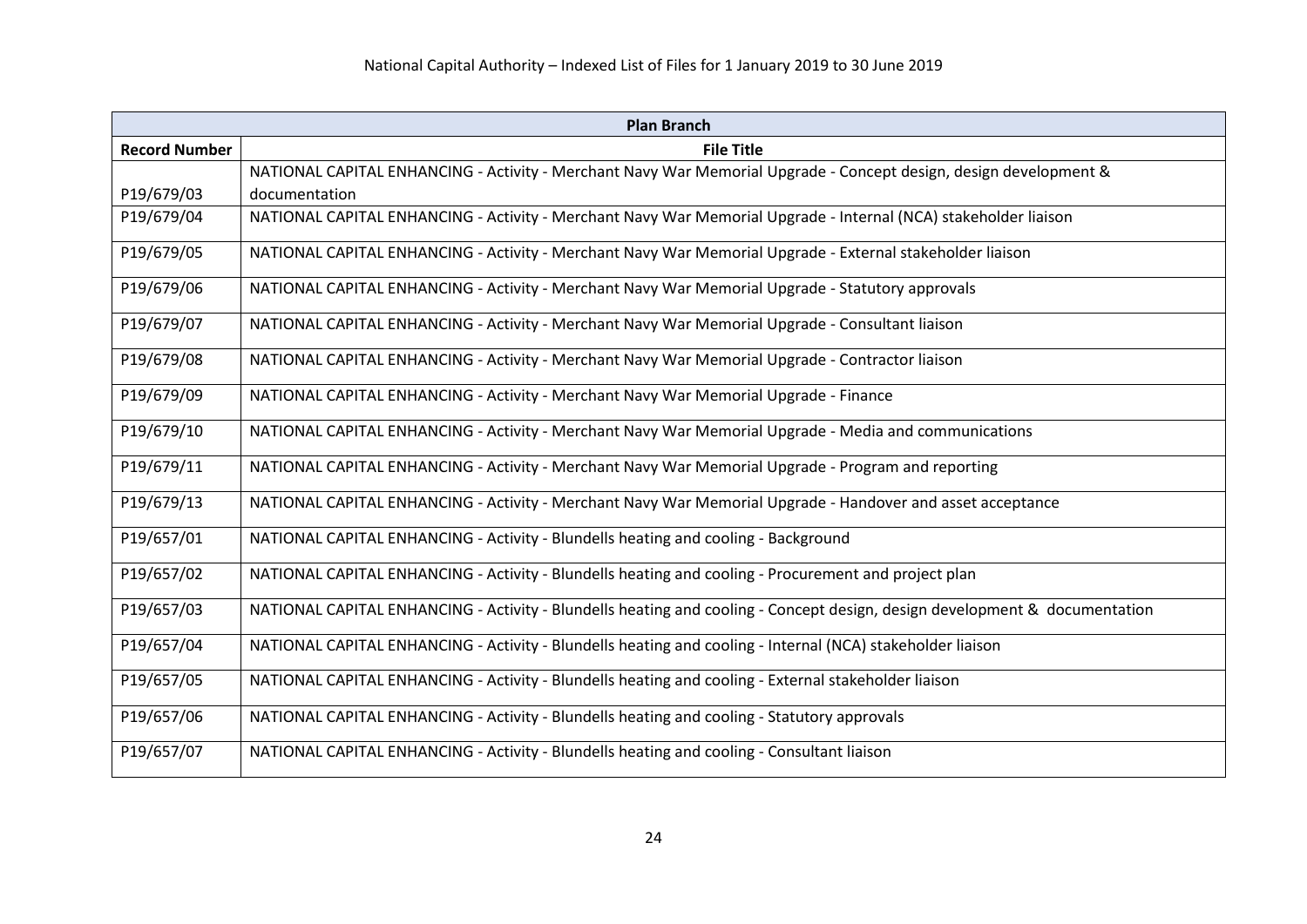| <b>Plan Branch</b>   |                                                                                                                            |
|----------------------|----------------------------------------------------------------------------------------------------------------------------|
| <b>Record Number</b> | <b>File Title</b>                                                                                                          |
|                      | NATIONAL CAPITAL ENHANCING - Activity - Merchant Navy War Memorial Upgrade - Concept design, design development &          |
| P19/679/03           | documentation                                                                                                              |
| P19/679/04           | NATIONAL CAPITAL ENHANCING - Activity - Merchant Navy War Memorial Upgrade - Internal (NCA) stakeholder liaison            |
| P19/679/05           | NATIONAL CAPITAL ENHANCING - Activity - Merchant Navy War Memorial Upgrade - External stakeholder liaison                  |
| P19/679/06           | NATIONAL CAPITAL ENHANCING - Activity - Merchant Navy War Memorial Upgrade - Statutory approvals                           |
| P19/679/07           | NATIONAL CAPITAL ENHANCING - Activity - Merchant Navy War Memorial Upgrade - Consultant liaison                            |
| P19/679/08           | NATIONAL CAPITAL ENHANCING - Activity - Merchant Navy War Memorial Upgrade - Contractor liaison                            |
| P19/679/09           | NATIONAL CAPITAL ENHANCING - Activity - Merchant Navy War Memorial Upgrade - Finance                                       |
| P19/679/10           | NATIONAL CAPITAL ENHANCING - Activity - Merchant Navy War Memorial Upgrade - Media and communications                      |
| P19/679/11           | NATIONAL CAPITAL ENHANCING - Activity - Merchant Navy War Memorial Upgrade - Program and reporting                         |
| P19/679/13           | NATIONAL CAPITAL ENHANCING - Activity - Merchant Navy War Memorial Upgrade - Handover and asset acceptance                 |
| P19/657/01           | NATIONAL CAPITAL ENHANCING - Activity - Blundells heating and cooling - Background                                         |
| P19/657/02           | NATIONAL CAPITAL ENHANCING - Activity - Blundells heating and cooling - Procurement and project plan                       |
| P19/657/03           | NATIONAL CAPITAL ENHANCING - Activity - Blundells heating and cooling - Concept design, design development & documentation |
| P19/657/04           | NATIONAL CAPITAL ENHANCING - Activity - Blundells heating and cooling - Internal (NCA) stakeholder liaison                 |
| P19/657/05           | NATIONAL CAPITAL ENHANCING - Activity - Blundells heating and cooling - External stakeholder liaison                       |
| P19/657/06           | NATIONAL CAPITAL ENHANCING - Activity - Blundells heating and cooling - Statutory approvals                                |
| P19/657/07           | NATIONAL CAPITAL ENHANCING - Activity - Blundells heating and cooling - Consultant liaison                                 |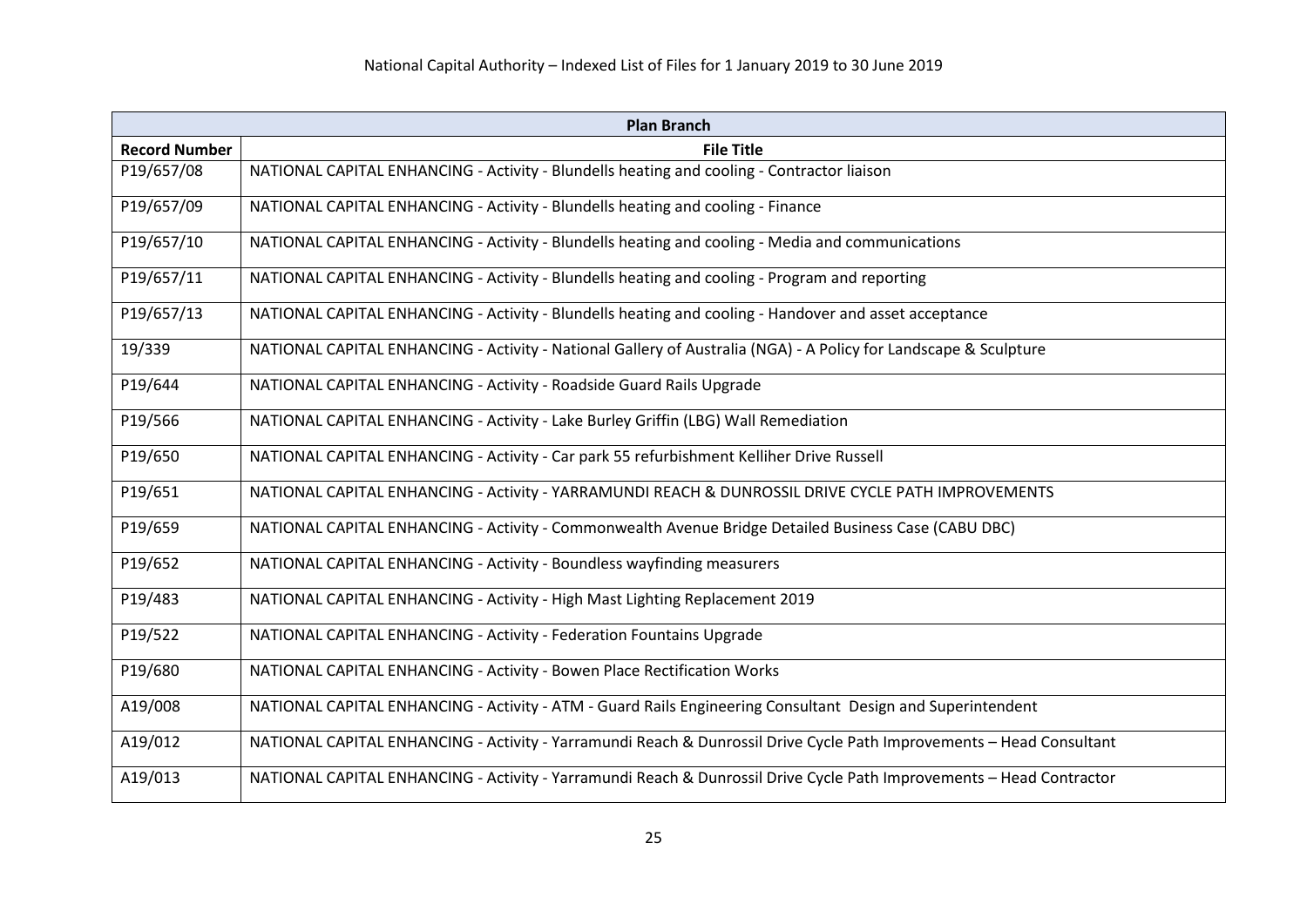| <b>Plan Branch</b>   |                                                                                                                      |
|----------------------|----------------------------------------------------------------------------------------------------------------------|
| <b>Record Number</b> | <b>File Title</b>                                                                                                    |
| P19/657/08           | NATIONAL CAPITAL ENHANCING - Activity - Blundells heating and cooling - Contractor liaison                           |
| P19/657/09           | NATIONAL CAPITAL ENHANCING - Activity - Blundells heating and cooling - Finance                                      |
| P19/657/10           | NATIONAL CAPITAL ENHANCING - Activity - Blundells heating and cooling - Media and communications                     |
| P19/657/11           | NATIONAL CAPITAL ENHANCING - Activity - Blundells heating and cooling - Program and reporting                        |
| P19/657/13           | NATIONAL CAPITAL ENHANCING - Activity - Blundells heating and cooling - Handover and asset acceptance                |
| 19/339               | NATIONAL CAPITAL ENHANCING - Activity - National Gallery of Australia (NGA) - A Policy for Landscape & Sculpture     |
| P19/644              | NATIONAL CAPITAL ENHANCING - Activity - Roadside Guard Rails Upgrade                                                 |
| P19/566              | NATIONAL CAPITAL ENHANCING - Activity - Lake Burley Griffin (LBG) Wall Remediation                                   |
| P19/650              | NATIONAL CAPITAL ENHANCING - Activity - Car park 55 refurbishment Kelliher Drive Russell                             |
| P19/651              | NATIONAL CAPITAL ENHANCING - Activity - YARRAMUNDI REACH & DUNROSSIL DRIVE CYCLE PATH IMPROVEMENTS                   |
| P19/659              | NATIONAL CAPITAL ENHANCING - Activity - Commonwealth Avenue Bridge Detailed Business Case (CABU DBC)                 |
| P19/652              | NATIONAL CAPITAL ENHANCING - Activity - Boundless wayfinding measurers                                               |
| P19/483              | NATIONAL CAPITAL ENHANCING - Activity - High Mast Lighting Replacement 2019                                          |
| P19/522              | NATIONAL CAPITAL ENHANCING - Activity - Federation Fountains Upgrade                                                 |
| P19/680              | NATIONAL CAPITAL ENHANCING - Activity - Bowen Place Rectification Works                                              |
| A19/008              | NATIONAL CAPITAL ENHANCING - Activity - ATM - Guard Rails Engineering Consultant Design and Superintendent           |
| A19/012              | NATIONAL CAPITAL ENHANCING - Activity - Yarramundi Reach & Dunrossil Drive Cycle Path Improvements - Head Consultant |
| A19/013              | NATIONAL CAPITAL ENHANCING - Activity - Yarramundi Reach & Dunrossil Drive Cycle Path Improvements - Head Contractor |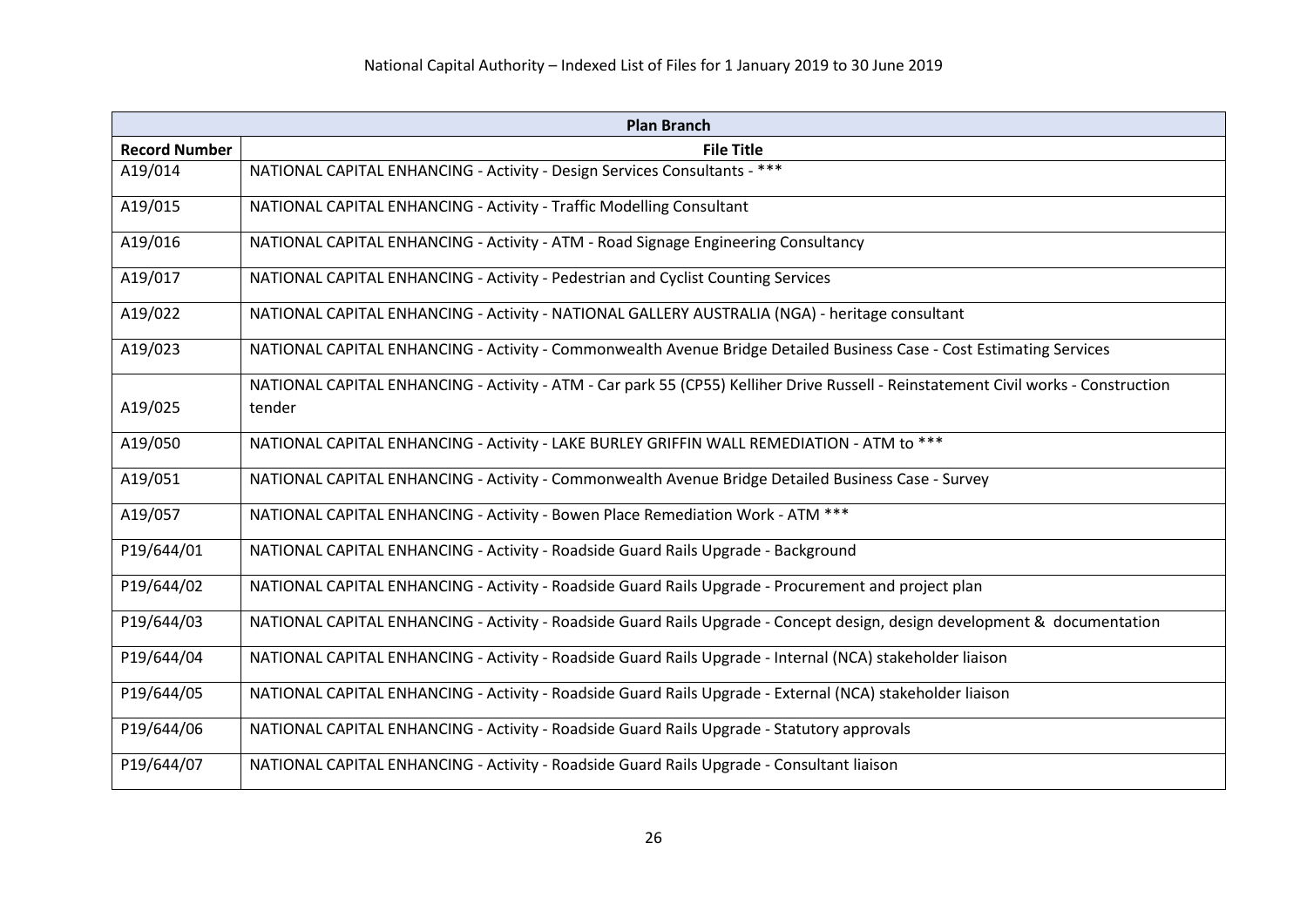| <b>Plan Branch</b>   |                                                                                                                                    |
|----------------------|------------------------------------------------------------------------------------------------------------------------------------|
| <b>Record Number</b> | <b>File Title</b>                                                                                                                  |
| A19/014              | NATIONAL CAPITAL ENHANCING - Activity - Design Services Consultants - ***                                                          |
| A19/015              | NATIONAL CAPITAL ENHANCING - Activity - Traffic Modelling Consultant                                                               |
| A19/016              | NATIONAL CAPITAL ENHANCING - Activity - ATM - Road Signage Engineering Consultancy                                                 |
| A19/017              | NATIONAL CAPITAL ENHANCING - Activity - Pedestrian and Cyclist Counting Services                                                   |
| A19/022              | NATIONAL CAPITAL ENHANCING - Activity - NATIONAL GALLERY AUSTRALIA (NGA) - heritage consultant                                     |
| A19/023              | NATIONAL CAPITAL ENHANCING - Activity - Commonwealth Avenue Bridge Detailed Business Case - Cost Estimating Services               |
|                      | NATIONAL CAPITAL ENHANCING - Activity - ATM - Car park 55 (CP55) Kelliher Drive Russell - Reinstatement Civil works - Construction |
| A19/025              | tender                                                                                                                             |
| A19/050              | NATIONAL CAPITAL ENHANCING - Activity - LAKE BURLEY GRIFFIN WALL REMEDIATION - ATM to ***                                          |
| A19/051              | NATIONAL CAPITAL ENHANCING - Activity - Commonwealth Avenue Bridge Detailed Business Case - Survey                                 |
| A19/057              | NATIONAL CAPITAL ENHANCING - Activity - Bowen Place Remediation Work - ATM ***                                                     |
| P19/644/01           | NATIONAL CAPITAL ENHANCING - Activity - Roadside Guard Rails Upgrade - Background                                                  |
| P19/644/02           | NATIONAL CAPITAL ENHANCING - Activity - Roadside Guard Rails Upgrade - Procurement and project plan                                |
| P19/644/03           | NATIONAL CAPITAL ENHANCING - Activity - Roadside Guard Rails Upgrade - Concept design, design development & documentation          |
| P19/644/04           | NATIONAL CAPITAL ENHANCING - Activity - Roadside Guard Rails Upgrade - Internal (NCA) stakeholder liaison                          |
| P19/644/05           | NATIONAL CAPITAL ENHANCING - Activity - Roadside Guard Rails Upgrade - External (NCA) stakeholder liaison                          |
| P19/644/06           | NATIONAL CAPITAL ENHANCING - Activity - Roadside Guard Rails Upgrade - Statutory approvals                                         |
| P19/644/07           | NATIONAL CAPITAL ENHANCING - Activity - Roadside Guard Rails Upgrade - Consultant liaison                                          |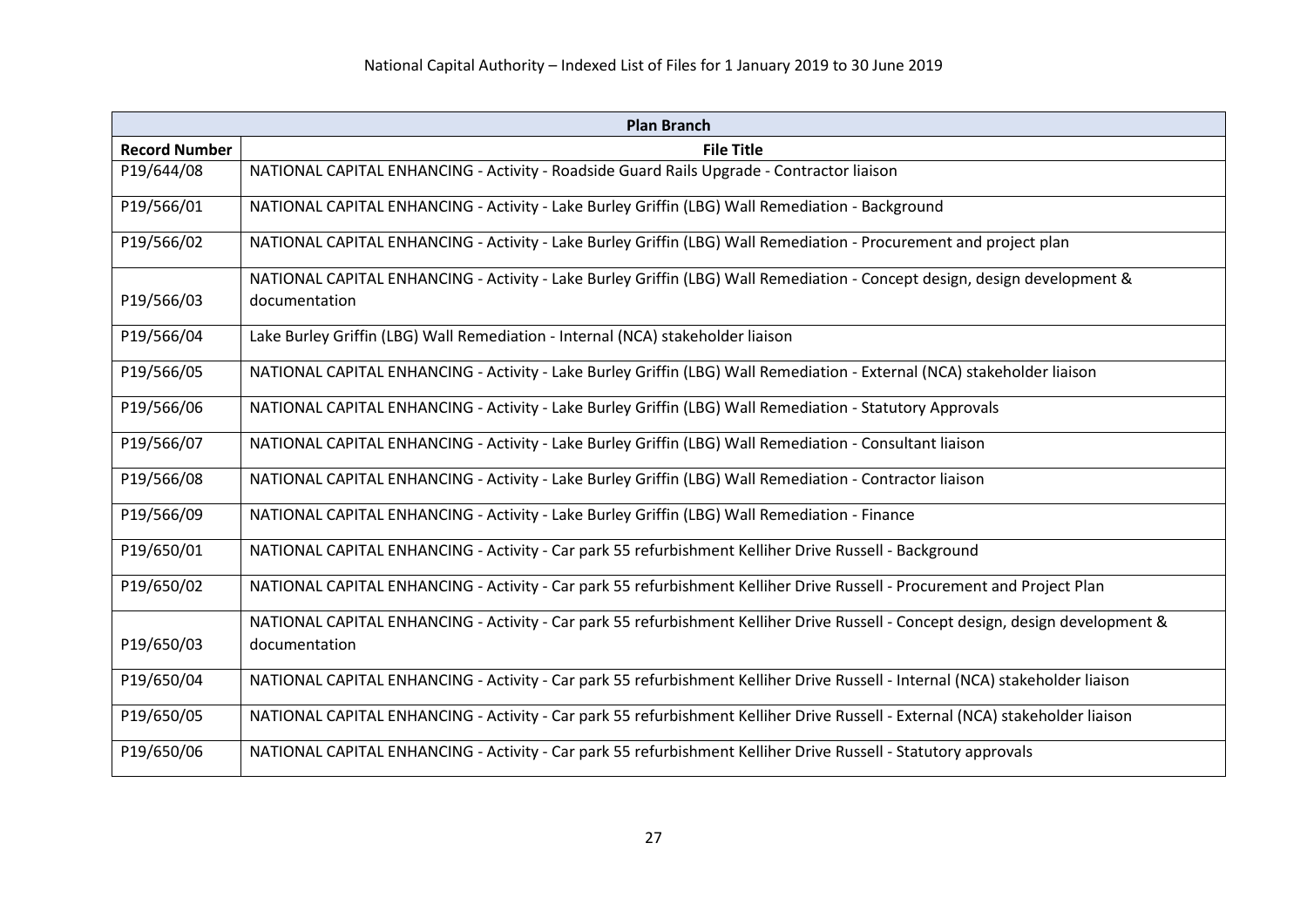| <b>Plan Branch</b>                                                                                                              |  |
|---------------------------------------------------------------------------------------------------------------------------------|--|
| <b>File Title</b>                                                                                                               |  |
| NATIONAL CAPITAL ENHANCING - Activity - Roadside Guard Rails Upgrade - Contractor liaison                                       |  |
| NATIONAL CAPITAL ENHANCING - Activity - Lake Burley Griffin (LBG) Wall Remediation - Background                                 |  |
| NATIONAL CAPITAL ENHANCING - Activity - Lake Burley Griffin (LBG) Wall Remediation - Procurement and project plan               |  |
| NATIONAL CAPITAL ENHANCING - Activity - Lake Burley Griffin (LBG) Wall Remediation - Concept design, design development &       |  |
| documentation                                                                                                                   |  |
| Lake Burley Griffin (LBG) Wall Remediation - Internal (NCA) stakeholder liaison                                                 |  |
| NATIONAL CAPITAL ENHANCING - Activity - Lake Burley Griffin (LBG) Wall Remediation - External (NCA) stakeholder liaison         |  |
| NATIONAL CAPITAL ENHANCING - Activity - Lake Burley Griffin (LBG) Wall Remediation - Statutory Approvals                        |  |
| NATIONAL CAPITAL ENHANCING - Activity - Lake Burley Griffin (LBG) Wall Remediation - Consultant liaison                         |  |
| NATIONAL CAPITAL ENHANCING - Activity - Lake Burley Griffin (LBG) Wall Remediation - Contractor liaison                         |  |
| NATIONAL CAPITAL ENHANCING - Activity - Lake Burley Griffin (LBG) Wall Remediation - Finance                                    |  |
| NATIONAL CAPITAL ENHANCING - Activity - Car park 55 refurbishment Kelliher Drive Russell - Background                           |  |
| NATIONAL CAPITAL ENHANCING - Activity - Car park 55 refurbishment Kelliher Drive Russell - Procurement and Project Plan         |  |
| NATIONAL CAPITAL ENHANCING - Activity - Car park 55 refurbishment Kelliher Drive Russell - Concept design, design development & |  |
| documentation                                                                                                                   |  |
| NATIONAL CAPITAL ENHANCING - Activity - Car park 55 refurbishment Kelliher Drive Russell - Internal (NCA) stakeholder liaison   |  |
| NATIONAL CAPITAL ENHANCING - Activity - Car park 55 refurbishment Kelliher Drive Russell - External (NCA) stakeholder liaison   |  |
| NATIONAL CAPITAL ENHANCING - Activity - Car park 55 refurbishment Kelliher Drive Russell - Statutory approvals                  |  |
|                                                                                                                                 |  |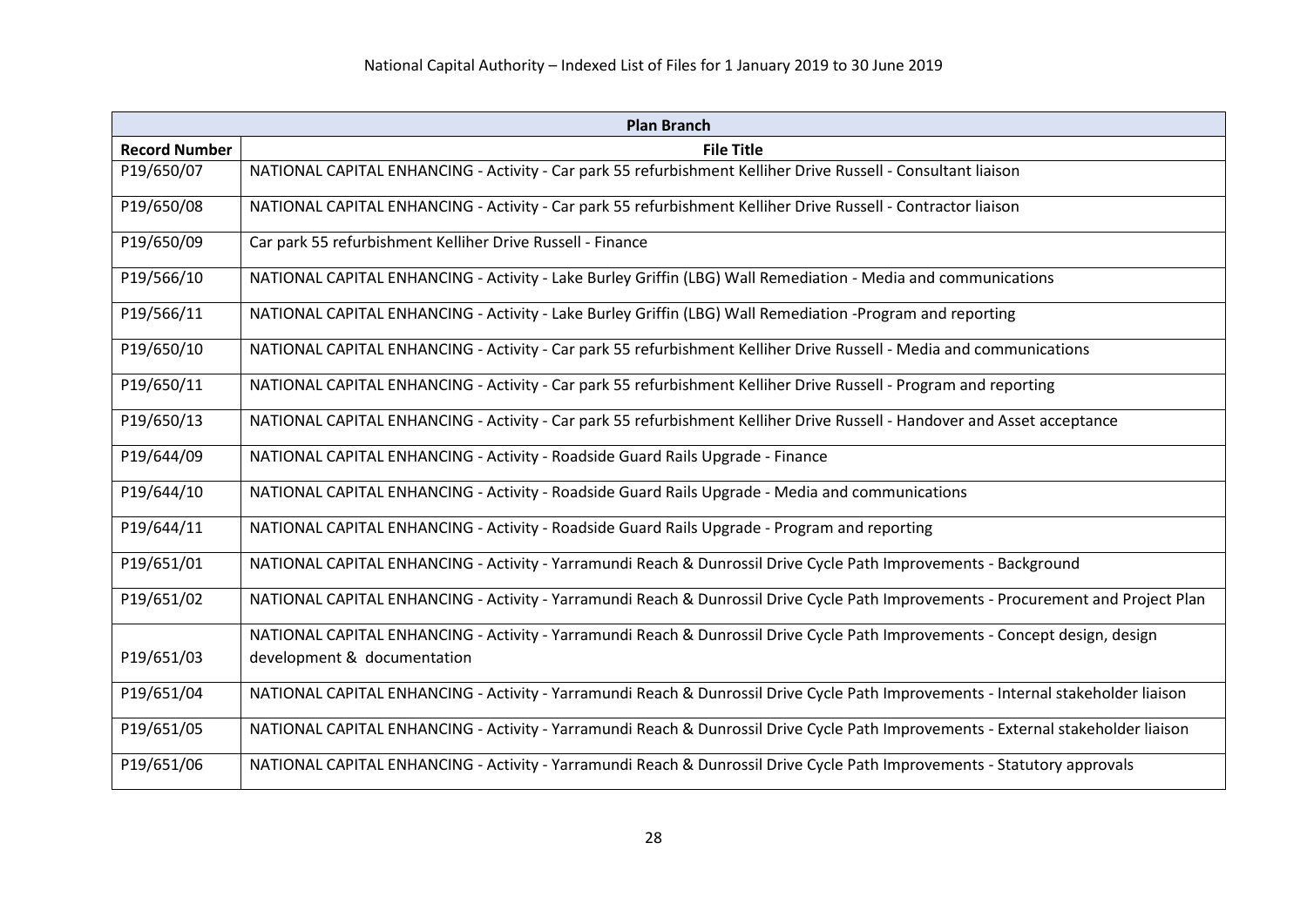| <b>Plan Branch</b>   |                                                                                                                                   |
|----------------------|-----------------------------------------------------------------------------------------------------------------------------------|
| <b>Record Number</b> | <b>File Title</b>                                                                                                                 |
| P19/650/07           | NATIONAL CAPITAL ENHANCING - Activity - Car park 55 refurbishment Kelliher Drive Russell - Consultant liaison                     |
| P19/650/08           | NATIONAL CAPITAL ENHANCING - Activity - Car park 55 refurbishment Kelliher Drive Russell - Contractor liaison                     |
| P19/650/09           | Car park 55 refurbishment Kelliher Drive Russell - Finance                                                                        |
| P19/566/10           | NATIONAL CAPITAL ENHANCING - Activity - Lake Burley Griffin (LBG) Wall Remediation - Media and communications                     |
| P19/566/11           | NATIONAL CAPITAL ENHANCING - Activity - Lake Burley Griffin (LBG) Wall Remediation -Program and reporting                         |
| P19/650/10           | NATIONAL CAPITAL ENHANCING - Activity - Car park 55 refurbishment Kelliher Drive Russell - Media and communications               |
| P19/650/11           | NATIONAL CAPITAL ENHANCING - Activity - Car park 55 refurbishment Kelliher Drive Russell - Program and reporting                  |
| P19/650/13           | NATIONAL CAPITAL ENHANCING - Activity - Car park 55 refurbishment Kelliher Drive Russell - Handover and Asset acceptance          |
| P19/644/09           | NATIONAL CAPITAL ENHANCING - Activity - Roadside Guard Rails Upgrade - Finance                                                    |
| P19/644/10           | NATIONAL CAPITAL ENHANCING - Activity - Roadside Guard Rails Upgrade - Media and communications                                   |
| P19/644/11           | NATIONAL CAPITAL ENHANCING - Activity - Roadside Guard Rails Upgrade - Program and reporting                                      |
| P19/651/01           | NATIONAL CAPITAL ENHANCING - Activity - Yarramundi Reach & Dunrossil Drive Cycle Path Improvements - Background                   |
| P19/651/02           | NATIONAL CAPITAL ENHANCING - Activity - Yarramundi Reach & Dunrossil Drive Cycle Path Improvements - Procurement and Project Plan |
|                      | NATIONAL CAPITAL ENHANCING - Activity - Yarramundi Reach & Dunrossil Drive Cycle Path Improvements - Concept design, design       |
| P19/651/03           | development & documentation                                                                                                       |
| P19/651/04           | NATIONAL CAPITAL ENHANCING - Activity - Yarramundi Reach & Dunrossil Drive Cycle Path Improvements - Internal stakeholder liaison |
| P19/651/05           | NATIONAL CAPITAL ENHANCING - Activity - Yarramundi Reach & Dunrossil Drive Cycle Path Improvements - External stakeholder liaison |
| P19/651/06           | NATIONAL CAPITAL ENHANCING - Activity - Yarramundi Reach & Dunrossil Drive Cycle Path Improvements - Statutory approvals          |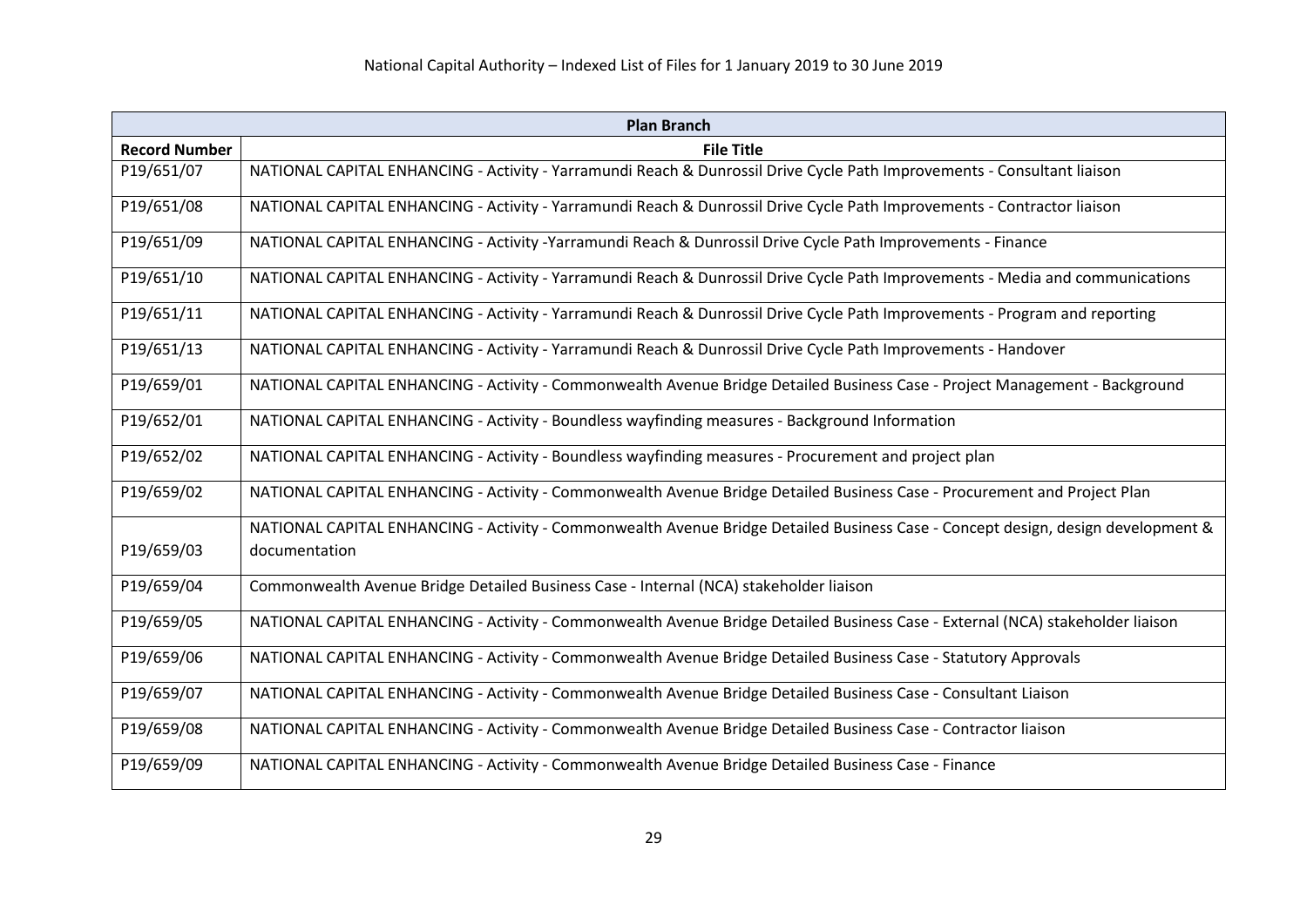| <b>Plan Branch</b>   |                                                                                                                                  |
|----------------------|----------------------------------------------------------------------------------------------------------------------------------|
| <b>Record Number</b> | <b>File Title</b>                                                                                                                |
| P19/651/07           | NATIONAL CAPITAL ENHANCING - Activity - Yarramundi Reach & Dunrossil Drive Cycle Path Improvements - Consultant liaison          |
| P19/651/08           | NATIONAL CAPITAL ENHANCING - Activity - Yarramundi Reach & Dunrossil Drive Cycle Path Improvements - Contractor liaison          |
| P19/651/09           | NATIONAL CAPITAL ENHANCING - Activity -Yarramundi Reach & Dunrossil Drive Cycle Path Improvements - Finance                      |
| P19/651/10           | NATIONAL CAPITAL ENHANCING - Activity - Yarramundi Reach & Dunrossil Drive Cycle Path Improvements - Media and communications    |
| P19/651/11           | NATIONAL CAPITAL ENHANCING - Activity - Yarramundi Reach & Dunrossil Drive Cycle Path Improvements - Program and reporting       |
| P19/651/13           | NATIONAL CAPITAL ENHANCING - Activity - Yarramundi Reach & Dunrossil Drive Cycle Path Improvements - Handover                    |
| P19/659/01           | NATIONAL CAPITAL ENHANCING - Activity - Commonwealth Avenue Bridge Detailed Business Case - Project Management - Background      |
| P19/652/01           | NATIONAL CAPITAL ENHANCING - Activity - Boundless wayfinding measures - Background Information                                   |
| P19/652/02           | NATIONAL CAPITAL ENHANCING - Activity - Boundless wayfinding measures - Procurement and project plan                             |
| P19/659/02           | NATIONAL CAPITAL ENHANCING - Activity - Commonwealth Avenue Bridge Detailed Business Case - Procurement and Project Plan         |
|                      | NATIONAL CAPITAL ENHANCING - Activity - Commonwealth Avenue Bridge Detailed Business Case - Concept design, design development & |
| P19/659/03           | documentation                                                                                                                    |
| P19/659/04           | Commonwealth Avenue Bridge Detailed Business Case - Internal (NCA) stakeholder liaison                                           |
| P19/659/05           | NATIONAL CAPITAL ENHANCING - Activity - Commonwealth Avenue Bridge Detailed Business Case - External (NCA) stakeholder liaison   |
| P19/659/06           | NATIONAL CAPITAL ENHANCING - Activity - Commonwealth Avenue Bridge Detailed Business Case - Statutory Approvals                  |
| P19/659/07           | NATIONAL CAPITAL ENHANCING - Activity - Commonwealth Avenue Bridge Detailed Business Case - Consultant Liaison                   |
| P19/659/08           | NATIONAL CAPITAL ENHANCING - Activity - Commonwealth Avenue Bridge Detailed Business Case - Contractor liaison                   |
| P19/659/09           | NATIONAL CAPITAL ENHANCING - Activity - Commonwealth Avenue Bridge Detailed Business Case - Finance                              |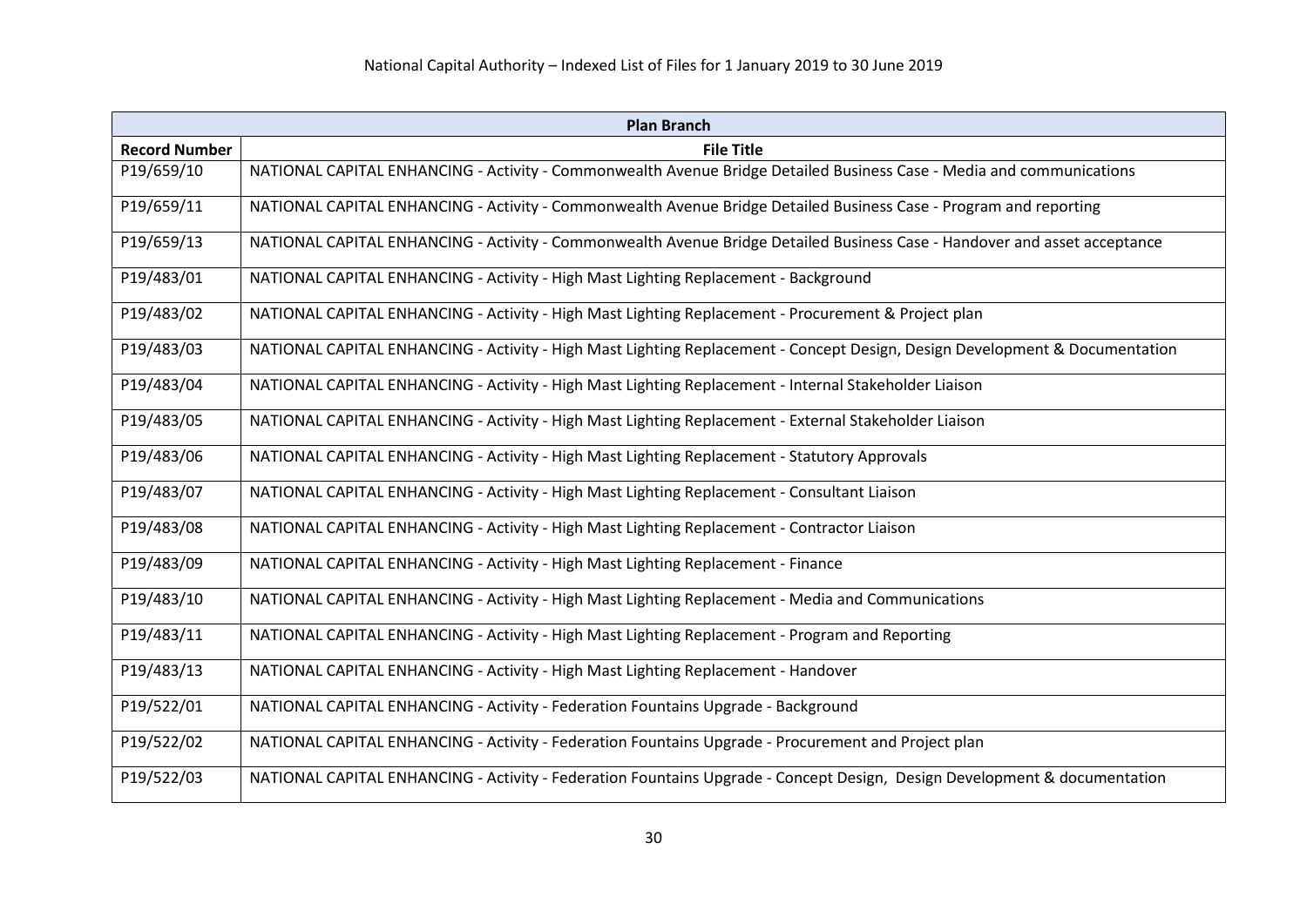| <b>Plan Branch</b>   |                                                                                                                             |
|----------------------|-----------------------------------------------------------------------------------------------------------------------------|
| <b>Record Number</b> | <b>File Title</b>                                                                                                           |
| P19/659/10           | NATIONAL CAPITAL ENHANCING - Activity - Commonwealth Avenue Bridge Detailed Business Case - Media and communications        |
| P19/659/11           | NATIONAL CAPITAL ENHANCING - Activity - Commonwealth Avenue Bridge Detailed Business Case - Program and reporting           |
| P19/659/13           | NATIONAL CAPITAL ENHANCING - Activity - Commonwealth Avenue Bridge Detailed Business Case - Handover and asset acceptance   |
| P19/483/01           | NATIONAL CAPITAL ENHANCING - Activity - High Mast Lighting Replacement - Background                                         |
| P19/483/02           | NATIONAL CAPITAL ENHANCING - Activity - High Mast Lighting Replacement - Procurement & Project plan                         |
| P19/483/03           | NATIONAL CAPITAL ENHANCING - Activity - High Mast Lighting Replacement - Concept Design, Design Development & Documentation |
| P19/483/04           | NATIONAL CAPITAL ENHANCING - Activity - High Mast Lighting Replacement - Internal Stakeholder Liaison                       |
| P19/483/05           | NATIONAL CAPITAL ENHANCING - Activity - High Mast Lighting Replacement - External Stakeholder Liaison                       |
| P19/483/06           | NATIONAL CAPITAL ENHANCING - Activity - High Mast Lighting Replacement - Statutory Approvals                                |
| P19/483/07           | NATIONAL CAPITAL ENHANCING - Activity - High Mast Lighting Replacement - Consultant Liaison                                 |
| P19/483/08           | NATIONAL CAPITAL ENHANCING - Activity - High Mast Lighting Replacement - Contractor Liaison                                 |
| P19/483/09           | NATIONAL CAPITAL ENHANCING - Activity - High Mast Lighting Replacement - Finance                                            |
| P19/483/10           | NATIONAL CAPITAL ENHANCING - Activity - High Mast Lighting Replacement - Media and Communications                           |
| P19/483/11           | NATIONAL CAPITAL ENHANCING - Activity - High Mast Lighting Replacement - Program and Reporting                              |
| P19/483/13           | NATIONAL CAPITAL ENHANCING - Activity - High Mast Lighting Replacement - Handover                                           |
| P19/522/01           | NATIONAL CAPITAL ENHANCING - Activity - Federation Fountains Upgrade - Background                                           |
| P19/522/02           | NATIONAL CAPITAL ENHANCING - Activity - Federation Fountains Upgrade - Procurement and Project plan                         |
| P19/522/03           | NATIONAL CAPITAL ENHANCING - Activity - Federation Fountains Upgrade - Concept Design, Design Development & documentation   |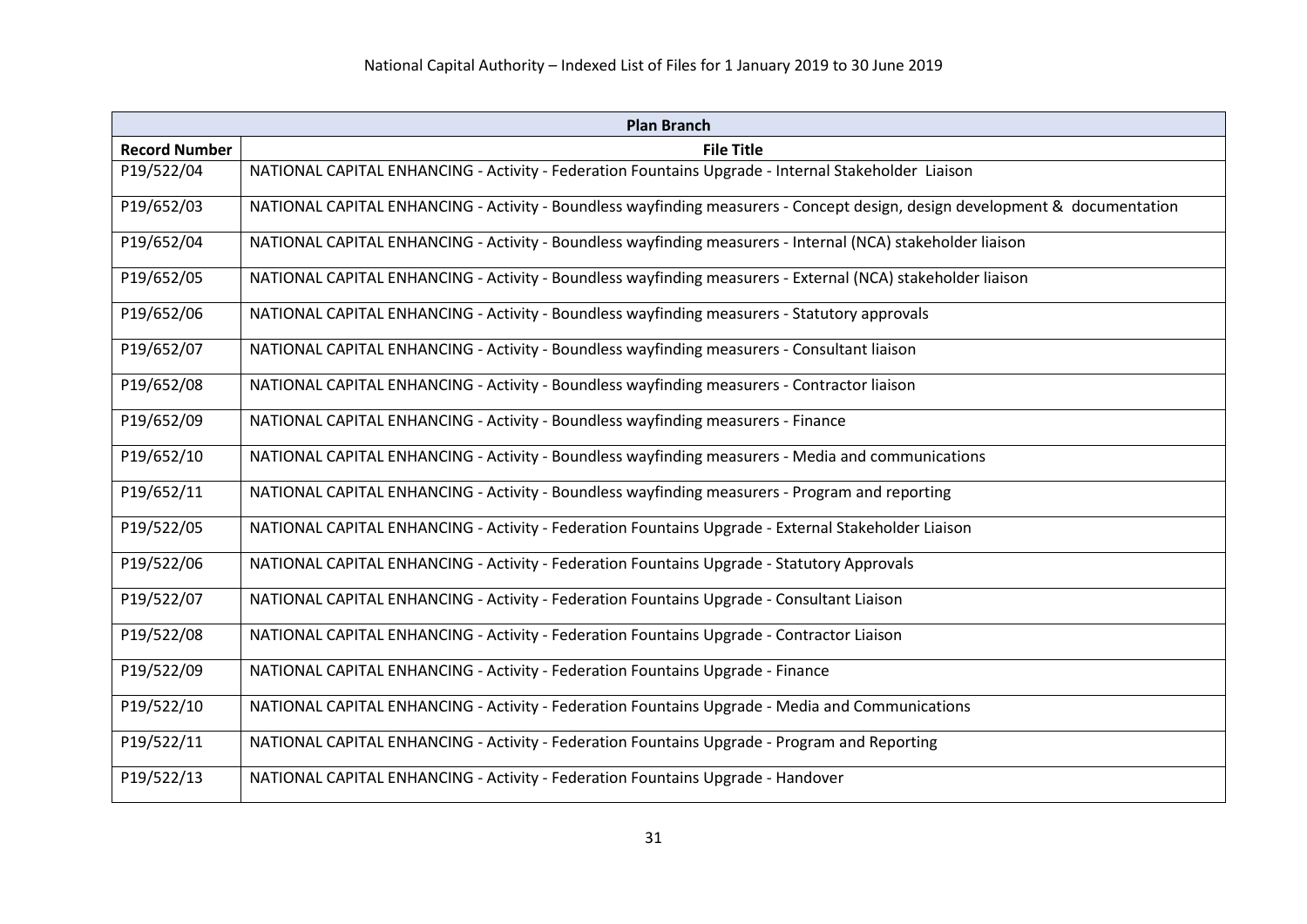| <b>Plan Branch</b>   |                                                                                                                             |
|----------------------|-----------------------------------------------------------------------------------------------------------------------------|
| <b>Record Number</b> | <b>File Title</b>                                                                                                           |
| P19/522/04           | NATIONAL CAPITAL ENHANCING - Activity - Federation Fountains Upgrade - Internal Stakeholder Liaison                         |
| P19/652/03           | NATIONAL CAPITAL ENHANCING - Activity - Boundless wayfinding measurers - Concept design, design development & documentation |
| P19/652/04           | NATIONAL CAPITAL ENHANCING - Activity - Boundless wayfinding measurers - Internal (NCA) stakeholder liaison                 |
| P19/652/05           | NATIONAL CAPITAL ENHANCING - Activity - Boundless wayfinding measurers - External (NCA) stakeholder liaison                 |
| P19/652/06           | NATIONAL CAPITAL ENHANCING - Activity - Boundless wayfinding measurers - Statutory approvals                                |
| P19/652/07           | NATIONAL CAPITAL ENHANCING - Activity - Boundless wayfinding measurers - Consultant liaison                                 |
| P19/652/08           | NATIONAL CAPITAL ENHANCING - Activity - Boundless wayfinding measurers - Contractor liaison                                 |
| P19/652/09           | NATIONAL CAPITAL ENHANCING - Activity - Boundless wayfinding measurers - Finance                                            |
| P19/652/10           | NATIONAL CAPITAL ENHANCING - Activity - Boundless wayfinding measurers - Media and communications                           |
| P19/652/11           | NATIONAL CAPITAL ENHANCING - Activity - Boundless wayfinding measurers - Program and reporting                              |
| P19/522/05           | NATIONAL CAPITAL ENHANCING - Activity - Federation Fountains Upgrade - External Stakeholder Liaison                         |
| P19/522/06           | NATIONAL CAPITAL ENHANCING - Activity - Federation Fountains Upgrade - Statutory Approvals                                  |
| P19/522/07           | NATIONAL CAPITAL ENHANCING - Activity - Federation Fountains Upgrade - Consultant Liaison                                   |
| P19/522/08           | NATIONAL CAPITAL ENHANCING - Activity - Federation Fountains Upgrade - Contractor Liaison                                   |
| P19/522/09           | NATIONAL CAPITAL ENHANCING - Activity - Federation Fountains Upgrade - Finance                                              |
| P19/522/10           | NATIONAL CAPITAL ENHANCING - Activity - Federation Fountains Upgrade - Media and Communications                             |
| P19/522/11           | NATIONAL CAPITAL ENHANCING - Activity - Federation Fountains Upgrade - Program and Reporting                                |
| P19/522/13           | NATIONAL CAPITAL ENHANCING - Activity - Federation Fountains Upgrade - Handover                                             |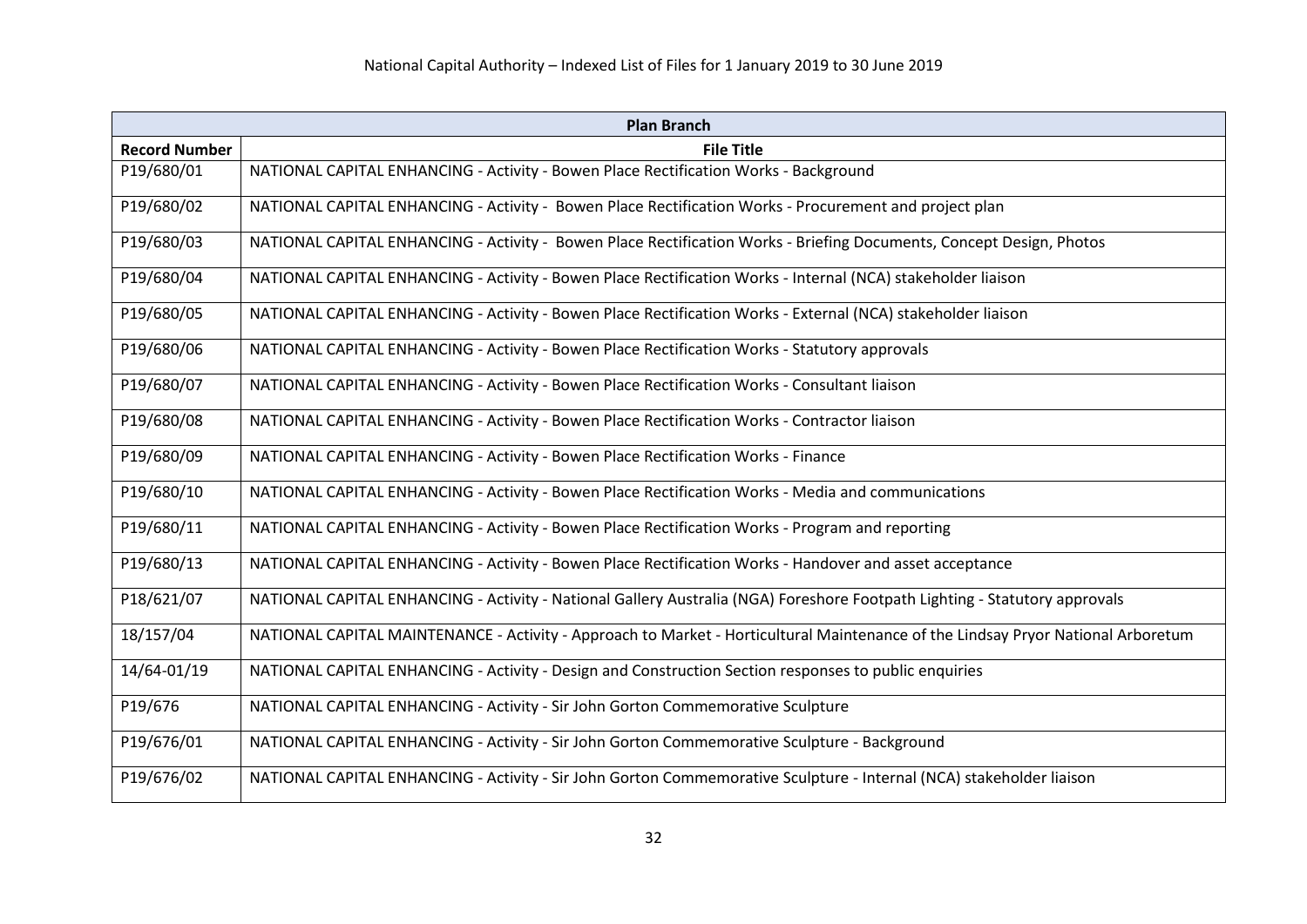| <b>Plan Branch</b>   |                                                                                                                                  |
|----------------------|----------------------------------------------------------------------------------------------------------------------------------|
| <b>Record Number</b> | <b>File Title</b>                                                                                                                |
| P19/680/01           | NATIONAL CAPITAL ENHANCING - Activity - Bowen Place Rectification Works - Background                                             |
| P19/680/02           | NATIONAL CAPITAL ENHANCING - Activity - Bowen Place Rectification Works - Procurement and project plan                           |
| P19/680/03           | NATIONAL CAPITAL ENHANCING - Activity - Bowen Place Rectification Works - Briefing Documents, Concept Design, Photos             |
| P19/680/04           | NATIONAL CAPITAL ENHANCING - Activity - Bowen Place Rectification Works - Internal (NCA) stakeholder liaison                     |
| P19/680/05           | NATIONAL CAPITAL ENHANCING - Activity - Bowen Place Rectification Works - External (NCA) stakeholder liaison                     |
| P19/680/06           | NATIONAL CAPITAL ENHANCING - Activity - Bowen Place Rectification Works - Statutory approvals                                    |
| P19/680/07           | NATIONAL CAPITAL ENHANCING - Activity - Bowen Place Rectification Works - Consultant liaison                                     |
| P19/680/08           | NATIONAL CAPITAL ENHANCING - Activity - Bowen Place Rectification Works - Contractor liaison                                     |
| P19/680/09           | NATIONAL CAPITAL ENHANCING - Activity - Bowen Place Rectification Works - Finance                                                |
| P19/680/10           | NATIONAL CAPITAL ENHANCING - Activity - Bowen Place Rectification Works - Media and communications                               |
| P19/680/11           | NATIONAL CAPITAL ENHANCING - Activity - Bowen Place Rectification Works - Program and reporting                                  |
| P19/680/13           | NATIONAL CAPITAL ENHANCING - Activity - Bowen Place Rectification Works - Handover and asset acceptance                          |
| P18/621/07           | NATIONAL CAPITAL ENHANCING - Activity - National Gallery Australia (NGA) Foreshore Footpath Lighting - Statutory approvals       |
| 18/157/04            | NATIONAL CAPITAL MAINTENANCE - Activity - Approach to Market - Horticultural Maintenance of the Lindsay Pryor National Arboretum |
| 14/64-01/19          | NATIONAL CAPITAL ENHANCING - Activity - Design and Construction Section responses to public enquiries                            |
| P19/676              | NATIONAL CAPITAL ENHANCING - Activity - Sir John Gorton Commemorative Sculpture                                                  |
| P19/676/01           | NATIONAL CAPITAL ENHANCING - Activity - Sir John Gorton Commemorative Sculpture - Background                                     |
| P19/676/02           | NATIONAL CAPITAL ENHANCING - Activity - Sir John Gorton Commemorative Sculpture - Internal (NCA) stakeholder liaison             |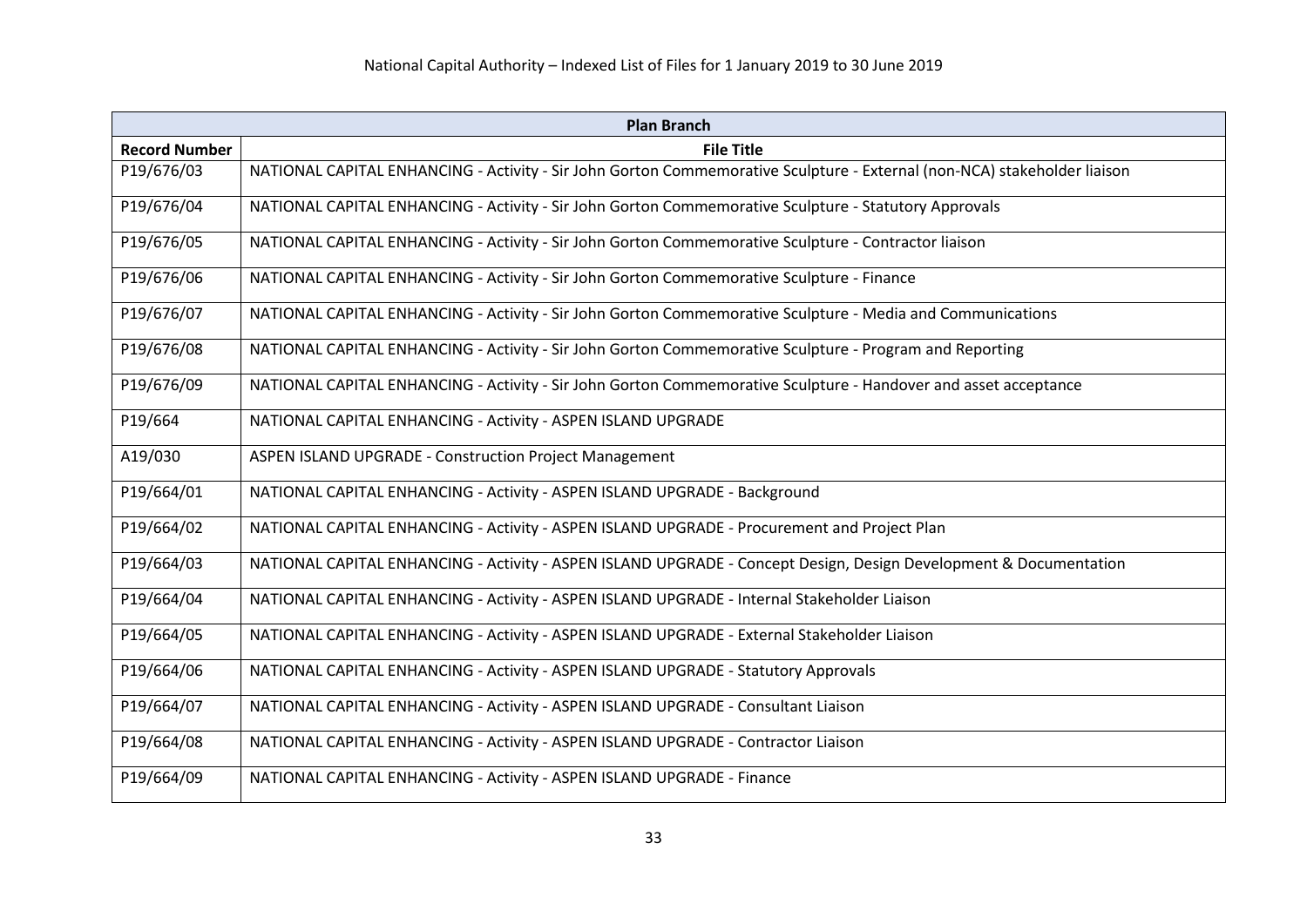| <b>Plan Branch</b>                                                                                                       |  |
|--------------------------------------------------------------------------------------------------------------------------|--|
| <b>File Title</b>                                                                                                        |  |
| NATIONAL CAPITAL ENHANCING - Activity - Sir John Gorton Commemorative Sculpture - External (non-NCA) stakeholder liaison |  |
| NATIONAL CAPITAL ENHANCING - Activity - Sir John Gorton Commemorative Sculpture - Statutory Approvals                    |  |
| NATIONAL CAPITAL ENHANCING - Activity - Sir John Gorton Commemorative Sculpture - Contractor liaison                     |  |
| NATIONAL CAPITAL ENHANCING - Activity - Sir John Gorton Commemorative Sculpture - Finance                                |  |
| NATIONAL CAPITAL ENHANCING - Activity - Sir John Gorton Commemorative Sculpture - Media and Communications               |  |
| NATIONAL CAPITAL ENHANCING - Activity - Sir John Gorton Commemorative Sculpture - Program and Reporting                  |  |
| NATIONAL CAPITAL ENHANCING - Activity - Sir John Gorton Commemorative Sculpture - Handover and asset acceptance          |  |
| NATIONAL CAPITAL ENHANCING - Activity - ASPEN ISLAND UPGRADE                                                             |  |
| <b>ASPEN ISLAND UPGRADE - Construction Project Management</b>                                                            |  |
| NATIONAL CAPITAL ENHANCING - Activity - ASPEN ISLAND UPGRADE - Background                                                |  |
| NATIONAL CAPITAL ENHANCING - Activity - ASPEN ISLAND UPGRADE - Procurement and Project Plan                              |  |
| NATIONAL CAPITAL ENHANCING - Activity - ASPEN ISLAND UPGRADE - Concept Design, Design Development & Documentation        |  |
| NATIONAL CAPITAL ENHANCING - Activity - ASPEN ISLAND UPGRADE - Internal Stakeholder Liaison                              |  |
| NATIONAL CAPITAL ENHANCING - Activity - ASPEN ISLAND UPGRADE - External Stakeholder Liaison                              |  |
| NATIONAL CAPITAL ENHANCING - Activity - ASPEN ISLAND UPGRADE - Statutory Approvals                                       |  |
| NATIONAL CAPITAL ENHANCING - Activity - ASPEN ISLAND UPGRADE - Consultant Liaison                                        |  |
| NATIONAL CAPITAL ENHANCING - Activity - ASPEN ISLAND UPGRADE - Contractor Liaison                                        |  |
| NATIONAL CAPITAL ENHANCING - Activity - ASPEN ISLAND UPGRADE - Finance                                                   |  |
|                                                                                                                          |  |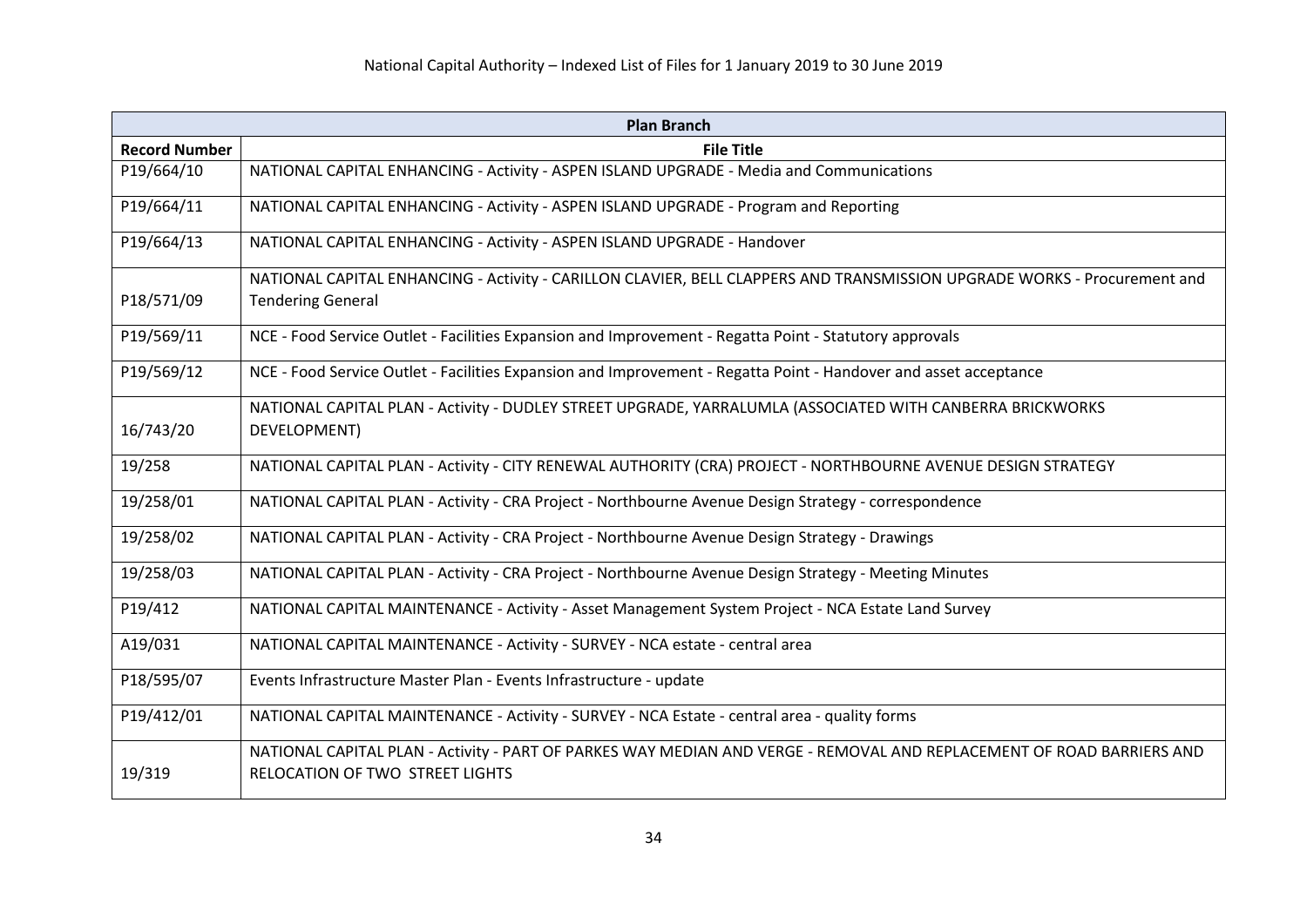| <b>Plan Branch</b>   |                                                                                                                                                          |
|----------------------|----------------------------------------------------------------------------------------------------------------------------------------------------------|
| <b>Record Number</b> | <b>File Title</b>                                                                                                                                        |
| P19/664/10           | NATIONAL CAPITAL ENHANCING - Activity - ASPEN ISLAND UPGRADE - Media and Communications                                                                  |
| P19/664/11           | NATIONAL CAPITAL ENHANCING - Activity - ASPEN ISLAND UPGRADE - Program and Reporting                                                                     |
| P19/664/13           | NATIONAL CAPITAL ENHANCING - Activity - ASPEN ISLAND UPGRADE - Handover                                                                                  |
|                      | NATIONAL CAPITAL ENHANCING - Activity - CARILLON CLAVIER, BELL CLAPPERS AND TRANSMISSION UPGRADE WORKS - Procurement and                                 |
| P18/571/09           | <b>Tendering General</b>                                                                                                                                 |
| P19/569/11           | NCE - Food Service Outlet - Facilities Expansion and Improvement - Regatta Point - Statutory approvals                                                   |
| P19/569/12           | NCE - Food Service Outlet - Facilities Expansion and Improvement - Regatta Point - Handover and asset acceptance                                         |
|                      | NATIONAL CAPITAL PLAN - Activity - DUDLEY STREET UPGRADE, YARRALUMLA (ASSOCIATED WITH CANBERRA BRICKWORKS                                                |
| 16/743/20            | DEVELOPMENT)                                                                                                                                             |
| 19/258               | NATIONAL CAPITAL PLAN - Activity - CITY RENEWAL AUTHORITY (CRA) PROJECT - NORTHBOURNE AVENUE DESIGN STRATEGY                                             |
| 19/258/01            | NATIONAL CAPITAL PLAN - Activity - CRA Project - Northbourne Avenue Design Strategy - correspondence                                                     |
| 19/258/02            | NATIONAL CAPITAL PLAN - Activity - CRA Project - Northbourne Avenue Design Strategy - Drawings                                                           |
| 19/258/03            | NATIONAL CAPITAL PLAN - Activity - CRA Project - Northbourne Avenue Design Strategy - Meeting Minutes                                                    |
| P19/412              | NATIONAL CAPITAL MAINTENANCE - Activity - Asset Management System Project - NCA Estate Land Survey                                                       |
| A19/031              | NATIONAL CAPITAL MAINTENANCE - Activity - SURVEY - NCA estate - central area                                                                             |
| P18/595/07           | Events Infrastructure Master Plan - Events Infrastructure - update                                                                                       |
| P19/412/01           | NATIONAL CAPITAL MAINTENANCE - Activity - SURVEY - NCA Estate - central area - quality forms                                                             |
| 19/319               | NATIONAL CAPITAL PLAN - Activity - PART OF PARKES WAY MEDIAN AND VERGE - REMOVAL AND REPLACEMENT OF ROAD BARRIERS AND<br>RELOCATION OF TWO STREET LIGHTS |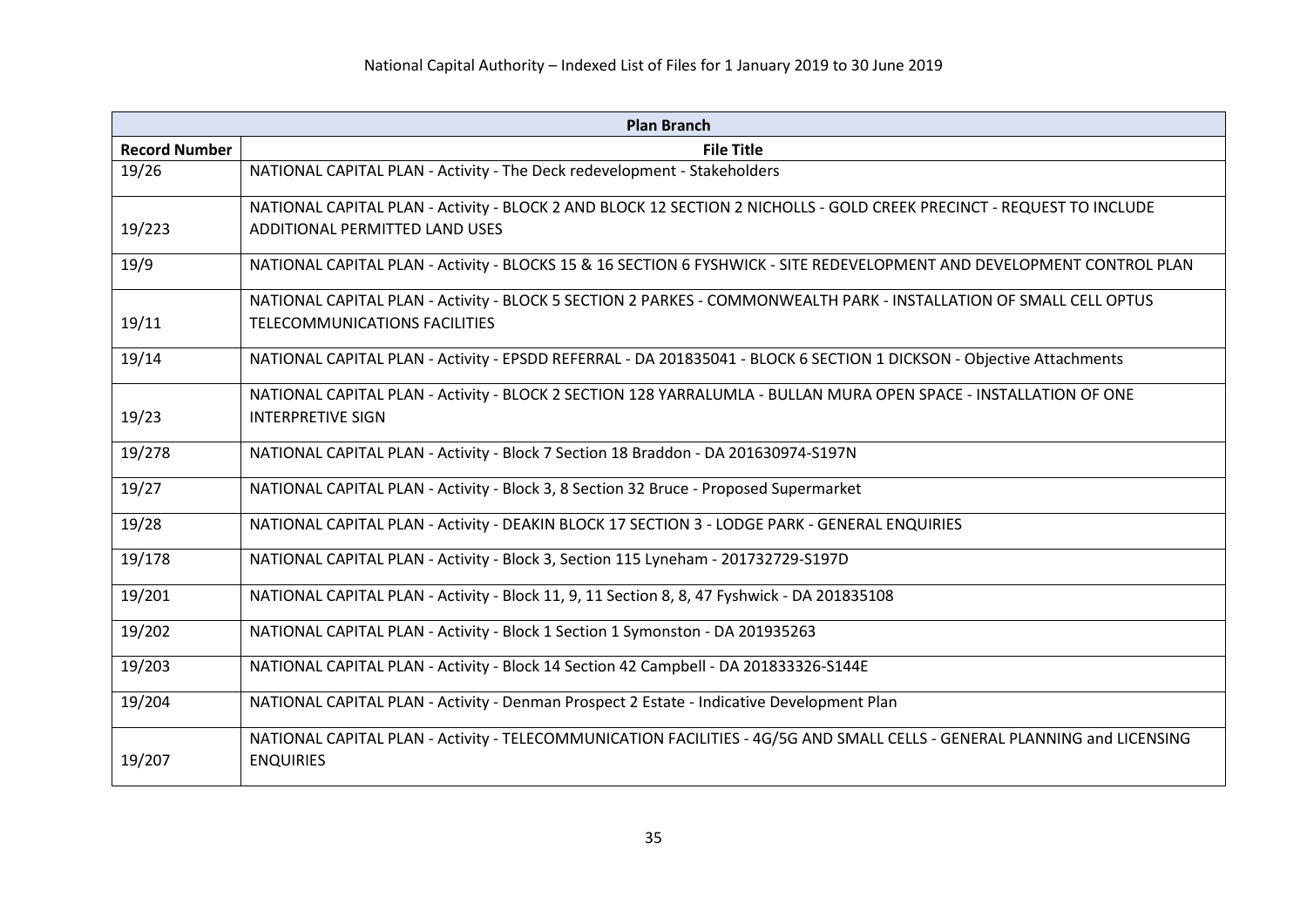| <b>Plan Branch</b>   |                                                                                                                                              |
|----------------------|----------------------------------------------------------------------------------------------------------------------------------------------|
| <b>Record Number</b> | <b>File Title</b>                                                                                                                            |
| 19/26                | NATIONAL CAPITAL PLAN - Activity - The Deck redevelopment - Stakeholders                                                                     |
|                      | NATIONAL CAPITAL PLAN - Activity - BLOCK 2 AND BLOCK 12 SECTION 2 NICHOLLS - GOLD CREEK PRECINCT - REQUEST TO INCLUDE                        |
| 19/223               | ADDITIONAL PERMITTED LAND USES                                                                                                               |
| 19/9                 | NATIONAL CAPITAL PLAN - Activity - BLOCKS 15 & 16 SECTION 6 FYSHWICK - SITE REDEVELOPMENT AND DEVELOPMENT CONTROL PLAN                       |
|                      | NATIONAL CAPITAL PLAN - Activity - BLOCK 5 SECTION 2 PARKES - COMMONWEALTH PARK - INSTALLATION OF SMALL CELL OPTUS                           |
| 19/11                | <b>TELECOMMUNICATIONS FACILITIES</b>                                                                                                         |
| 19/14                | NATIONAL CAPITAL PLAN - Activity - EPSDD REFERRAL - DA 201835041 - BLOCK 6 SECTION 1 DICKSON - Objective Attachments                         |
|                      | NATIONAL CAPITAL PLAN - Activity - BLOCK 2 SECTION 128 YARRALUMLA - BULLAN MURA OPEN SPACE - INSTALLATION OF ONE                             |
| 19/23                | <b>INTERPRETIVE SIGN</b>                                                                                                                     |
| 19/278               | NATIONAL CAPITAL PLAN - Activity - Block 7 Section 18 Braddon - DA 201630974-S197N                                                           |
| 19/27                | NATIONAL CAPITAL PLAN - Activity - Block 3, 8 Section 32 Bruce - Proposed Supermarket                                                        |
| 19/28                | NATIONAL CAPITAL PLAN - Activity - DEAKIN BLOCK 17 SECTION 3 - LODGE PARK - GENERAL ENQUIRIES                                                |
| 19/178               | NATIONAL CAPITAL PLAN - Activity - Block 3, Section 115 Lyneham - 201732729-S197D                                                            |
| 19/201               | NATIONAL CAPITAL PLAN - Activity - Block 11, 9, 11 Section 8, 8, 47 Fyshwick - DA 201835108                                                  |
| 19/202               | NATIONAL CAPITAL PLAN - Activity - Block 1 Section 1 Symonston - DA 201935263                                                                |
| 19/203               | NATIONAL CAPITAL PLAN - Activity - Block 14 Section 42 Campbell - DA 201833326-S144E                                                         |
| 19/204               | NATIONAL CAPITAL PLAN - Activity - Denman Prospect 2 Estate - Indicative Development Plan                                                    |
| 19/207               | NATIONAL CAPITAL PLAN - Activity - TELECOMMUNICATION FACILITIES - 4G/5G AND SMALL CELLS - GENERAL PLANNING and LICENSING<br><b>ENQUIRIES</b> |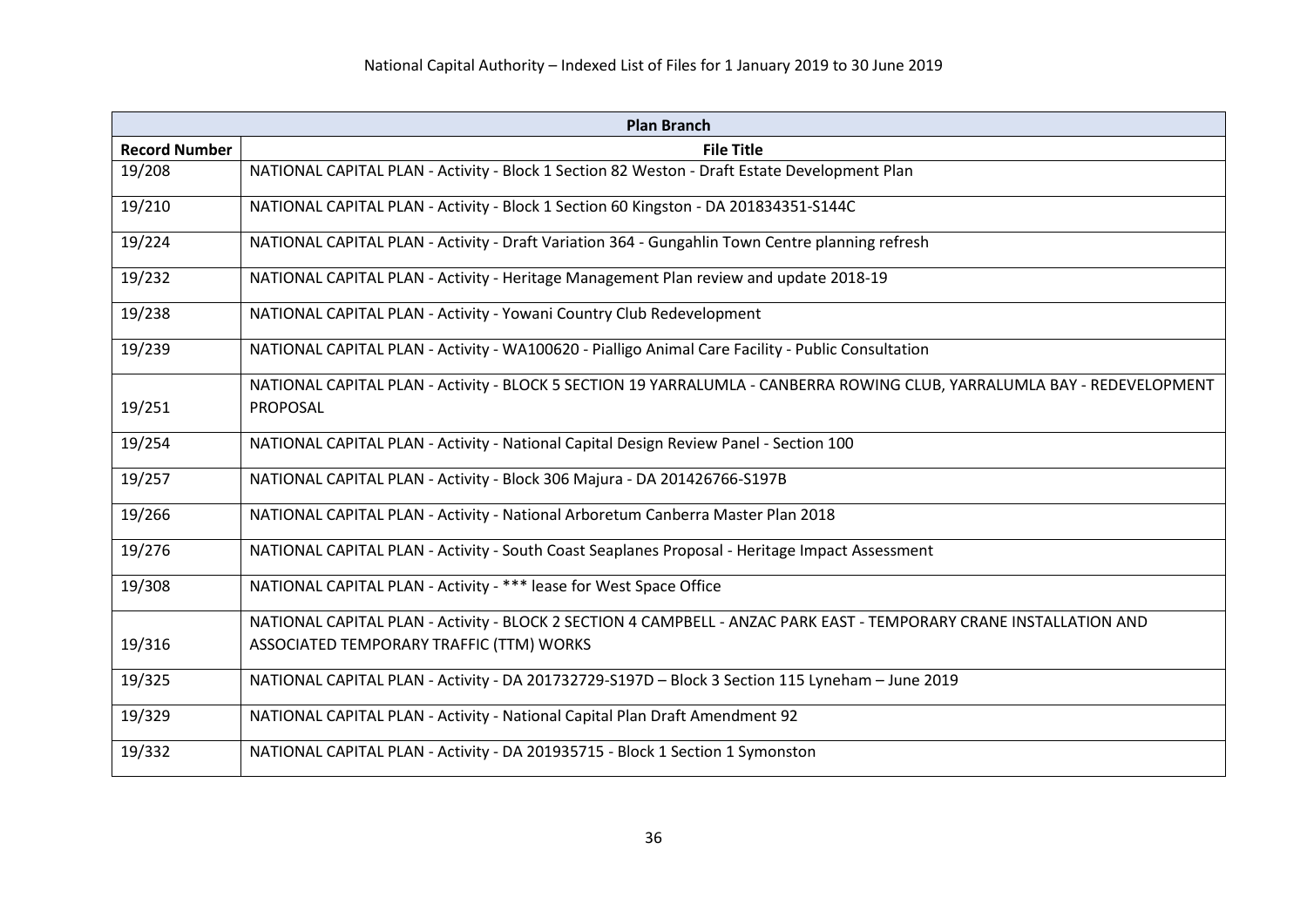| <b>Plan Branch</b>   |                                                                                                                         |
|----------------------|-------------------------------------------------------------------------------------------------------------------------|
| <b>Record Number</b> | <b>File Title</b>                                                                                                       |
| 19/208               | NATIONAL CAPITAL PLAN - Activity - Block 1 Section 82 Weston - Draft Estate Development Plan                            |
| 19/210               | NATIONAL CAPITAL PLAN - Activity - Block 1 Section 60 Kingston - DA 201834351-S144C                                     |
| 19/224               | NATIONAL CAPITAL PLAN - Activity - Draft Variation 364 - Gungahlin Town Centre planning refresh                         |
| 19/232               | NATIONAL CAPITAL PLAN - Activity - Heritage Management Plan review and update 2018-19                                   |
| 19/238               | NATIONAL CAPITAL PLAN - Activity - Yowani Country Club Redevelopment                                                    |
| 19/239               | NATIONAL CAPITAL PLAN - Activity - WA100620 - Pialligo Animal Care Facility - Public Consultation                       |
|                      | NATIONAL CAPITAL PLAN - Activity - BLOCK 5 SECTION 19 YARRALUMLA - CANBERRA ROWING CLUB, YARRALUMLA BAY - REDEVELOPMENT |
| 19/251               | PROPOSAL                                                                                                                |
| 19/254               | NATIONAL CAPITAL PLAN - Activity - National Capital Design Review Panel - Section 100                                   |
| 19/257               | NATIONAL CAPITAL PLAN - Activity - Block 306 Majura - DA 201426766-S197B                                                |
| 19/266               | NATIONAL CAPITAL PLAN - Activity - National Arboretum Canberra Master Plan 2018                                         |
| 19/276               | NATIONAL CAPITAL PLAN - Activity - South Coast Seaplanes Proposal - Heritage Impact Assessment                          |
| 19/308               | NATIONAL CAPITAL PLAN - Activity - *** lease for West Space Office                                                      |
|                      | NATIONAL CAPITAL PLAN - Activity - BLOCK 2 SECTION 4 CAMPBELL - ANZAC PARK EAST - TEMPORARY CRANE INSTALLATION AND      |
| 19/316               | ASSOCIATED TEMPORARY TRAFFIC (TTM) WORKS                                                                                |
| 19/325               | NATIONAL CAPITAL PLAN - Activity - DA 201732729-S197D - Block 3 Section 115 Lyneham - June 2019                         |
| 19/329               | NATIONAL CAPITAL PLAN - Activity - National Capital Plan Draft Amendment 92                                             |
| 19/332               | NATIONAL CAPITAL PLAN - Activity - DA 201935715 - Block 1 Section 1 Symonston                                           |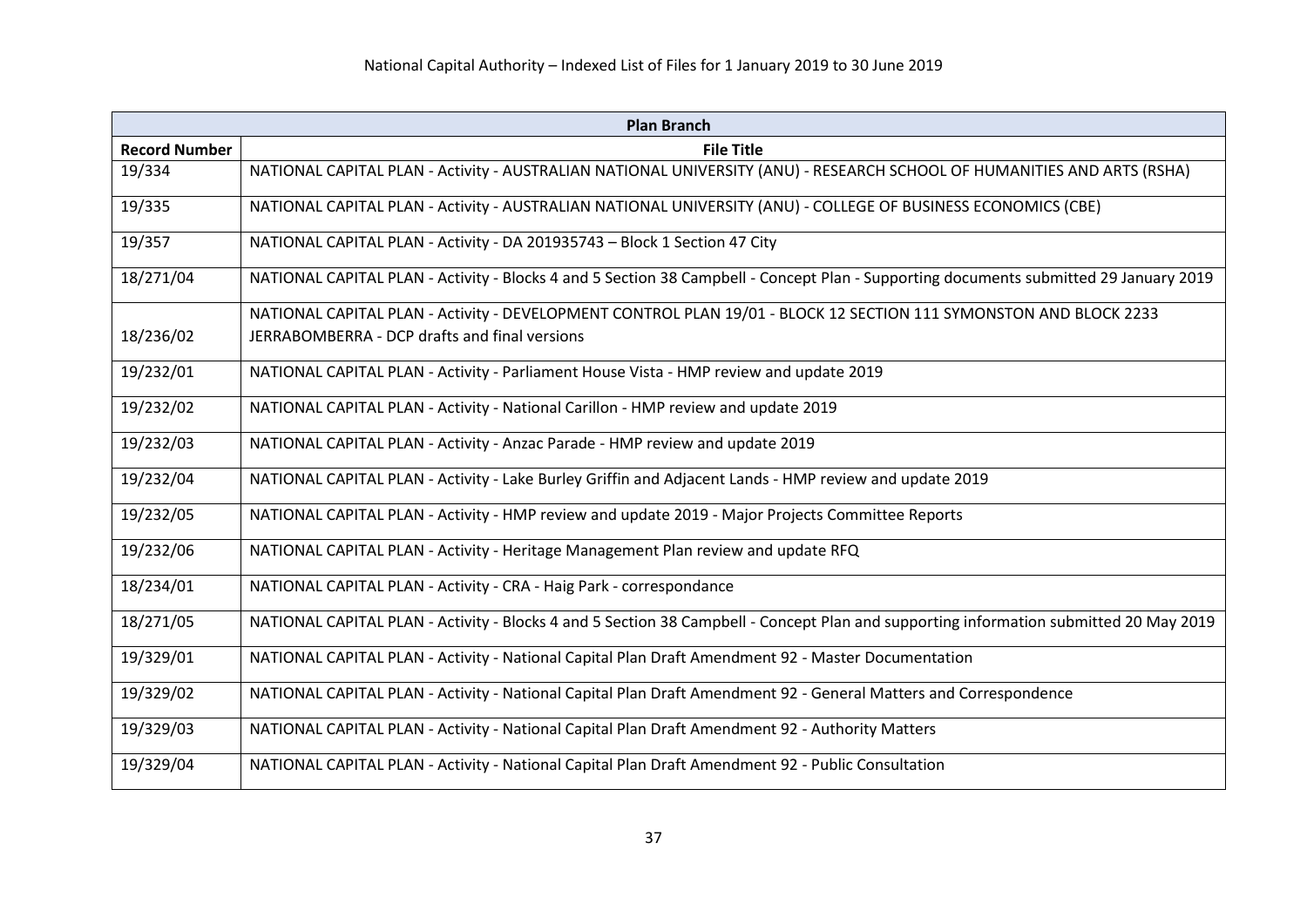| <b>Plan Branch</b>   |                                                                                                                                       |  |
|----------------------|---------------------------------------------------------------------------------------------------------------------------------------|--|
| <b>Record Number</b> | <b>File Title</b>                                                                                                                     |  |
| 19/334               | NATIONAL CAPITAL PLAN - Activity - AUSTRALIAN NATIONAL UNIVERSITY (ANU) - RESEARCH SCHOOL OF HUMANITIES AND ARTS (RSHA)               |  |
| 19/335               | NATIONAL CAPITAL PLAN - Activity - AUSTRALIAN NATIONAL UNIVERSITY (ANU) - COLLEGE OF BUSINESS ECONOMICS (CBE)                         |  |
| 19/357               | NATIONAL CAPITAL PLAN - Activity - DA 201935743 - Block 1 Section 47 City                                                             |  |
| 18/271/04            | NATIONAL CAPITAL PLAN - Activity - Blocks 4 and 5 Section 38 Campbell - Concept Plan - Supporting documents submitted 29 January 2019 |  |
|                      | NATIONAL CAPITAL PLAN - Activity - DEVELOPMENT CONTROL PLAN 19/01 - BLOCK 12 SECTION 111 SYMONSTON AND BLOCK 2233                     |  |
| 18/236/02            | JERRABOMBERRA - DCP drafts and final versions                                                                                         |  |
| 19/232/01            | NATIONAL CAPITAL PLAN - Activity - Parliament House Vista - HMP review and update 2019                                                |  |
| 19/232/02            | NATIONAL CAPITAL PLAN - Activity - National Carillon - HMP review and update 2019                                                     |  |
| 19/232/03            | NATIONAL CAPITAL PLAN - Activity - Anzac Parade - HMP review and update 2019                                                          |  |
| 19/232/04            | NATIONAL CAPITAL PLAN - Activity - Lake Burley Griffin and Adjacent Lands - HMP review and update 2019                                |  |
| 19/232/05            | NATIONAL CAPITAL PLAN - Activity - HMP review and update 2019 - Major Projects Committee Reports                                      |  |
| 19/232/06            | NATIONAL CAPITAL PLAN - Activity - Heritage Management Plan review and update RFQ                                                     |  |
| 18/234/01            | NATIONAL CAPITAL PLAN - Activity - CRA - Haig Park - correspondance                                                                   |  |
| 18/271/05            | NATIONAL CAPITAL PLAN - Activity - Blocks 4 and 5 Section 38 Campbell - Concept Plan and supporting information submitted 20 May 2019 |  |
| 19/329/01            | NATIONAL CAPITAL PLAN - Activity - National Capital Plan Draft Amendment 92 - Master Documentation                                    |  |
| 19/329/02            | NATIONAL CAPITAL PLAN - Activity - National Capital Plan Draft Amendment 92 - General Matters and Correspondence                      |  |
| 19/329/03            | NATIONAL CAPITAL PLAN - Activity - National Capital Plan Draft Amendment 92 - Authority Matters                                       |  |
| 19/329/04            | NATIONAL CAPITAL PLAN - Activity - National Capital Plan Draft Amendment 92 - Public Consultation                                     |  |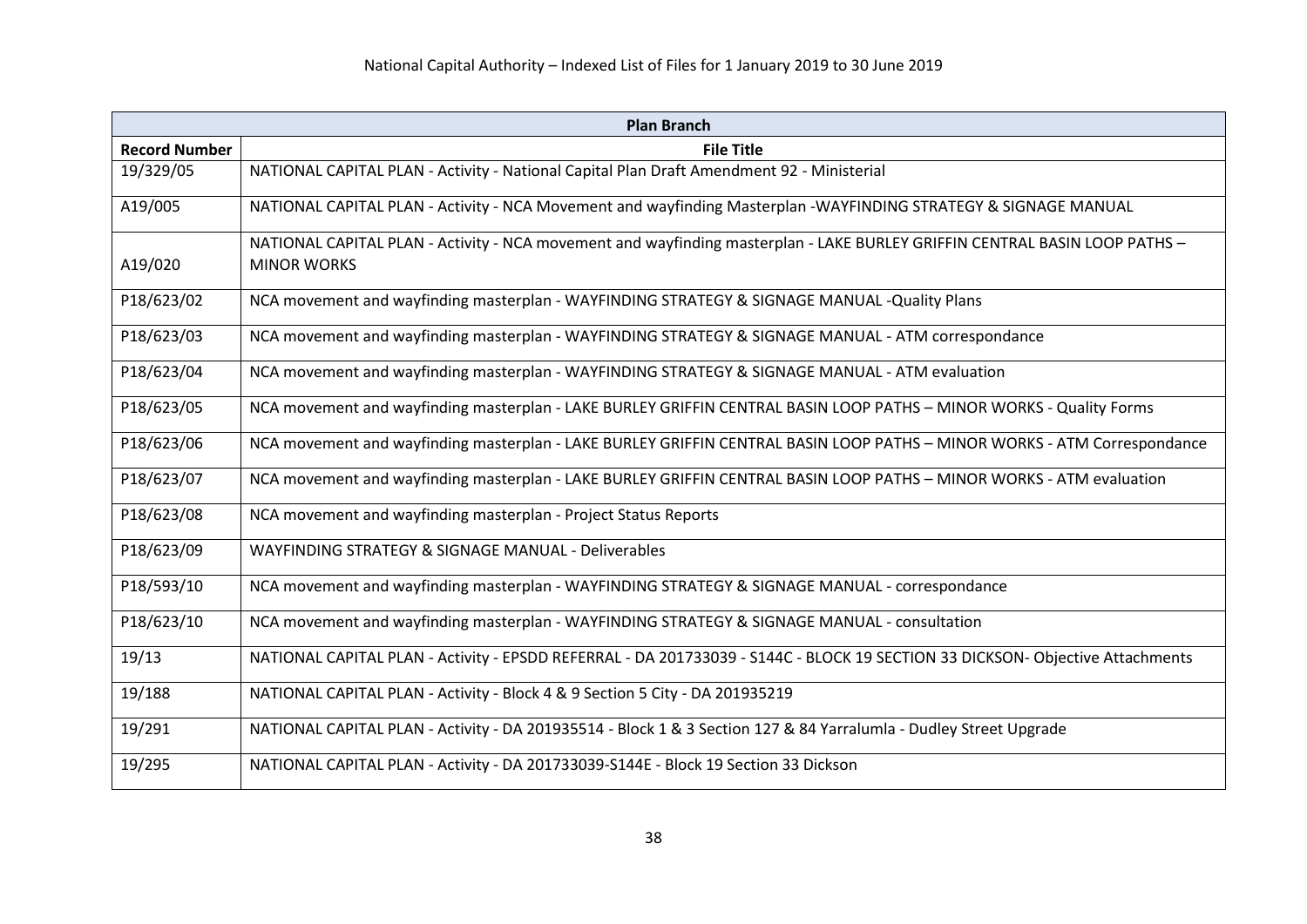| <b>Plan Branch</b>   |                                                                                                                                                  |  |
|----------------------|--------------------------------------------------------------------------------------------------------------------------------------------------|--|
| <b>Record Number</b> | <b>File Title</b>                                                                                                                                |  |
| 19/329/05            | NATIONAL CAPITAL PLAN - Activity - National Capital Plan Draft Amendment 92 - Ministerial                                                        |  |
| A19/005              | NATIONAL CAPITAL PLAN - Activity - NCA Movement and wayfinding Masterplan -WAYFINDING STRATEGY & SIGNAGE MANUAL                                  |  |
| A19/020              | NATIONAL CAPITAL PLAN - Activity - NCA movement and wayfinding masterplan - LAKE BURLEY GRIFFIN CENTRAL BASIN LOOP PATHS -<br><b>MINOR WORKS</b> |  |
| P18/623/02           | NCA movement and wayfinding masterplan - WAYFINDING STRATEGY & SIGNAGE MANUAL -Quality Plans                                                     |  |
| P18/623/03           | NCA movement and wayfinding masterplan - WAYFINDING STRATEGY & SIGNAGE MANUAL - ATM correspondance                                               |  |
| P18/623/04           | NCA movement and wayfinding masterplan - WAYFINDING STRATEGY & SIGNAGE MANUAL - ATM evaluation                                                   |  |
| P18/623/05           | NCA movement and wayfinding masterplan - LAKE BURLEY GRIFFIN CENTRAL BASIN LOOP PATHS - MINOR WORKS - Quality Forms                              |  |
| P18/623/06           | NCA movement and wayfinding masterplan - LAKE BURLEY GRIFFIN CENTRAL BASIN LOOP PATHS - MINOR WORKS - ATM Correspondance                         |  |
| P18/623/07           | NCA movement and wayfinding masterplan - LAKE BURLEY GRIFFIN CENTRAL BASIN LOOP PATHS - MINOR WORKS - ATM evaluation                             |  |
| P18/623/08           | NCA movement and wayfinding masterplan - Project Status Reports                                                                                  |  |
| P18/623/09           | WAYFINDING STRATEGY & SIGNAGE MANUAL - Deliverables                                                                                              |  |
| P18/593/10           | NCA movement and wayfinding masterplan - WAYFINDING STRATEGY & SIGNAGE MANUAL - correspondance                                                   |  |
| P18/623/10           | NCA movement and wayfinding masterplan - WAYFINDING STRATEGY & SIGNAGE MANUAL - consultation                                                     |  |
| 19/13                | NATIONAL CAPITAL PLAN - Activity - EPSDD REFERRAL - DA 201733039 - S144C - BLOCK 19 SECTION 33 DICKSON- Objective Attachments                    |  |
| 19/188               | NATIONAL CAPITAL PLAN - Activity - Block 4 & 9 Section 5 City - DA 201935219                                                                     |  |
| 19/291               | NATIONAL CAPITAL PLAN - Activity - DA 201935514 - Block 1 & 3 Section 127 & 84 Yarralumla - Dudley Street Upgrade                                |  |
| 19/295               | NATIONAL CAPITAL PLAN - Activity - DA 201733039-S144E - Block 19 Section 33 Dickson                                                              |  |